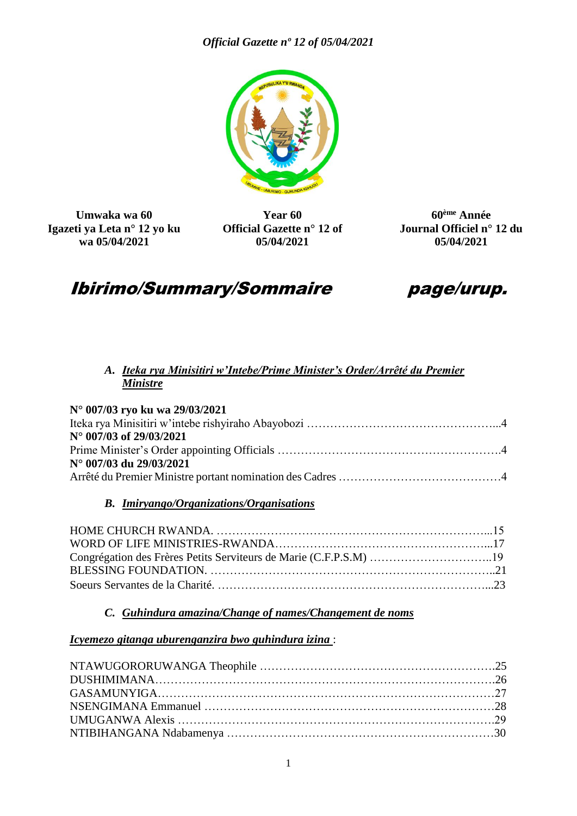

**Umwaka wa 60 Igazeti ya Leta n° 12 yo ku wa 05/04/2021**

**Year 60 Official Gazette n° 12 of 05/04/2021**

**60ème Année Journal Officiel n° 12 du 05/04/2021**

# Ibirimo/Summary/Sommaire page/urup.



## *A. Iteka rya Minisitiri w'Intebe/Prime Minister's Order/Arrêté du Premier Ministre*

| N° 007/03 ryo ku wa 29/03/2021 |  |
|--------------------------------|--|
|                                |  |
| N° 007/03 of 29/03/2021        |  |
|                                |  |
| N° 007/03 du 29/03/2021        |  |
|                                |  |

#### *B. Imiryango/Organizations/Organisations*

#### *C. Guhindura amazina/Change of names/Changement de noms*

#### *Icyemezo gitanga uburenganzira bwo guhindura izina* :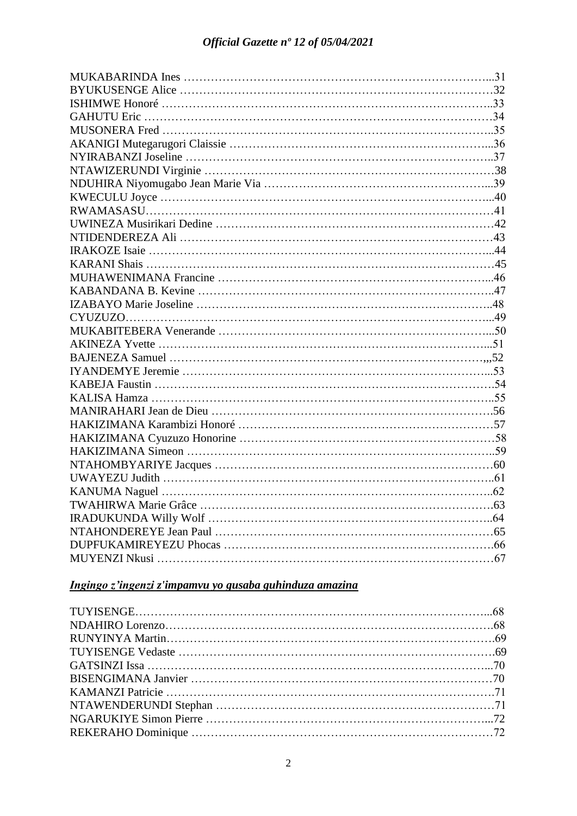## *Ingingo z'ingenzi z'impamvu yo gusaba guhinduza amazina*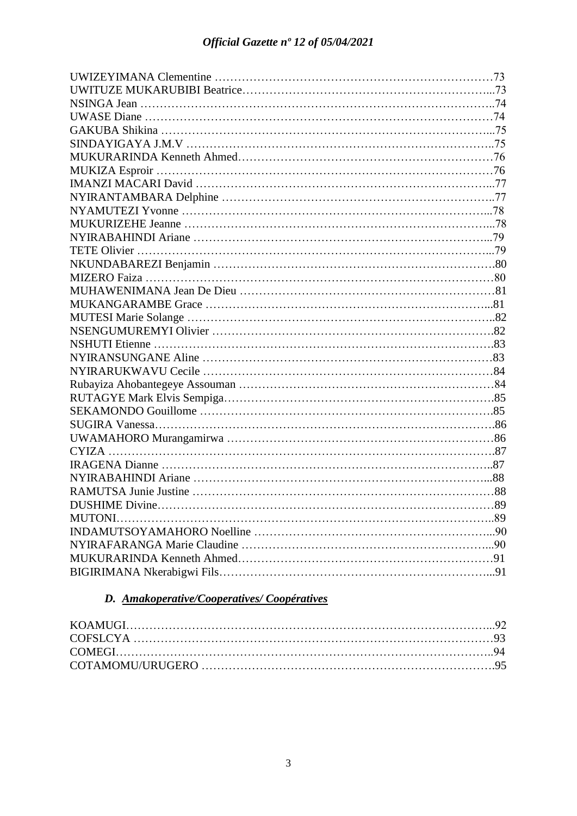| MUTONI. |  |
|---------|--|
|         |  |
|         |  |
|         |  |
|         |  |

## *D. Amakoperative/Cooperatives/ Coopératives*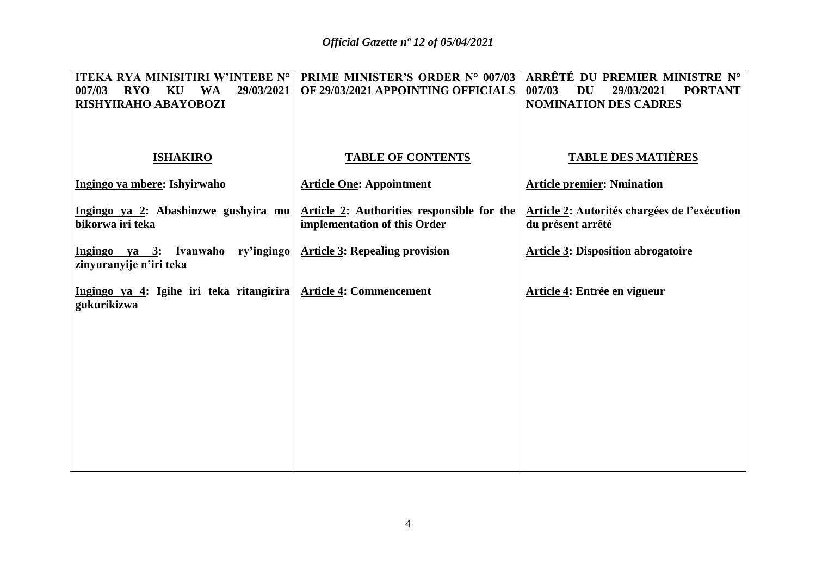| ITEKA RYA MINISITIRI W'INTEBE N°<br>29/03/2021<br>007/03<br><b>RYO</b><br>KU<br><b>WA</b><br>RISHYIRAHO ABAYOBOZI | <b>PRIME MINISTER'S ORDER N° 007/03</b><br>OF 29/03/2021 APPOINTING OFFICIALS | ARRÊTÉ DU PREMIER MINISTRE N°<br>007/03<br><b>PORTANT</b><br><b>DU</b><br>29/03/2021<br><b>NOMINATION DES CADRES</b> |
|-------------------------------------------------------------------------------------------------------------------|-------------------------------------------------------------------------------|----------------------------------------------------------------------------------------------------------------------|
| <b>ISHAKIRO</b>                                                                                                   | <b>TABLE OF CONTENTS</b>                                                      | <b>TABLE DES MATIÈRES</b>                                                                                            |
| Ingingo ya mbere: Ishyirwaho                                                                                      | <b>Article One: Appointment</b>                                               | <b>Article premier: Nmination</b>                                                                                    |
| Ingingo ya 2: Abashinzwe gushyira mu<br>bikorwa iri teka                                                          | Article 2: Authorities responsible for the<br>implementation of this Order    | <b>Article 2: Autorités chargées de l'exécution</b><br>du présent arrêté                                             |
| Ingingo ya 3: Ivanwaho ry'ingingo<br>zinyuranyije n'iri teka                                                      | <b>Article 3: Repealing provision</b>                                         | <b>Article 3: Disposition abrogatoire</b>                                                                            |
| Ingingo ya 4: Igihe iri teka ritangirira<br>gukurikizwa                                                           | <b>Article 4: Commencement</b>                                                | Article 4: Entrée en vigueur                                                                                         |
|                                                                                                                   |                                                                               |                                                                                                                      |
|                                                                                                                   |                                                                               |                                                                                                                      |
|                                                                                                                   |                                                                               |                                                                                                                      |
|                                                                                                                   |                                                                               |                                                                                                                      |
|                                                                                                                   |                                                                               |                                                                                                                      |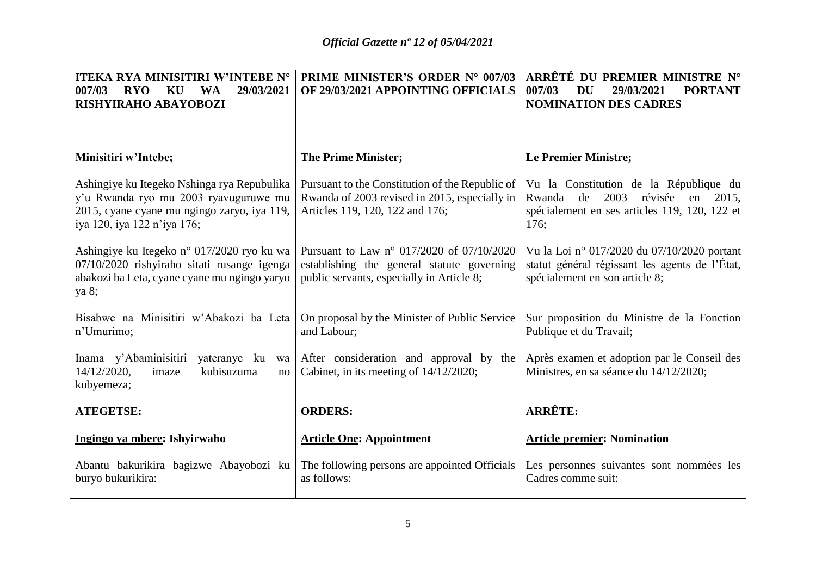| <b>ITEKA RYA MINISITIRI W'INTEBE N°</b>                                                                                                                            | <b>PRIME MINISTER'S ORDER N° 007/03</b>                                                                                              | ARRÊTÉ DU PREMIER MINISTRE N°                                                                                                                     |
|--------------------------------------------------------------------------------------------------------------------------------------------------------------------|--------------------------------------------------------------------------------------------------------------------------------------|---------------------------------------------------------------------------------------------------------------------------------------------------|
| 007/03<br>29/03/2021<br><b>RYO</b><br>KU<br><b>WA</b>                                                                                                              | OF 29/03/2021 APPOINTING OFFICIALS                                                                                                   | 007/03<br>29/03/2021<br><b>PORTANT</b><br>DU                                                                                                      |
| RISHYIRAHO ABAYOBOZI                                                                                                                                               |                                                                                                                                      | <b>NOMINATION DES CADRES</b>                                                                                                                      |
|                                                                                                                                                                    |                                                                                                                                      |                                                                                                                                                   |
|                                                                                                                                                                    |                                                                                                                                      |                                                                                                                                                   |
| Minisitiri w'Intebe;                                                                                                                                               | <b>The Prime Minister;</b>                                                                                                           | <b>Le Premier Ministre;</b>                                                                                                                       |
| Ashingiye ku Itegeko Nshinga rya Repubulika<br>y'u Rwanda ryo mu 2003 ryavuguruwe mu<br>2015, cyane cyane mu ngingo zaryo, iya 119,<br>iya 120, iya 122 n'iya 176; | Pursuant to the Constitution of the Republic of<br>Rwanda of 2003 revised in 2015, especially in<br>Articles 119, 120, 122 and 176;  | Vu la Constitution de la République du<br>2003<br>révisée<br>Rwanda<br>de<br>en<br>2015,<br>spécialement en ses articles 119, 120, 122 et<br>176: |
| Ashingiye ku Itegeko n° 017/2020 ryo ku wa<br>07/10/2020 rishyiraho sitati rusange igenga<br>abakozi ba Leta, cyane cyane mu ngingo yaryo<br>ya 8;                 | Pursuant to Law n° 017/2020 of 07/10/2020<br>establishing the general statute governing<br>public servants, especially in Article 8; | Vu la Loi nº 017/2020 du 07/10/2020 portant<br>statut général régissant les agents de l'État,<br>spécialement en son article 8;                   |
| Bisabwe na Minisitiri w'Abakozi ba Leta<br>n'Umurimo;                                                                                                              | On proposal by the Minister of Public Service<br>and Labour;                                                                         | Sur proposition du Ministre de la Fonction<br>Publique et du Travail;                                                                             |
| Inama y'Abaminisitiri<br>yateranye ku<br>14/12/2020,<br>kubisuzuma<br>imaze<br>no<br>kubyemeza;                                                                    | wa After consideration and approval by the<br>Cabinet, in its meeting of $14/12/2020$ ;                                              | Après examen et adoption par le Conseil des<br>Ministres, en sa séance du 14/12/2020;                                                             |
| <b>ATEGETSE:</b>                                                                                                                                                   | <b>ORDERS:</b>                                                                                                                       | <b>ARRÊTE:</b>                                                                                                                                    |
| Ingingo ya mbere: Ishyirwaho                                                                                                                                       | <b>Article One: Appointment</b>                                                                                                      | <b>Article premier: Nomination</b>                                                                                                                |
| Abantu bakurikira bagizwe Abayobozi ku<br>buryo bukurikira:                                                                                                        | The following persons are appointed Officials<br>as follows:                                                                         | Les personnes suivantes sont nommées les<br>Cadres comme suit:                                                                                    |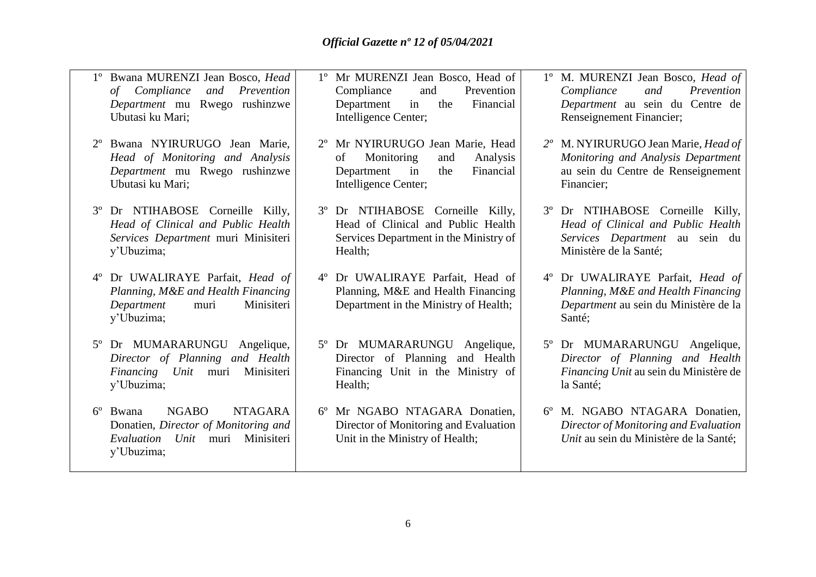- 1º Bwana MURENZI Jean Bosco, *Head of Compliance and Prevention Department* mu Rwego rushinzwe Ubutasi ku Mari;
- 2º Bwana NYIRURUGO Jean Marie, *Head of Monitoring and Analysis Department* mu Rwego rushinzwe Ubutasi ku Mari;
- 3º Dr NTIHABOSE Corneille Killy, *Head of Clinical and Public Health Services Department* muri Minisiteri y'Ubuzima;
- 4º Dr UWALIRAYE Parfait, *Head of Planning, M&E and Health Financing Department* muri Minisiteri y'Ubuzima;
- 5º Dr MUMARARUNGU Angelique, *Director of Planning and Health Financing Unit* muri Minisiteri y'Ubuzima;
- 6º Bwana NGABO NTAGARA Donatien, *Director of Monitoring and Evaluation Unit* muri Minisiteri y'Ubuzima;
- 1º Mr MURENZI Jean Bosco, Head of Compliance and Prevention Department in the Financial Intelligence Center;
- 2º Mr NYIRURUGO Jean Marie, Head of Monitoring and Analysis Department in the Financial Intelligence Center;
- 3º Dr NTIHABOSE Corneille Killy, Head of Clinical and Public Health Services Department in the Ministry of Health;
- 4º Dr UWALIRAYE Parfait, Head of Planning, M&E and Health Financing Department in the Ministry of Health;
- 5º Dr MUMARARUNGU Angelique, Director of Planning and Health Financing Unit in the Ministry of Health;
- 6º Mr NGABO NTAGARA Donatien, Director of Monitoring and Evaluation Unit in the Ministry of Health;
- 1º M. MURENZI Jean Bosco, *Head of Compliance and Prevention Department* au sein du Centre de Renseignement Financier;
- *2º* M. NYIRURUGO Jean Marie, *Head of Monitoring and Analysis Department*  au sein du Centre de Renseignement Financier;
- 3º Dr NTIHABOSE Corneille Killy, *Head of Clinical and Public Health Services Department* au sein du Ministère de la Santé;
- 4º Dr UWALIRAYE Parfait, *Head of Planning, M&E and Health Financing Department* au sein du Ministère de la Santé;
- 5º Dr MUMARARUNGU Angelique, *Director of Planning and Health Financing Unit* au sein du Ministère de la Santé;
- 6º M. NGABO NTAGARA Donatien, *Director of Monitoring and Evaluation Unit* au sein du Ministère de la Santé;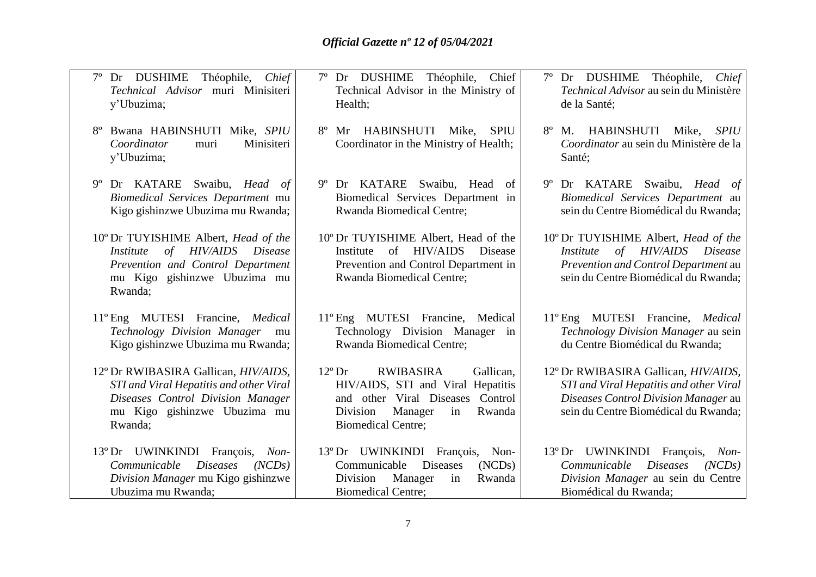| Dr DUSHIME<br>Théophile,<br>Chief<br>Technical Advisor muri Minisiteri<br>y'Ubuzima;                                                                                      | Dr DUSHIME Théophile,<br>Chief<br>$7^{\circ}$<br>Technical Advisor in the Ministry of<br>Health;                                                                                              | Dr DUSHIME<br>Théophile,<br>Chief<br>Technical Advisor au sein du Ministère<br>de la Santé;                                                                     |
|---------------------------------------------------------------------------------------------------------------------------------------------------------------------------|-----------------------------------------------------------------------------------------------------------------------------------------------------------------------------------------------|-----------------------------------------------------------------------------------------------------------------------------------------------------------------|
| Bwana HABINSHUTI Mike, SPIU<br>Coordinator<br>Minisiteri<br>muri<br>y'Ubuzima;                                                                                            | HABINSHUTI<br>Mike,<br>$8^{\circ}$<br>Mr<br><b>SPIU</b><br>Coordinator in the Ministry of Health;                                                                                             | HABINSHUTI<br>$8^{\circ}$<br>Mike,<br><b>SPIU</b><br>M.<br>Coordinator au sein du Ministère de la<br>Santé;                                                     |
| Dr KATARE Swaibu, Head of<br>$9^{\circ}$<br>Biomedical Services Department mu<br>Kigo gishinzwe Ubuzima mu Rwanda;                                                        | 9° Dr KATARE Swaibu, Head<br>of<br>Biomedical Services Department in<br>Rwanda Biomedical Centre;                                                                                             | 9° Dr KATARE Swaibu, Head of<br>Biomedical Services Department au<br>sein du Centre Biomédical du Rwanda;                                                       |
| 10° Dr TUYISHIME Albert, Head of the<br>of HIV/AIDS<br><i>Disease</i><br><i>Institute</i><br>Prevention and Control Department<br>mu Kigo gishinzwe Ubuzima mu<br>Rwanda; | 10° Dr TUYISHIME Albert, Head of the<br>of HIV/AIDS<br>Disease<br>Institute<br>Prevention and Control Department in<br><b>Rwanda Biomedical Centre;</b>                                       | 10° Dr TUYISHIME Albert, Head of the<br>Institute of HIV/AIDS Disease<br>Prevention and Control Department au<br>sein du Centre Biomédical du Rwanda;           |
| 11° Eng MUTESI Francine, Medical<br>Technology Division Manager mu<br>Kigo gishinzwe Ubuzima mu Rwanda;                                                                   | 11° Eng MUTESI Francine, Medical<br>Technology Division Manager in<br><b>Rwanda Biomedical Centre;</b>                                                                                        | 11° Eng MUTESI Francine, Medical<br>Technology Division Manager au sein<br>du Centre Biomédical du Rwanda;                                                      |
| 12° Dr RWIBASIRA Gallican, HIV/AIDS,<br>STI and Viral Hepatitis and other Viral<br>Diseases Control Division Manager<br>mu Kigo gishinzwe Ubuzima mu<br>Rwanda;           | $12^{\circ}$ Dr<br><b>RWIBASIRA</b><br>Gallican,<br>HIV/AIDS, STI and Viral Hepatitis<br>and other Viral Diseases Control<br>Division<br>Manager<br>Rwanda<br>in<br><b>Biomedical Centre;</b> | 12° Dr RWIBASIRA Gallican, HIV/AIDS,<br>STI and Viral Hepatitis and other Viral<br>Diseases Control Division Manager au<br>sein du Centre Biomédical du Rwanda; |
| 13° Dr UWINKINDI François, Non-<br>Communicable<br><i>Diseases</i><br>(NCDs)<br>Division Manager mu Kigo gishinzwe<br>Ubuzima mu Rwanda;                                  | 13° Dr UWINKINDI François, Non-<br>Communicable<br><b>Diseases</b><br>(NCDs)<br>Division<br>Manager<br>in<br>Rwanda<br><b>Biomedical Centre;</b>                                              | 13° Dr UWINKINDI François,<br>$Non-$<br>Communicable<br><i>Diseases</i><br>(NCDs)<br>Division Manager au sein du Centre<br>Biomédical du Rwanda;                |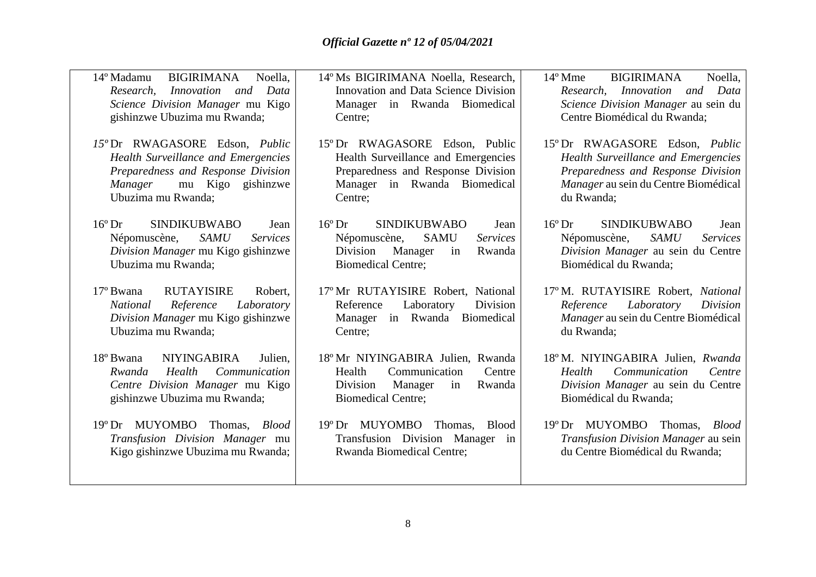| 14° Madamu<br>Noella,<br><b>BIGIRIMANA</b><br>Innovation and<br>Data<br>Research,<br>Science Division Manager mu Kigo<br>gishinzwe Ubuzima mu Rwanda;             | 14° Ms BIGIRIMANA Noella, Research,<br>Innovation and Data Science Division<br>Manager in Rwanda Biomedical<br>Centre;                                               | <b>BIGIRIMANA</b><br>$14^{\circ}$ Mme<br>Noella.<br>Research, Innovation<br>and Data<br>Science Division Manager au sein du<br>Centre Biomédical du Rwanda;              |
|-------------------------------------------------------------------------------------------------------------------------------------------------------------------|----------------------------------------------------------------------------------------------------------------------------------------------------------------------|--------------------------------------------------------------------------------------------------------------------------------------------------------------------------|
| 15° Dr RWAGASORE Edson, Public<br>Health Surveillance and Emergencies<br>Preparedness and Response Division<br>mu Kigo gishinzwe<br>Manager<br>Ubuzima mu Rwanda; | 15° Dr RWAGASORE Edson, Public<br>Health Surveillance and Emergencies<br>Preparedness and Response Division<br>Manager in Rwanda Biomedical<br>Centre;               | 15° Dr RWAGASORE Edson, Public<br><b>Health Surveillance and Emergencies</b><br>Preparedness and Response Division<br>Manager au sein du Centre Biomédical<br>du Rwanda; |
| $16^{\circ}$ Dr<br><b>SINDIKUBWABO</b><br>Jean<br><b>SAMU</b><br>Népomuscène,<br><b>Services</b><br>Division Manager mu Kigo gishinzwe<br>Ubuzima mu Rwanda;      | $16^{\circ}$ Dr<br><b>SINDIKUBWABO</b><br>Jean<br>Népomuscène,<br><b>SAMU</b><br><b>Services</b><br>Division<br>Manager<br>Rwanda<br>in<br><b>Biomedical Centre;</b> | $16^{\circ}$ Dr<br><b>SINDIKUBWABO</b><br>Jean<br><b>Services</b><br>Népomuscène,<br><b>SAMU</b><br>Division Manager au sein du Centre<br>Biomédical du Rwanda;          |
| 17° Bwana<br><b>RUTAYISIRE</b><br>Robert,<br><b>National</b><br>Reference<br>Laboratory<br>Division Manager mu Kigo gishinzwe<br>Ubuzima mu Rwanda;               | 17° Mr RUTAYISIRE Robert, National<br>Laboratory<br>Division<br>Reference<br>Manager in Rwanda Biomedical<br>Centre;                                                 | 17°M. RUTAYISIRE Robert, National<br>Laboratory<br>Reference<br>Division<br>Manager au sein du Centre Biomédical<br>du Rwanda;                                           |
| 18° Bwana<br><b>NIYINGABIRA</b><br>Julien,<br>Health<br>Communication<br>Rwanda<br>Centre Division Manager mu Kigo<br>gishinzwe Ubuzima mu Rwanda;                | 18° Mr NIYINGABIRA Julien, Rwanda<br>Communication<br>Health<br>Centre<br>Division<br>Manager<br>Rwanda<br>in<br><b>Biomedical Centre;</b>                           | 18°M. NIYINGABIRA Julien, Rwanda<br>Communication<br>Health<br>Centre<br>Division Manager au sein du Centre<br>Biomédical du Rwanda;                                     |
| MUYOMBO<br>Thomas, <i>Blood</i><br>$19^{\circ}$ Dr<br>Transfusion Division Manager mu<br>Kigo gishinzwe Ubuzima mu Rwanda;                                        | 19° Dr MUYOMBO<br>Thomas,<br>Blood<br>Transfusion Division Manager in<br>Rwanda Biomedical Centre;                                                                   | 19° Dr MUYOMBO<br>Thomas, <i>Blood</i><br>Transfusion Division Manager au sein<br>du Centre Biomédical du Rwanda;                                                        |
|                                                                                                                                                                   |                                                                                                                                                                      |                                                                                                                                                                          |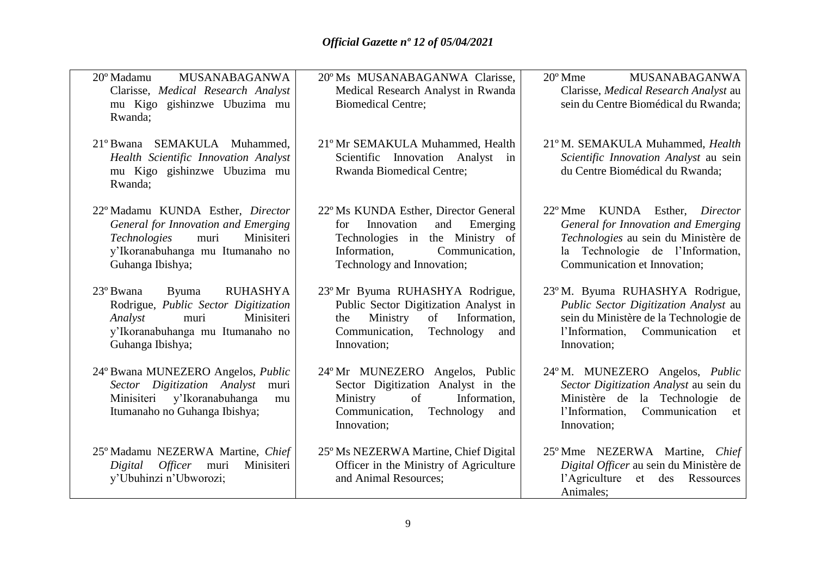| <b>MUSANABAGANWA</b><br>20° Madamu<br>Clarisse, Medical Research Analyst<br>mu Kigo gishinzwe Ubuzima mu<br>Rwanda;                                                           | 20° Ms MUSANABAGANWA Clarisse,<br>Medical Research Analyst in Rwanda<br><b>Biomedical Centre:</b>                                                                                | <b>MUSANABAGANWA</b><br>$20^{\circ}$ Mme<br>Clarisse, Medical Research Analyst au<br>sein du Centre Biomédical du Rwanda;                                                                     |
|-------------------------------------------------------------------------------------------------------------------------------------------------------------------------------|----------------------------------------------------------------------------------------------------------------------------------------------------------------------------------|-----------------------------------------------------------------------------------------------------------------------------------------------------------------------------------------------|
| 21° Bwana SEMAKULA Muhammed,<br>Health Scientific Innovation Analyst<br>mu Kigo gishinzwe Ubuzima mu<br>Rwanda;                                                               | 21° Mr SEMAKULA Muhammed, Health<br>Scientific Innovation Analyst in<br>Rwanda Biomedical Centre;                                                                                | 21° M. SEMAKULA Muhammed, Health<br>Scientific Innovation Analyst au sein<br>du Centre Biomédical du Rwanda;                                                                                  |
| 22° Madamu KUNDA Esther, Director<br>General for Innovation and Emerging<br>muri<br>Technologies<br>Minisiteri<br>y'Ikoranabuhanga mu Itumanaho no<br>Guhanga Ibishya;        | 22° Ms KUNDA Esther, Director General<br>Innovation<br>for<br>and<br>Emerging<br>Technologies in the Ministry of<br>Communication,<br>Information,<br>Technology and Innovation; | KUNDA Esther, Director<br>$22^{\circ}$ Mme<br>General for Innovation and Emerging<br>Technologies au sein du Ministère de<br>la Technologie de l'Information,<br>Communication et Innovation; |
| 23° Bwana<br><b>RUHASHYA</b><br><b>Byuma</b><br>Rodrigue, Public Sector Digitization<br>Minisiteri<br>muri<br>Analyst<br>y'Ikoranabuhanga mu Itumanaho no<br>Guhanga Ibishya; | 23° Mr Byuma RUHASHYA Rodrigue,<br>Public Sector Digitization Analyst in<br>Ministry<br>Information,<br>of<br>the<br>Communication,<br>Technology<br>and<br>Innovation;          | 23°M. Byuma RUHASHYA Rodrigue,<br>Public Sector Digitization Analyst au<br>sein du Ministère de la Technologie de<br>l'Information, Communication et<br>Innovation;                           |
| 24° Bwana MUNEZERO Angelos, Public<br>Sector Digitization Analyst<br>muri<br>Minisiteri y'Ikoranabuhanga<br>mu<br>Itumanaho no Guhanga Ibishya;                               | 24° Mr MUNEZERO Angelos, Public<br>Sector Digitization Analyst in the<br>Ministry<br>Information,<br>of<br>Communication,<br>Technology<br>and<br>Innovation;                    | 24°M. MUNEZERO Angelos, <i>Public</i><br>Sector Digitization Analyst au sein du<br>Ministère de la Technologie de<br>l'Information,<br>Communication<br>et<br>Innovation;                     |
| 25° Madamu NEZERWA Martine, Chief<br>Minisiteri<br>Digital Officer muri<br>y'Ubuhinzi n'Ubworozi;                                                                             | 25° Ms NEZERWA Martine, Chief Digital<br>Officer in the Ministry of Agriculture<br>and Animal Resources:                                                                         | 25° Mme NEZERWA Martine, Chief<br>Digital Officer au sein du Ministère de<br>l'Agriculture et des Ressources<br>Animales;                                                                     |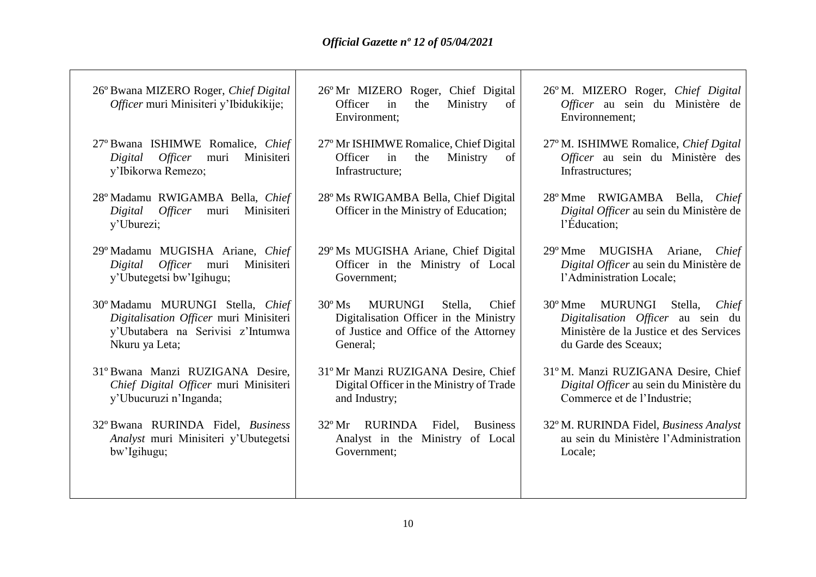┑

| 26° Bwana MIZERO Roger, Chief Digital<br>Officer muri Minisiteri y'Ibidukikije;                                                   | 26° Mr MIZERO Roger, Chief Digital<br>Officer<br>the<br>Ministry<br>of<br>in<br>Environment;                                                         | 26° M. MIZERO Roger, Chief Digital<br>Officer au sein du Ministère de<br>Environnement;                                                     |
|-----------------------------------------------------------------------------------------------------------------------------------|------------------------------------------------------------------------------------------------------------------------------------------------------|---------------------------------------------------------------------------------------------------------------------------------------------|
| 27° Bwana ISHIMWE Romalice, Chief<br><i>Officer</i><br>Minisiteri<br>muri<br>Digital<br>y'Ibikorwa Remezo;                        | 27° Mr ISHIMWE Romalice, Chief Digital<br>Officer<br>in<br>Ministry<br>the<br>of<br>Infrastructure;                                                  | 27° M. ISHIMWE Romalice, Chief Dgital<br>Officer au sein du Ministère des<br>Infrastructures;                                               |
| 28° Madamu RWIGAMBA Bella, Chief<br><i>Officer</i><br>Digital<br>Minisiteri<br>muri<br>y'Uburezi;                                 | 28° Ms RWIGAMBA Bella, Chief Digital<br>Officer in the Ministry of Education;                                                                        | 28° Mme RWIGAMBA Bella, Chief<br>Digital Officer au sein du Ministère de<br>l'Éducation;                                                    |
| 29° Madamu MUGISHA Ariane, Chief<br>Officer muri<br>Minisiteri<br>Digital<br>y'Ubutegetsi bw'Igihugu;                             | 29° Ms MUGISHA Ariane, Chief Digital<br>Officer in the Ministry of Local<br>Government;                                                              | MUGISHA Ariane,<br>$29^{\circ}$ Mme<br>Chief<br>Digital Officer au sein du Ministère de<br>l'Administration Locale;                         |
| 30° Madamu MURUNGI Stella, Chief<br>Digitalisation Officer muri Minisiteri<br>y'Ubutabera na Serivisi z'Intumwa<br>Nkuru ya Leta; | $30^{\circ}$ Ms<br><b>MURUNGI</b><br>Stella.<br>Chief<br>Digitalisation Officer in the Ministry<br>of Justice and Office of the Attorney<br>General; | 30° Mme<br>MURUNGI Stella,<br>Chief<br>Digitalisation Officer au sein du<br>Ministère de la Justice et des Services<br>du Garde des Sceaux; |
| 31° Bwana Manzi RUZIGANA Desire,<br>Chief Digital Officer muri Minisiteri<br>y'Ubucuruzi n'Inganda;                               | 31° Mr Manzi RUZIGANA Desire, Chief<br>Digital Officer in the Ministry of Trade<br>and Industry;                                                     | 31°M. Manzi RUZIGANA Desire, Chief<br>Digital Officer au sein du Ministère du<br>Commerce et de l'Industrie;                                |
| 32° Bwana RURINDA Fidel, Business<br>Analyst muri Minisiteri y'Ubutegetsi<br>bw'Igihugu;                                          | $32^{\circ}$ Mr<br><b>RURINDA</b><br>Fidel,<br><b>Business</b><br>Analyst in the Ministry<br>of Local<br>Government;                                 | 32° M. RURINDA Fidel, Business Analyst<br>au sein du Ministère l'Administration<br>Locale;                                                  |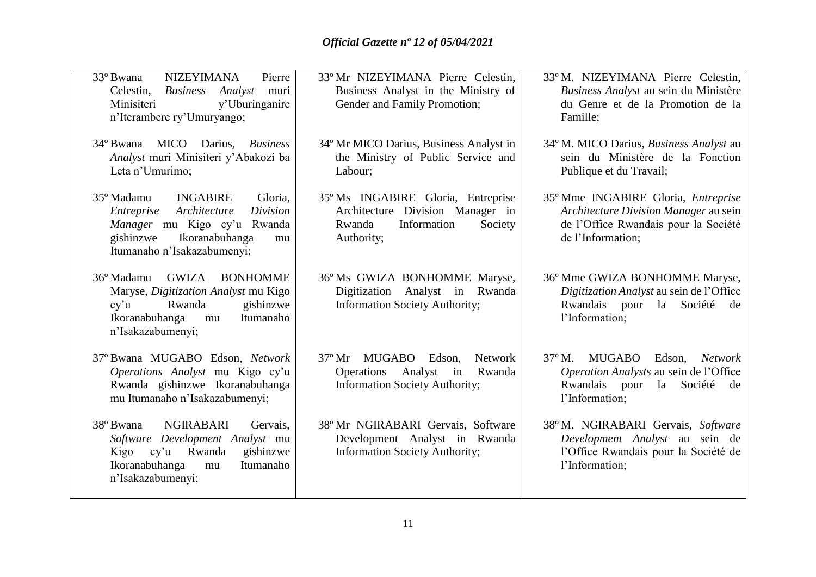| 33° Bwana<br><b>NIZEYIMANA</b><br>Pierre<br>Celestin, Business<br>Analyst<br>muri<br>Minisiteri<br>y'Uburinganire<br>n'Iterambere ry'Umuryango;                                       | 33° Mr NIZEYIMANA Pierre Celestin,<br>Business Analyst in the Ministry of<br>Gender and Family Promotion;                                          | 33°M. NIZEYIMANA Pierre Celestin,<br>Business Analyst au sein du Ministère<br>du Genre et de la Promotion de la<br>Famille;                                |
|---------------------------------------------------------------------------------------------------------------------------------------------------------------------------------------|----------------------------------------------------------------------------------------------------------------------------------------------------|------------------------------------------------------------------------------------------------------------------------------------------------------------|
| 34° Bwana<br>MICO Darius, Business<br>Analyst muri Minisiteri y'Abakozi ba<br>Leta n'Umurimo;                                                                                         | 34° Mr MICO Darius, Business Analyst in<br>the Ministry of Public Service and<br>Labour;                                                           | 34° M. MICO Darius, <i>Business Analyst</i> au<br>sein du Ministère de la Fonction<br>Publique et du Travail;                                              |
| 35° Madamu<br><b>INGABIRE</b><br>Gloria,<br>Architecture<br>Division<br>Entreprise<br>Manager mu Kigo cy'u Rwanda<br>Ikoranabuhanga<br>gishinzwe<br>mu<br>Itumanaho n'Isakazabumenyi; | 35° Ms INGABIRE Gloria, Entreprise<br>Architecture Division Manager in<br>Information<br>Society<br>Rwanda<br>Authority;                           | 35° Mme INGABIRE Gloria, Entreprise<br>Architecture Division Manager au sein<br>de l'Office Rwandais pour la Société<br>de l'Information;                  |
| GWIZA<br>36° Madamu<br><b>BONHOMME</b><br>Maryse, Digitization Analyst mu Kigo<br>Rwanda<br>gishinzwe<br>cy'u<br>Ikoranabuhanga<br>Itumanaho<br>mu<br>n'Isakazabumenyi;               | 36° Ms GWIZA BONHOMME Maryse,<br>Digitization Analyst in Rwanda<br><b>Information Society Authority;</b>                                           | 36° Mme GWIZA BONHOMME Maryse,<br>Digitization Analyst au sein de l'Office<br>Rwandais pour la Société<br>de<br>l'Information;                             |
| 37° Bwana MUGABO Edson, Network<br>Operations Analyst mu Kigo cy'u<br>Rwanda gishinzwe Ikoranabuhanga<br>mu Itumanaho n'Isakazabumenyi;                                               | $37^{\circ}$ Mr<br><b>MUGABO</b><br>Edson,<br><b>Network</b><br><b>Operations</b><br>Analyst in<br>Rwanda<br><b>Information Society Authority;</b> | $37^{\circ}$ M.<br><b>MUGABO</b><br>Edson,<br><b>Network</b><br>Operation Analysts au sein de l'Office<br>Rwandais pour la Société<br>de<br>l'Information; |
| <b>NGIRABARI</b><br>38° Bwana<br>Gervais.<br>Software Development Analyst mu<br>Kigo cy'u Rwanda<br>gishinzwe<br>Itumanaho<br>Ikoranabuhanga<br>mu<br>n'Isakazabumenyi;               | 38° Mr NGIRABARI Gervais, Software<br>Development Analyst in Rwanda<br><b>Information Society Authority;</b>                                       | 38°M. NGIRABARI Gervais, Software<br>Development Analyst au sein de<br>l'Office Rwandais pour la Société de<br>l'Information;                              |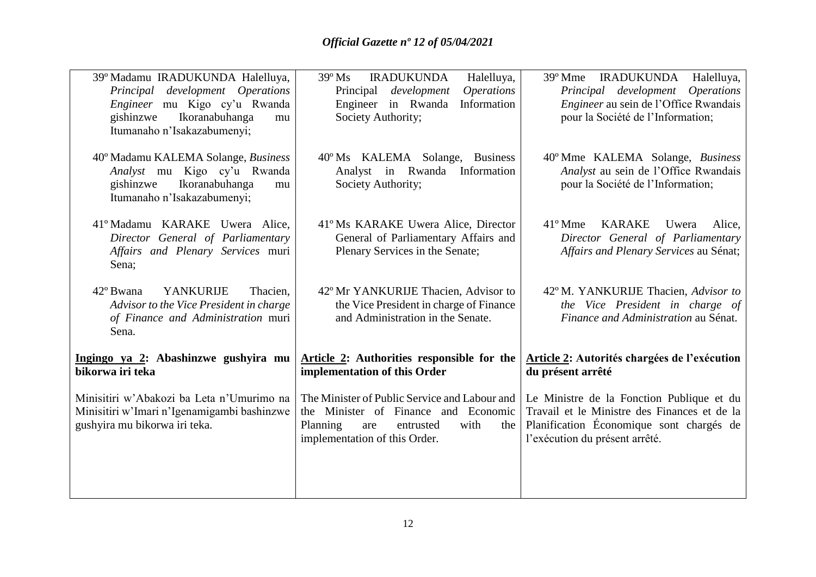| 39° Madamu IRADUKUNDA Halelluya,<br>Principal development Operations<br>Engineer mu Kigo cy'u Rwanda<br>Ikoranabuhanga<br>gishinzwe<br>mu<br>Itumanaho n'Isakazabumenyi; | <b>IRADUKUNDA</b><br>Halelluya,<br>$39^{\circ}$ Ms<br><i><b>Operations</b></i><br>Principal<br>development<br>Information<br>Engineer in Rwanda<br>Society Authority; | 39° Mme IRADUKUNDA<br>Halelluya,<br>Principal development Operations<br><i>Engineer</i> au sein de l'Office Rwandais<br>pour la Société de l'Information;               |
|--------------------------------------------------------------------------------------------------------------------------------------------------------------------------|-----------------------------------------------------------------------------------------------------------------------------------------------------------------------|-------------------------------------------------------------------------------------------------------------------------------------------------------------------------|
| 40° Madamu KALEMA Solange, Business<br>Analyst mu Kigo cy'u Rwanda<br>gishinzwe<br>Ikoranabuhanga<br>mu<br>Itumanaho n'Isakazabumenyi;                                   | 40°Ms KALEMA Solange, Business<br>Analyst in Rwanda<br>Information<br>Society Authority;                                                                              | 40° Mme KALEMA Solange, Business<br>Analyst au sein de l'Office Rwandais<br>pour la Société de l'Information;                                                           |
| 41° Madamu KARAKE Uwera Alice,<br>Director General of Parliamentary<br>Affairs and Plenary Services muri<br>Sena;                                                        | 41°Ms KARAKE Uwera Alice, Director<br>General of Parliamentary Affairs and<br>Plenary Services in the Senate;                                                         | $41^{\circ}$ Mme<br><b>KARAKE</b><br>Alice.<br>Uwera<br>Director General of Parliamentary<br>Affairs and Plenary Services au Sénat;                                     |
| 42° Bwana<br><b>YANKURIJE</b><br>Thacien,<br>Advisor to the Vice President in charge<br>of Finance and Administration muri<br>Sena.                                      | 42° Mr YANKURIJE Thacien, Advisor to<br>the Vice President in charge of Finance<br>and Administration in the Senate.                                                  | 42°M. YANKURIJE Thacien, Advisor to<br>the Vice President in charge of<br>Finance and Administration au Sénat.                                                          |
| Ingingo ya 2: Abashinzwe gushyira mu<br>bikorwa iri teka                                                                                                                 | Article 2: Authorities responsible for the<br>implementation of this Order                                                                                            | <b>Article 2: Autorités chargées de l'exécution</b><br>du présent arrêté                                                                                                |
| Minisitiri w'Abakozi ba Leta n'Umurimo na<br>Minisitiri w'Imari n'Igenamigambi bashinzwe<br>gushyira mu bikorwa iri teka.                                                | The Minister of Public Service and Labour and<br>the Minister of Finance and Economic<br>with<br>Planning<br>entrusted<br>are<br>the<br>implementation of this Order. | Le Ministre de la Fonction Publique et du<br>Travail et le Ministre des Finances et de la<br>Planification Économique sont chargés de<br>l'exécution du présent arrêté. |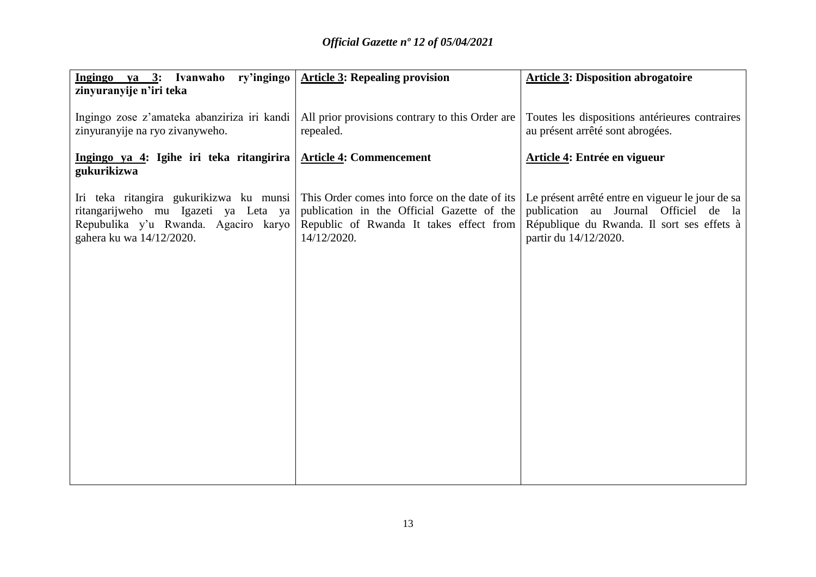| Ingingo ya 3: Ivanwaho ry'ingingo                                                                                                                   | <b>Article 3: Repealing provision</b>                                                                                                                  | <b>Article 3: Disposition abrogatoire</b>                                                                                                                        |
|-----------------------------------------------------------------------------------------------------------------------------------------------------|--------------------------------------------------------------------------------------------------------------------------------------------------------|------------------------------------------------------------------------------------------------------------------------------------------------------------------|
| zinyuranyije n'iri teka                                                                                                                             |                                                                                                                                                        |                                                                                                                                                                  |
| Ingingo zose z'amateka abanziriza iri kandi<br>zinyuranyije na ryo zivanyweho.                                                                      | All prior provisions contrary to this Order are<br>repealed.                                                                                           | Toutes les dispositions antérieures contraires<br>au présent arrêté sont abrogées.                                                                               |
| Ingingo ya 4: Igihe iri teka ritangirira<br>gukurikizwa                                                                                             | <b>Article 4: Commencement</b>                                                                                                                         | Article 4: Entrée en vigueur                                                                                                                                     |
| Iri teka ritangira gukurikizwa ku munsi<br>ritangarijweho mu Igazeti ya Leta ya<br>Repubulika y'u Rwanda. Agaciro karyo<br>gahera ku wa 14/12/2020. | This Order comes into force on the date of its<br>publication in the Official Gazette of the<br>Republic of Rwanda It takes effect from<br>14/12/2020. | Le présent arrêté entre en vigueur le jour de sa<br>publication au Journal Officiel de la<br>République du Rwanda. Il sort ses effets à<br>partir du 14/12/2020. |
|                                                                                                                                                     |                                                                                                                                                        |                                                                                                                                                                  |
|                                                                                                                                                     |                                                                                                                                                        |                                                                                                                                                                  |
|                                                                                                                                                     |                                                                                                                                                        |                                                                                                                                                                  |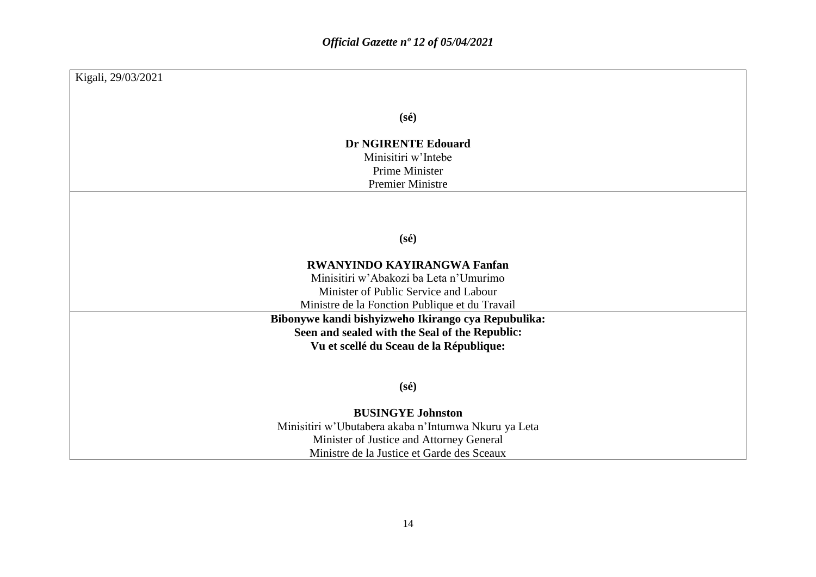| Kigali, 29/03/2021                                   |
|------------------------------------------------------|
|                                                      |
| $(s\acute{e})$                                       |
| <b>Dr NGIRENTE Edouard</b>                           |
| Minisitiri w'Intebe                                  |
| <b>Prime Minister</b>                                |
| <b>Premier Ministre</b>                              |
|                                                      |
|                                                      |
| $(s\acute{e})$                                       |
|                                                      |
| <b>RWANYINDO KAYIRANGWA Fanfan</b>                   |
| Minisitiri w'Abakozi ba Leta n'Umurimo               |
| Minister of Public Service and Labour                |
| Ministre de la Fonction Publique et du Travail       |
| Bibonywe kandi bishyizweho Ikirango cya Repubulika:  |
| Seen and sealed with the Seal of the Republic:       |
| Vu et scellé du Sceau de la République:              |
|                                                      |
| $(s\acute{e})$                                       |
|                                                      |
| <b>BUSINGYE Johnston</b>                             |
| Minisitiri w'Ubutabera akaba n'Intumwa Nkuru ya Leta |
| Minister of Justice and Attorney General             |
| Ministre de la Justice et Garde des Sceaux           |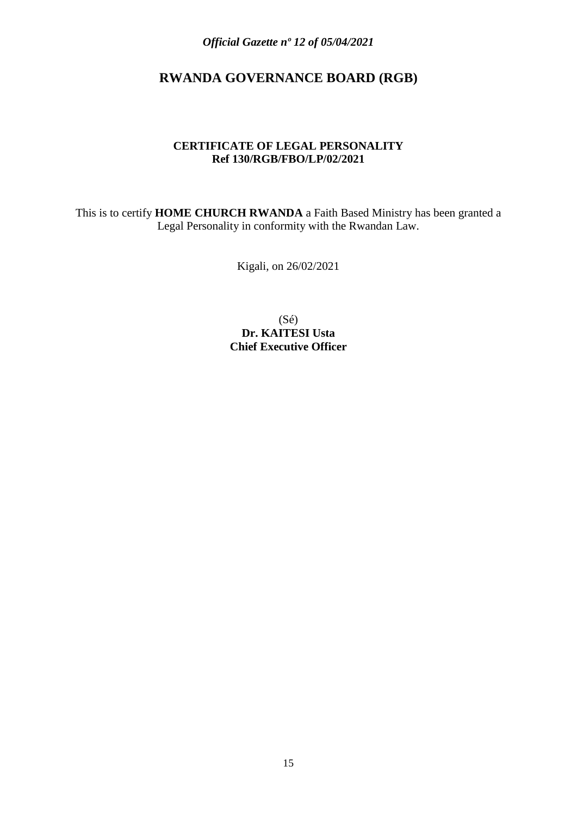## **RWANDA GOVERNANCE BOARD (RGB)**

#### **CERTIFICATE OF LEGAL PERSONALITY Ref 130/RGB/FBO/LP/02/2021**

This is to certify **HOME CHURCH RWANDA** a Faith Based Ministry has been granted a Legal Personality in conformity with the Rwandan Law.

Kigali, on 26/02/2021

(Sé) **Dr. KAITESI Usta Chief Executive Officer**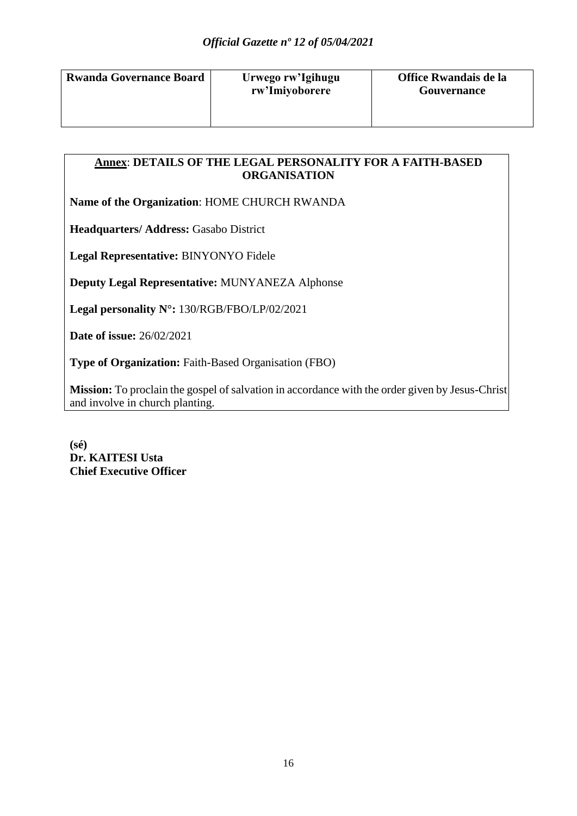| <b>Rwanda Governance Board</b> |
|--------------------------------|
|                                |
|                                |

## **Annex**: **DETAILS OF THE LEGAL PERSONALITY FOR A FAITH-BASED ORGANISATION**

**Name of the Organization**: HOME CHURCH RWANDA

**Headquarters/ Address: Gasabo District** 

**Legal Representative:** BINYONYO Fidele

**Deputy Legal Representative:** MUNYANEZA Alphonse

**Legal personality N°:** 130/RGB/FBO/LP/02/2021

**Date of issue:** 26/02/2021

**Type of Organization:** Faith-Based Organisation (FBO)

**Mission:** To proclain the gospel of salvation in accordance with the order given by Jesus-Christ and involve in church planting.

**(sé) Dr. KAITESI Usta Chief Executive Officer**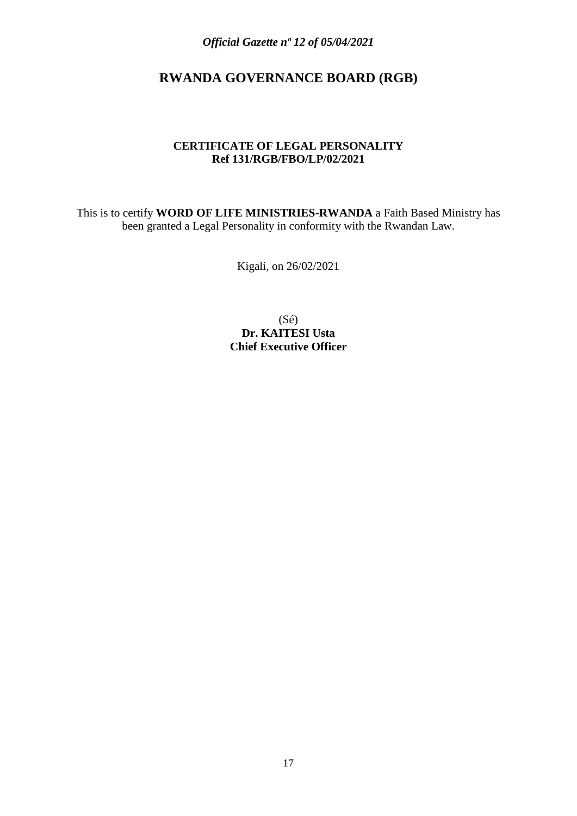## **RWANDA GOVERNANCE BOARD (RGB)**

#### **CERTIFICATE OF LEGAL PERSONALITY Ref 131/RGB/FBO/LP/02/2021**

This is to certify **WORD OF LIFE MINISTRIES-RWANDA** a Faith Based Ministry has been granted a Legal Personality in conformity with the Rwandan Law.

Kigali, on 26/02/2021

(Sé) **Dr. KAITESI Usta Chief Executive Officer**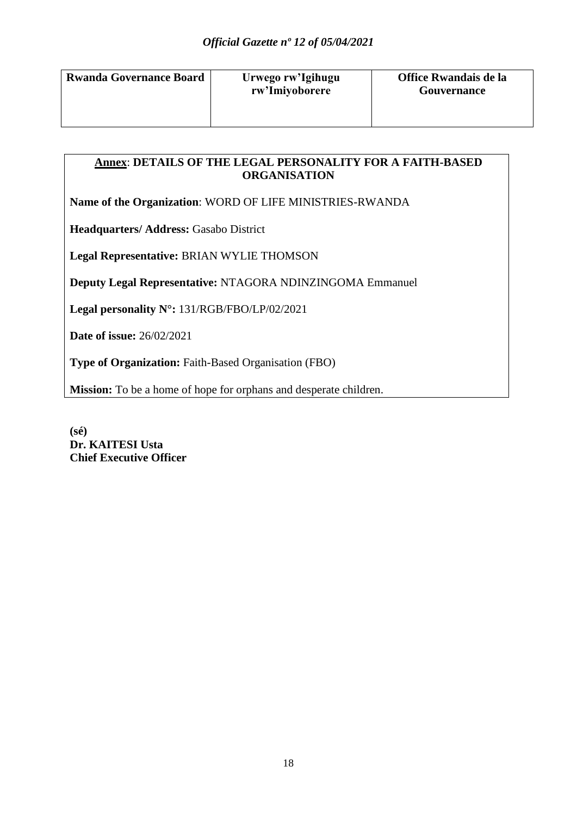| <b>Rwanda Governance Board</b> |  |
|--------------------------------|--|
|                                |  |
|                                |  |

## **Annex**: **DETAILS OF THE LEGAL PERSONALITY FOR A FAITH-BASED ORGANISATION**

**Name of the Organization**: WORD OF LIFE MINISTRIES-RWANDA

**Headquarters/ Address: Gasabo District** 

**Legal Representative:** BRIAN WYLIE THOMSON

**Deputy Legal Representative:** NTAGORA NDINZINGOMA Emmanuel

**Legal personality N°:** 131/RGB/FBO/LP/02/2021

**Date of issue:** 26/02/2021

**Type of Organization:** Faith-Based Organisation (FBO)

**Mission:** To be a home of hope for orphans and desperate children.

**(sé) Dr. KAITESI Usta Chief Executive Officer**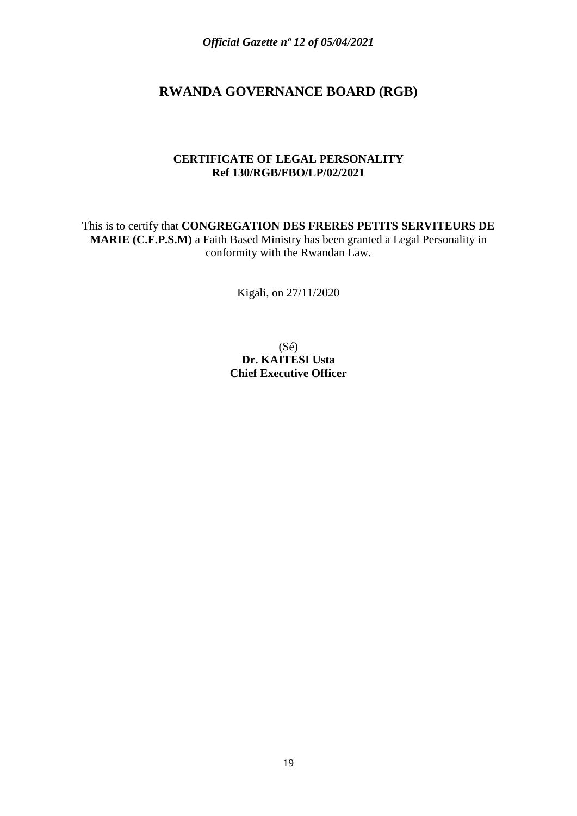## **RWANDA GOVERNANCE BOARD (RGB)**

#### **CERTIFICATE OF LEGAL PERSONALITY Ref 130/RGB/FBO/LP/02/2021**

This is to certify that **CONGREGATION DES FRERES PETITS SERVITEURS DE MARIE (C.F.P.S.M)** a Faith Based Ministry has been granted a Legal Personality in conformity with the Rwandan Law.

Kigali, on 27/11/2020

(Sé) **Dr. KAITESI Usta Chief Executive Officer**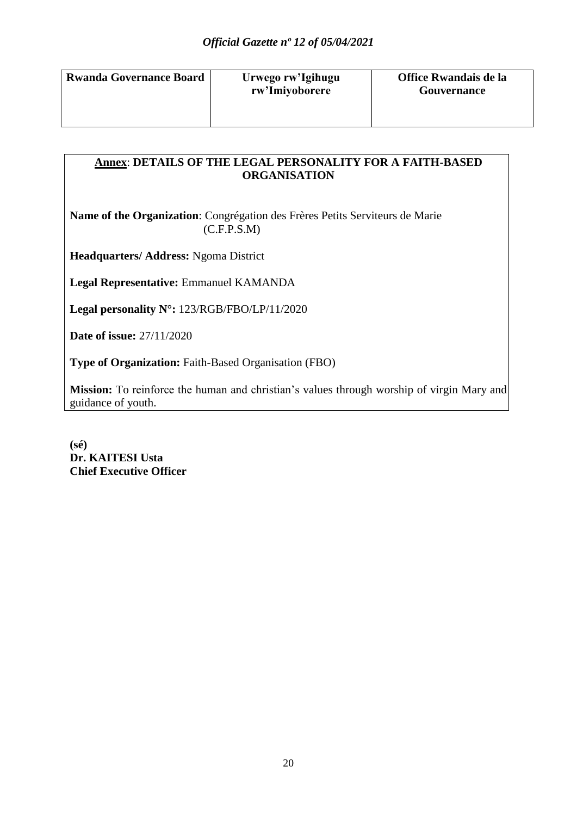| <b>Rwanda Governance Board</b> |
|--------------------------------|
|                                |
|                                |

## **Annex**: **DETAILS OF THE LEGAL PERSONALITY FOR A FAITH-BASED ORGANISATION**

**Name of the Organization**: Congrégation des Frères Petits Serviteurs de Marie  $(C.F.P.S.M)$ 

**Headquarters/ Address:** Ngoma District

**Legal Representative:** Emmanuel KAMANDA

**Legal personality N°:** 123/RGB/FBO/LP/11/2020

**Date of issue:** 27/11/2020

**Type of Organization:** Faith-Based Organisation (FBO)

**Mission:** To reinforce the human and christian's values through worship of virgin Mary and guidance of youth.

**(sé) Dr. KAITESI Usta Chief Executive Officer**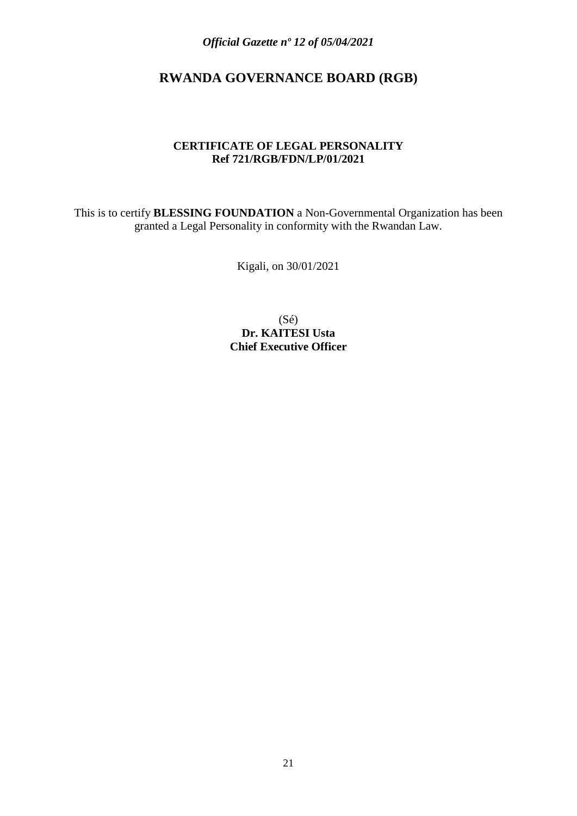## **RWANDA GOVERNANCE BOARD (RGB)**

#### **CERTIFICATE OF LEGAL PERSONALITY Ref 721/RGB/FDN/LP/01/2021**

This is to certify **BLESSING FOUNDATION** a Non-Governmental Organization has been granted a Legal Personality in conformity with the Rwandan Law.

Kigali, on 30/01/2021

(Sé) **Dr. KAITESI Usta Chief Executive Officer**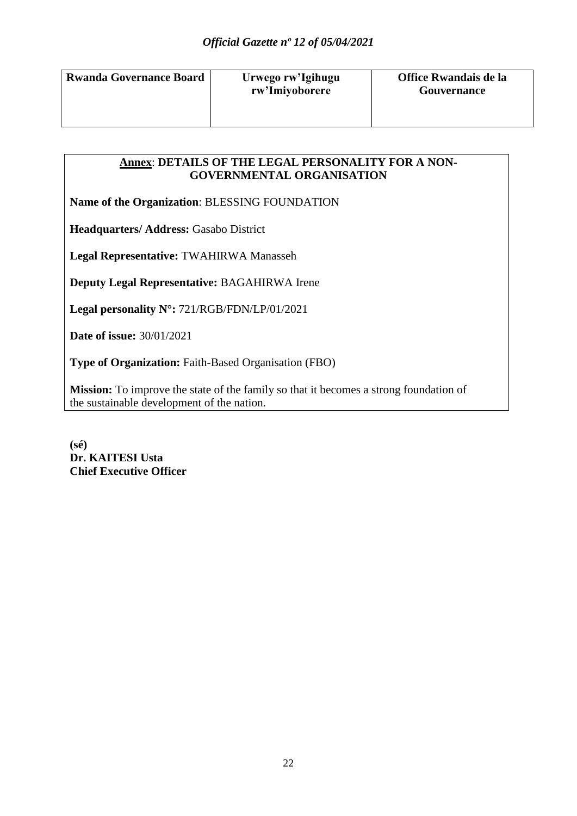| <b>Rwanda Governance Board</b> | Urwego rw'Igihugu<br>rw'Imiyoborere |
|--------------------------------|-------------------------------------|
|                                |                                     |

#### **Annex**: **DETAILS OF THE LEGAL PERSONALITY FOR A NON-GOVERNMENTAL ORGANISATION**

**Name of the Organization**: BLESSING FOUNDATION

**Headquarters/ Address: Gasabo District** 

**Legal Representative:** TWAHIRWA Manasseh

**Deputy Legal Representative:** BAGAHIRWA Irene

**Legal personality N°:** 721/RGB/FDN/LP/01/2021

**Date of issue:** 30/01/2021

**Type of Organization:** Faith-Based Organisation (FBO)

**Mission:** To improve the state of the family so that it becomes a strong foundation of the sustainable development of the nation.

**(sé) Dr. KAITESI Usta Chief Executive Officer**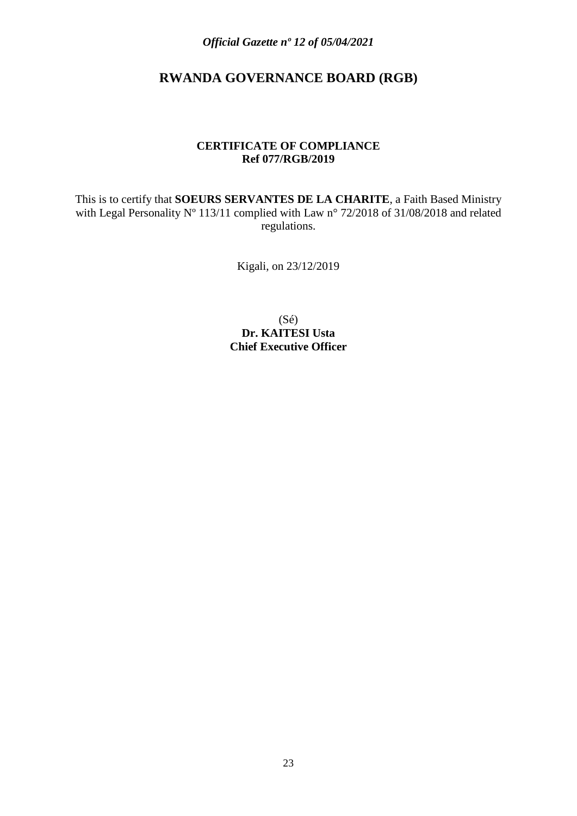## **RWANDA GOVERNANCE BOARD (RGB)**

#### **CERTIFICATE OF COMPLIANCE Ref 077/RGB/2019**

This is to certify that **SOEURS SERVANTES DE LA CHARITE**, a Faith Based Ministry with Legal Personality N° 113/11 complied with Law n° 72/2018 of 31/08/2018 and related regulations.

Kigali, on 23/12/2019

(Sé) **Dr. KAITESI Usta Chief Executive Officer**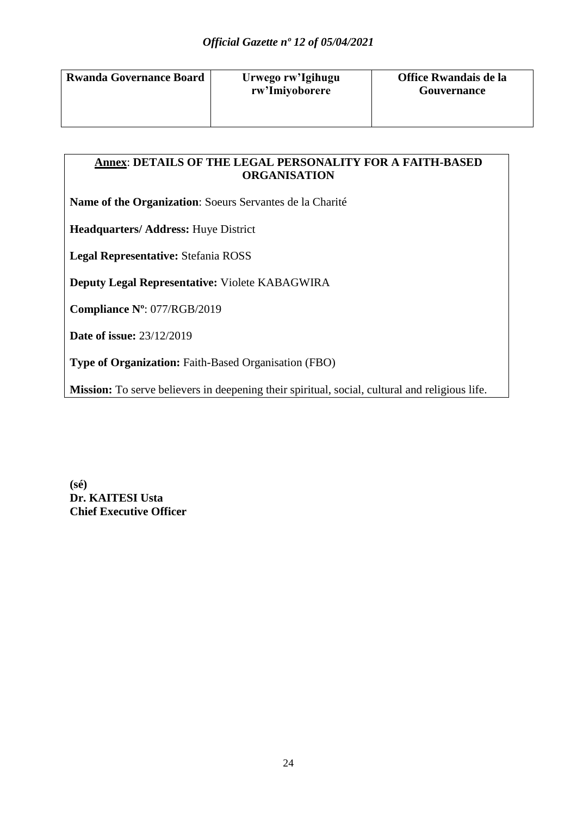| <b>Rwanda Governance Board</b> |  |
|--------------------------------|--|
|                                |  |
|                                |  |

## **Annex**: **DETAILS OF THE LEGAL PERSONALITY FOR A FAITH-BASED ORGANISATION**

**Name of the Organization**: Soeurs Servantes de la Charité

**Headquarters/ Address:** Huye District

**Legal Representative:** Stefania ROSS

**Deputy Legal Representative:** Violete KABAGWIRA

**Compliance Nº**: 077/RGB/2019

**Date of issue:** 23/12/2019

**Type of Organization:** Faith-Based Organisation (FBO)

**Mission:** To serve believers in deepening their spiritual, social, cultural and religious life.

**(sé) Dr. KAITESI Usta Chief Executive Officer**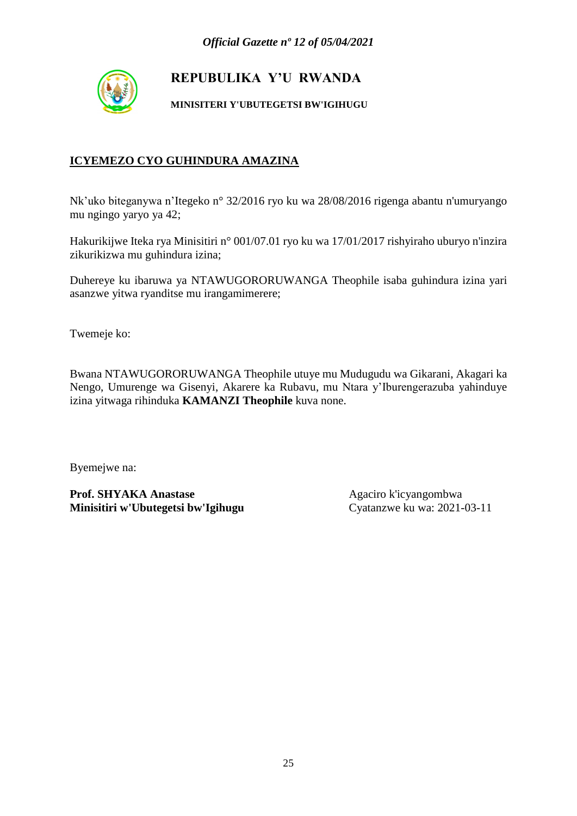

**MINISITERI Y'UBUTEGETSI BW'IGIHUGU**

### **ICYEMEZO CYO GUHINDURA AMAZINA**

Nk'uko biteganywa n'Itegeko n° 32/2016 ryo ku wa 28/08/2016 rigenga abantu n'umuryango mu ngingo yaryo ya 42;

Hakurikijwe Iteka rya Minisitiri n° 001/07.01 ryo ku wa 17/01/2017 rishyiraho uburyo n'inzira zikurikizwa mu guhindura izina;

Duhereye ku ibaruwa ya NTAWUGORORUWANGA Theophile isaba guhindura izina yari asanzwe yitwa ryanditse mu irangamimerere;

Twemeje ko:

Bwana NTAWUGORORUWANGA Theophile utuye mu Mudugudu wa Gikarani, Akagari ka Nengo, Umurenge wa Gisenyi, Akarere ka Rubavu, mu Ntara y'Iburengerazuba yahinduye izina yitwaga rihinduka **KAMANZI Theophile** kuva none.

Byemejwe na: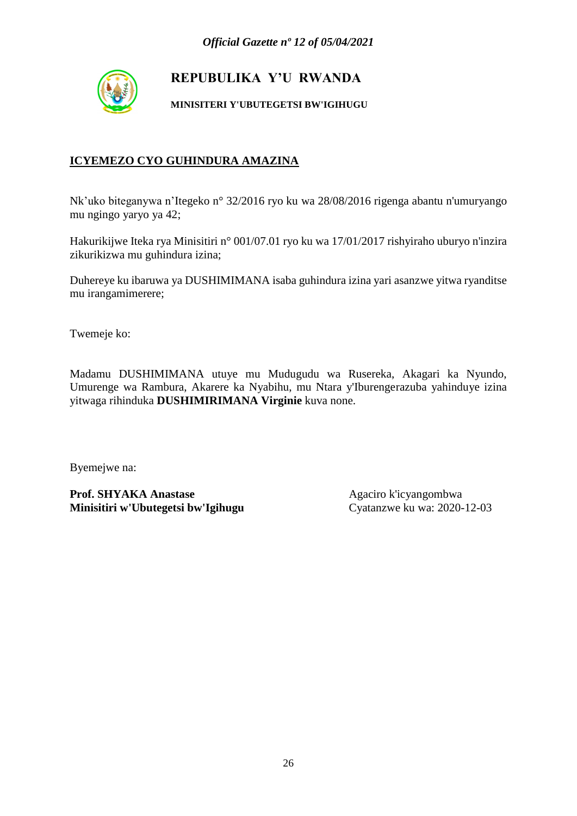

**MINISITERI Y'UBUTEGETSI BW'IGIHUGU**

### **ICYEMEZO CYO GUHINDURA AMAZINA**

Nk'uko biteganywa n'Itegeko n° 32/2016 ryo ku wa 28/08/2016 rigenga abantu n'umuryango mu ngingo yaryo ya 42;

Hakurikijwe Iteka rya Minisitiri n° 001/07.01 ryo ku wa 17/01/2017 rishyiraho uburyo n'inzira zikurikizwa mu guhindura izina;

Duhereye ku ibaruwa ya DUSHIMIMANA isaba guhindura izina yari asanzwe yitwa ryanditse mu irangamimerere;

Twemeje ko:

Madamu DUSHIMIMANA utuye mu Mudugudu wa Rusereka, Akagari ka Nyundo, Umurenge wa Rambura, Akarere ka Nyabihu, mu Ntara y'Iburengerazuba yahinduye izina yitwaga rihinduka **DUSHIMIRIMANA Virginie** kuva none.

Byemejwe na: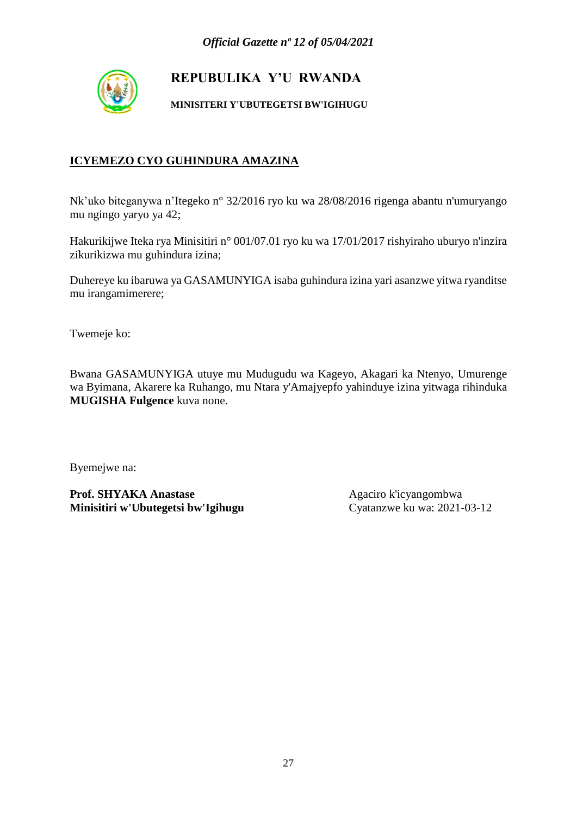

**MINISITERI Y'UBUTEGETSI BW'IGIHUGU**

### **ICYEMEZO CYO GUHINDURA AMAZINA**

Nk'uko biteganywa n'Itegeko n° 32/2016 ryo ku wa 28/08/2016 rigenga abantu n'umuryango mu ngingo yaryo ya 42;

Hakurikijwe Iteka rya Minisitiri n° 001/07.01 ryo ku wa 17/01/2017 rishyiraho uburyo n'inzira zikurikizwa mu guhindura izina;

Duhereye ku ibaruwa ya GASAMUNYIGA isaba guhindura izina yari asanzwe yitwa ryanditse mu irangamimerere;

Twemeje ko:

Bwana GASAMUNYIGA utuye mu Mudugudu wa Kageyo, Akagari ka Ntenyo, Umurenge wa Byimana, Akarere ka Ruhango, mu Ntara y'Amajyepfo yahinduye izina yitwaga rihinduka **MUGISHA Fulgence** kuva none.

Byemejwe na: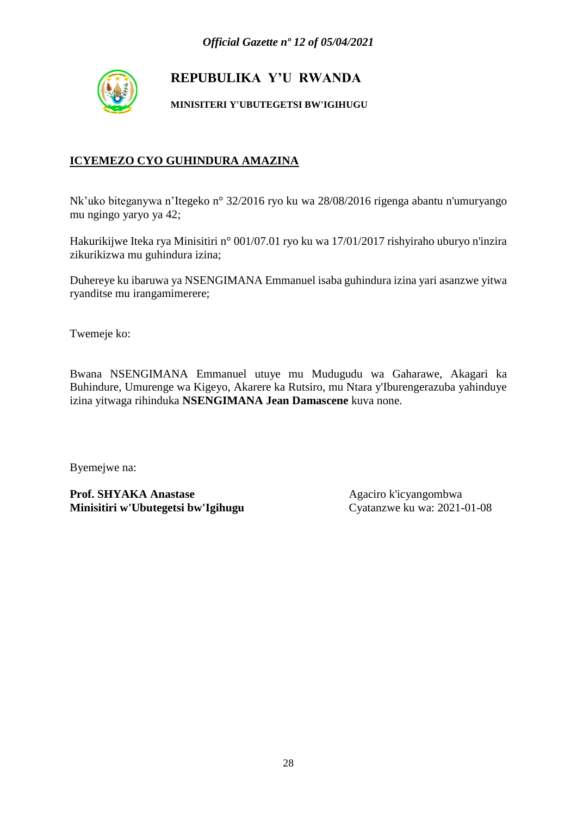

**MINISITERI Y'UBUTEGETSI BW'IGIHUGU**

### **ICYEMEZO CYO GUHINDURA AMAZINA**

Nk'uko biteganywa n'Itegeko n° 32/2016 ryo ku wa 28/08/2016 rigenga abantu n'umuryango mu ngingo yaryo ya 42;

Hakurikijwe Iteka rya Minisitiri n° 001/07.01 ryo ku wa 17/01/2017 rishyiraho uburyo n'inzira zikurikizwa mu guhindura izina;

Duhereye ku ibaruwa ya NSENGIMANA Emmanuel isaba guhindura izina yari asanzwe yitwa ryanditse mu irangamimerere;

Twemeje ko:

Bwana NSENGIMANA Emmanuel utuye mu Mudugudu wa Gaharawe, Akagari ka Buhindure, Umurenge wa Kigeyo, Akarere ka Rutsiro, mu Ntara y'Iburengerazuba yahinduye izina yitwaga rihinduka **NSENGIMANA Jean Damascene** kuva none.

Byemejwe na: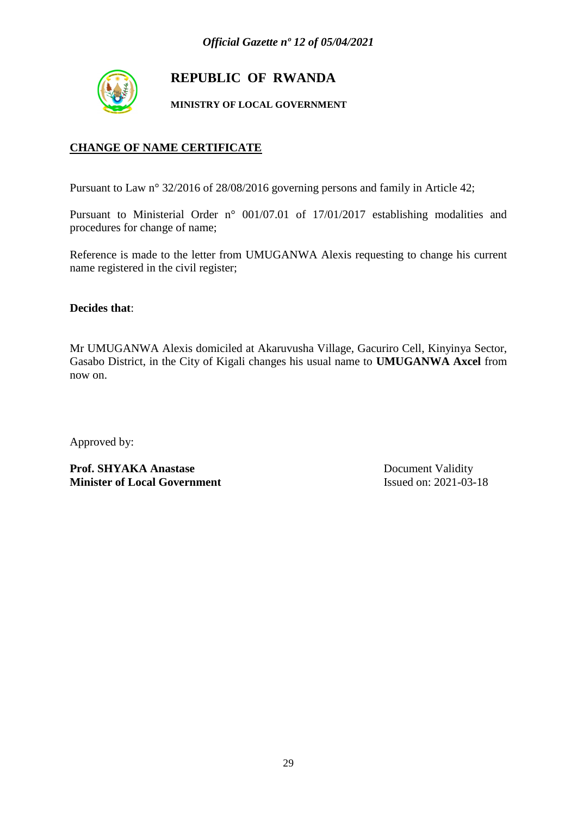

## **REPUBLIC OF RWANDA**

**MINISTRY OF LOCAL GOVERNMENT**

### **CHANGE OF NAME CERTIFICATE**

Pursuant to Law n° 32/2016 of 28/08/2016 governing persons and family in Article 42;

Pursuant to Ministerial Order n° 001/07.01 of 17/01/2017 establishing modalities and procedures for change of name;

Reference is made to the letter from UMUGANWA Alexis requesting to change his current name registered in the civil register;

**Decides that**:

Mr UMUGANWA Alexis domiciled at Akaruvusha Village, Gacuriro Cell, Kinyinya Sector, Gasabo District, in the City of Kigali changes his usual name to **UMUGANWA Axcel** from now on.

Approved by:

**Prof. SHYAKA Anastase** Document Validity **Minister of Local Government** Issued on: 2021-03-18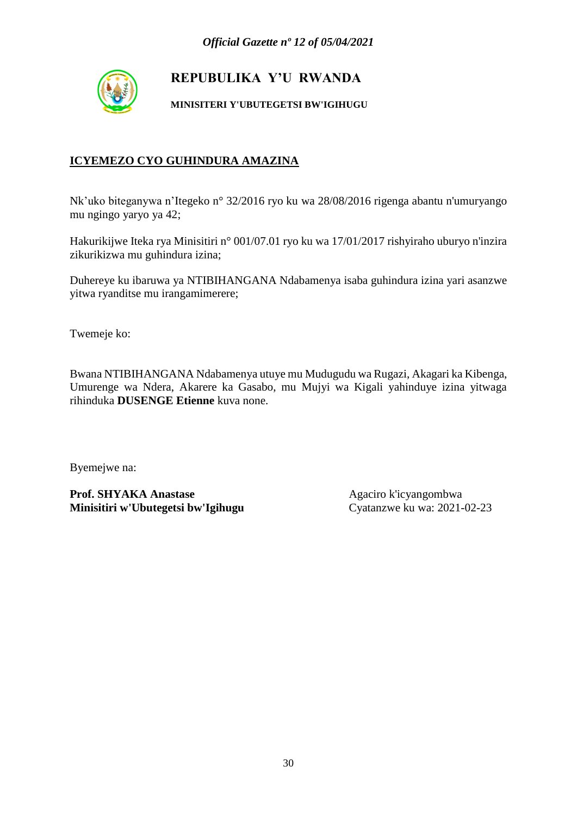

**MINISITERI Y'UBUTEGETSI BW'IGIHUGU**

### **ICYEMEZO CYO GUHINDURA AMAZINA**

Nk'uko biteganywa n'Itegeko n° 32/2016 ryo ku wa 28/08/2016 rigenga abantu n'umuryango mu ngingo yaryo ya 42;

Hakurikijwe Iteka rya Minisitiri n° 001/07.01 ryo ku wa 17/01/2017 rishyiraho uburyo n'inzira zikurikizwa mu guhindura izina;

Duhereye ku ibaruwa ya NTIBIHANGANA Ndabamenya isaba guhindura izina yari asanzwe yitwa ryanditse mu irangamimerere;

Twemeje ko:

Bwana NTIBIHANGANA Ndabamenya utuye mu Mudugudu wa Rugazi, Akagari ka Kibenga, Umurenge wa Ndera, Akarere ka Gasabo, mu Mujyi wa Kigali yahinduye izina yitwaga rihinduka **DUSENGE Etienne** kuva none.

Byemejwe na: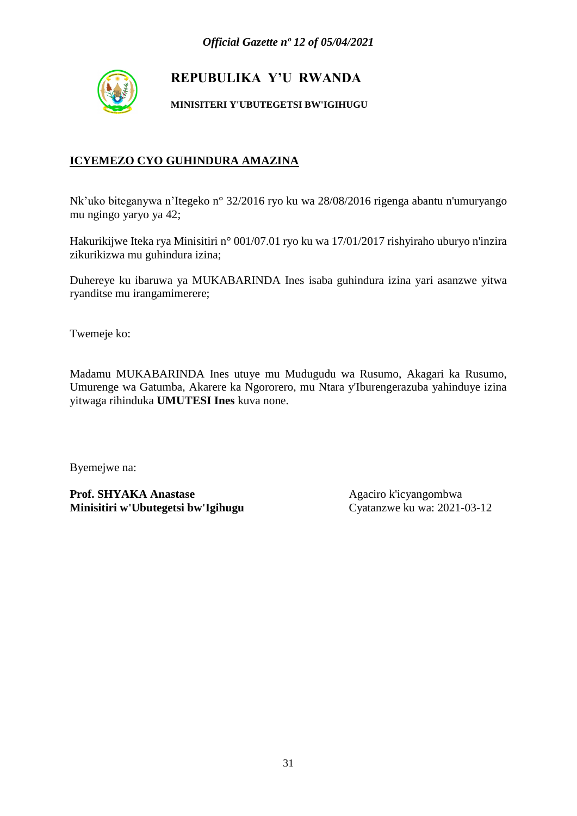

**MINISITERI Y'UBUTEGETSI BW'IGIHUGU**

### **ICYEMEZO CYO GUHINDURA AMAZINA**

Nk'uko biteganywa n'Itegeko n° 32/2016 ryo ku wa 28/08/2016 rigenga abantu n'umuryango mu ngingo yaryo ya 42;

Hakurikijwe Iteka rya Minisitiri n° 001/07.01 ryo ku wa 17/01/2017 rishyiraho uburyo n'inzira zikurikizwa mu guhindura izina;

Duhereye ku ibaruwa ya MUKABARINDA Ines isaba guhindura izina yari asanzwe yitwa ryanditse mu irangamimerere;

Twemeje ko:

Madamu MUKABARINDA Ines utuye mu Mudugudu wa Rusumo, Akagari ka Rusumo, Umurenge wa Gatumba, Akarere ka Ngororero, mu Ntara y'Iburengerazuba yahinduye izina yitwaga rihinduka **UMUTESI Ines** kuva none.

Byemejwe na: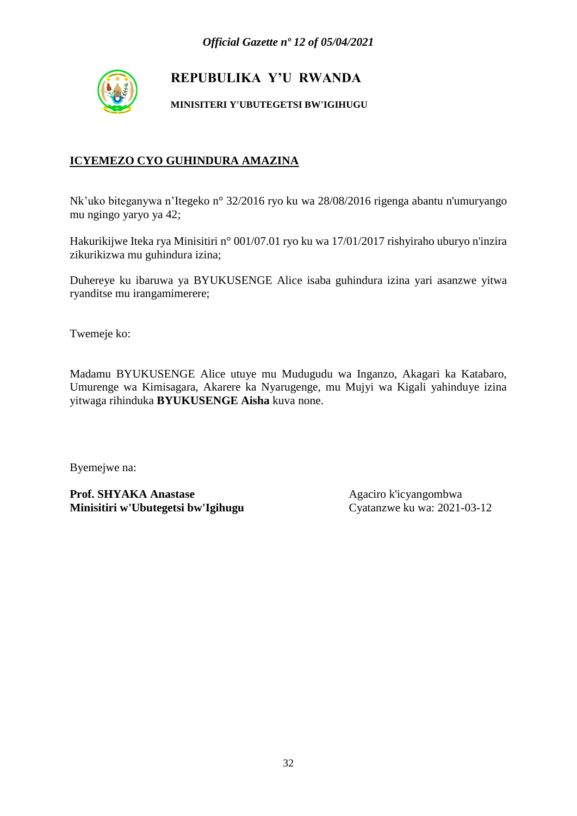

**MINISITERI Y'UBUTEGETSI BW'IGIHUGU**

### **ICYEMEZO CYO GUHINDURA AMAZINA**

Nk'uko biteganywa n'Itegeko n° 32/2016 ryo ku wa 28/08/2016 rigenga abantu n'umuryango mu ngingo yaryo ya 42;

Hakurikijwe Iteka rya Minisitiri n° 001/07.01 ryo ku wa 17/01/2017 rishyiraho uburyo n'inzira zikurikizwa mu guhindura izina;

Duhereye ku ibaruwa ya BYUKUSENGE Alice isaba guhindura izina yari asanzwe yitwa ryanditse mu irangamimerere;

Twemeje ko:

Madamu BYUKUSENGE Alice utuye mu Mudugudu wa Inganzo, Akagari ka Katabaro, Umurenge wa Kimisagara, Akarere ka Nyarugenge, mu Mujyi wa Kigali yahinduye izina yitwaga rihinduka **BYUKUSENGE Aisha** kuva none.

Byemejwe na: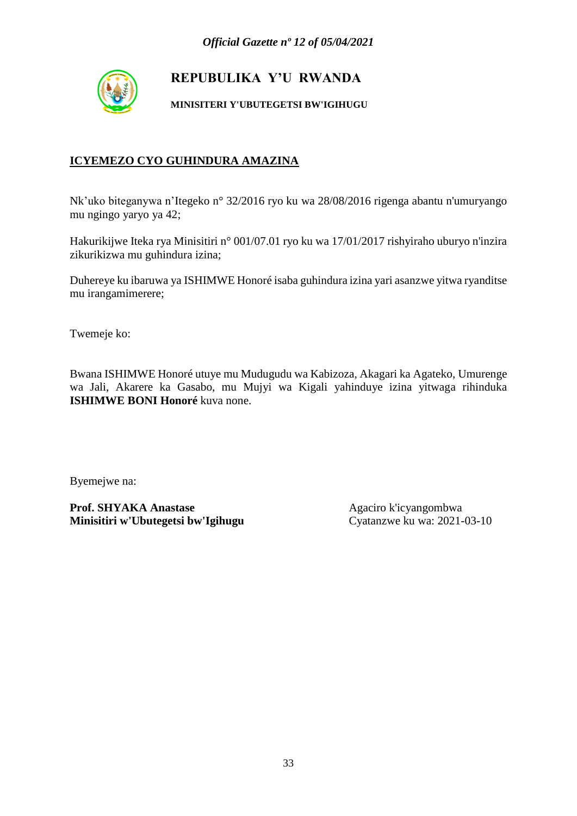

**MINISITERI Y'UBUTEGETSI BW'IGIHUGU**

### **ICYEMEZO CYO GUHINDURA AMAZINA**

Nk'uko biteganywa n'Itegeko n° 32/2016 ryo ku wa 28/08/2016 rigenga abantu n'umuryango mu ngingo yaryo ya 42;

Hakurikijwe Iteka rya Minisitiri n° 001/07.01 ryo ku wa 17/01/2017 rishyiraho uburyo n'inzira zikurikizwa mu guhindura izina;

Duhereye ku ibaruwa ya ISHIMWE Honoré isaba guhindura izina yari asanzwe yitwa ryanditse mu irangamimerere;

Twemeje ko:

Bwana ISHIMWE Honoré utuye mu Mudugudu wa Kabizoza, Akagari ka Agateko, Umurenge wa Jali, Akarere ka Gasabo, mu Mujyi wa Kigali yahinduye izina yitwaga rihinduka **ISHIMWE BONI Honoré** kuva none.

Byemejwe na: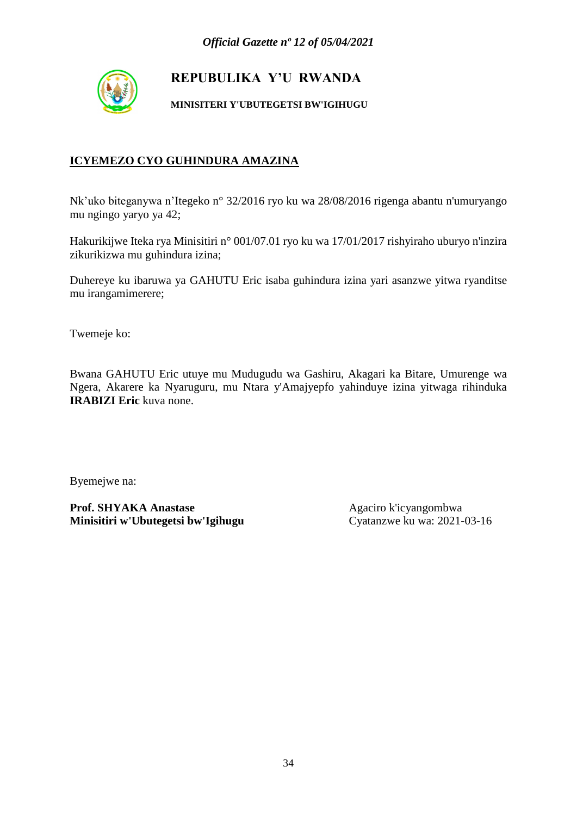

**MINISITERI Y'UBUTEGETSI BW'IGIHUGU**

### **ICYEMEZO CYO GUHINDURA AMAZINA**

Nk'uko biteganywa n'Itegeko n° 32/2016 ryo ku wa 28/08/2016 rigenga abantu n'umuryango mu ngingo yaryo ya 42;

Hakurikijwe Iteka rya Minisitiri n° 001/07.01 ryo ku wa 17/01/2017 rishyiraho uburyo n'inzira zikurikizwa mu guhindura izina;

Duhereye ku ibaruwa ya GAHUTU Eric isaba guhindura izina yari asanzwe yitwa ryanditse mu irangamimerere;

Twemeje ko:

Bwana GAHUTU Eric utuye mu Mudugudu wa Gashiru, Akagari ka Bitare, Umurenge wa Ngera, Akarere ka Nyaruguru, mu Ntara y'Amajyepfo yahinduye izina yitwaga rihinduka **IRABIZI Eric** kuva none.

Byemejwe na: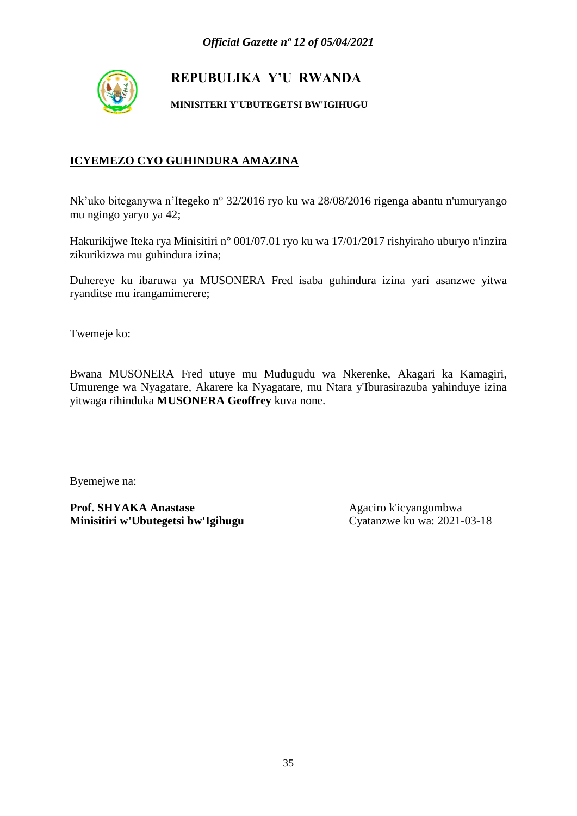

**MINISITERI Y'UBUTEGETSI BW'IGIHUGU**

#### **ICYEMEZO CYO GUHINDURA AMAZINA**

Nk'uko biteganywa n'Itegeko n° 32/2016 ryo ku wa 28/08/2016 rigenga abantu n'umuryango mu ngingo yaryo ya 42;

Hakurikijwe Iteka rya Minisitiri n° 001/07.01 ryo ku wa 17/01/2017 rishyiraho uburyo n'inzira zikurikizwa mu guhindura izina;

Duhereye ku ibaruwa ya MUSONERA Fred isaba guhindura izina yari asanzwe yitwa ryanditse mu irangamimerere;

Twemeje ko:

Bwana MUSONERA Fred utuye mu Mudugudu wa Nkerenke, Akagari ka Kamagiri, Umurenge wa Nyagatare, Akarere ka Nyagatare, mu Ntara y'Iburasirazuba yahinduye izina yitwaga rihinduka **MUSONERA Geoffrey** kuva none.

Byemejwe na: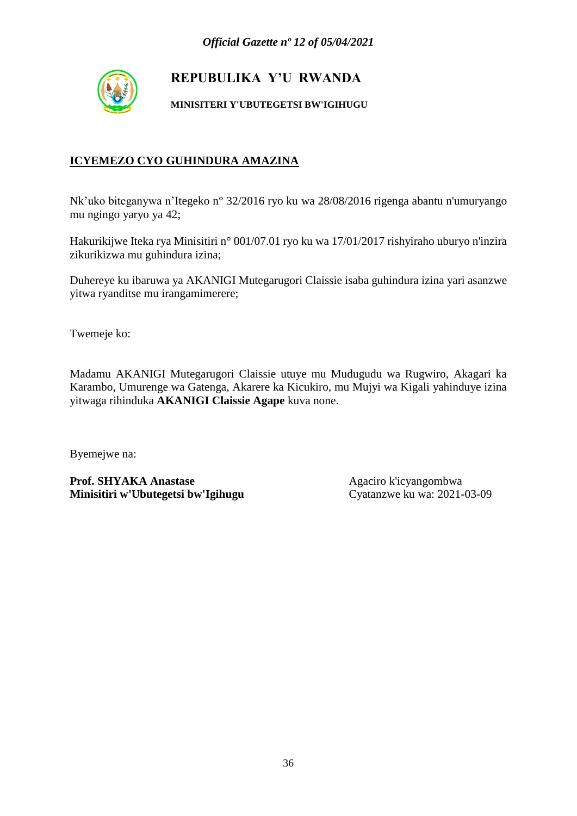

**MINISITERI Y'UBUTEGETSI BW'IGIHUGU**

### **ICYEMEZO CYO GUHINDURA AMAZINA**

Nk'uko biteganywa n'Itegeko n° 32/2016 ryo ku wa 28/08/2016 rigenga abantu n'umuryango mu ngingo yaryo ya 42;

Hakurikijwe Iteka rya Minisitiri n° 001/07.01 ryo ku wa 17/01/2017 rishyiraho uburyo n'inzira zikurikizwa mu guhindura izina;

Duhereye ku ibaruwa ya AKANIGI Mutegarugori Claissie isaba guhindura izina yari asanzwe yitwa ryanditse mu irangamimerere;

Twemeje ko:

Madamu AKANIGI Mutegarugori Claissie utuye mu Mudugudu wa Rugwiro, Akagari ka Karambo, Umurenge wa Gatenga, Akarere ka Kicukiro, mu Mujyi wa Kigali yahinduye izina yitwaga rihinduka **AKANIGI Claissie Agape** kuva none.

Byemejwe na: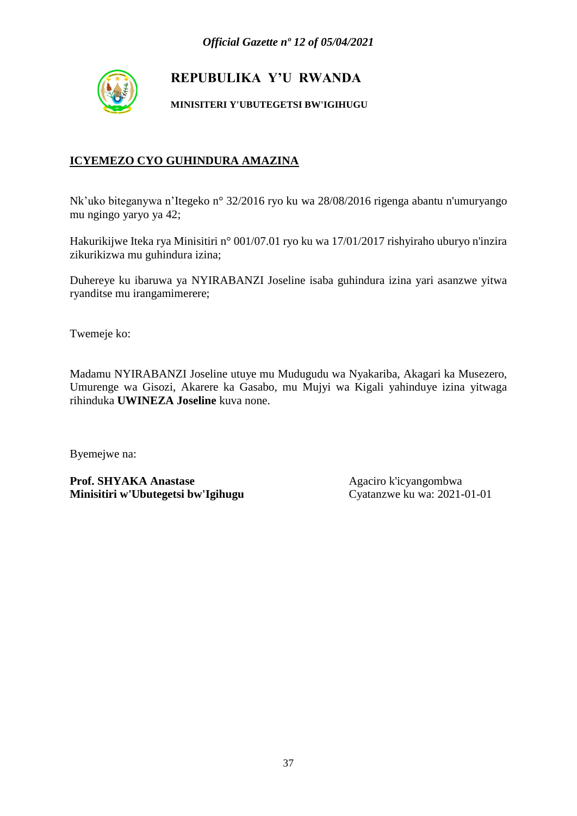

**MINISITERI Y'UBUTEGETSI BW'IGIHUGU**

## **ICYEMEZO CYO GUHINDURA AMAZINA**

Nk'uko biteganywa n'Itegeko n° 32/2016 ryo ku wa 28/08/2016 rigenga abantu n'umuryango mu ngingo yaryo ya 42;

Hakurikijwe Iteka rya Minisitiri n° 001/07.01 ryo ku wa 17/01/2017 rishyiraho uburyo n'inzira zikurikizwa mu guhindura izina;

Duhereye ku ibaruwa ya NYIRABANZI Joseline isaba guhindura izina yari asanzwe yitwa ryanditse mu irangamimerere;

Twemeje ko:

Madamu NYIRABANZI Joseline utuye mu Mudugudu wa Nyakariba, Akagari ka Musezero, Umurenge wa Gisozi, Akarere ka Gasabo, mu Mujyi wa Kigali yahinduye izina yitwaga rihinduka **UWINEZA Joseline** kuva none.

Byemejwe na: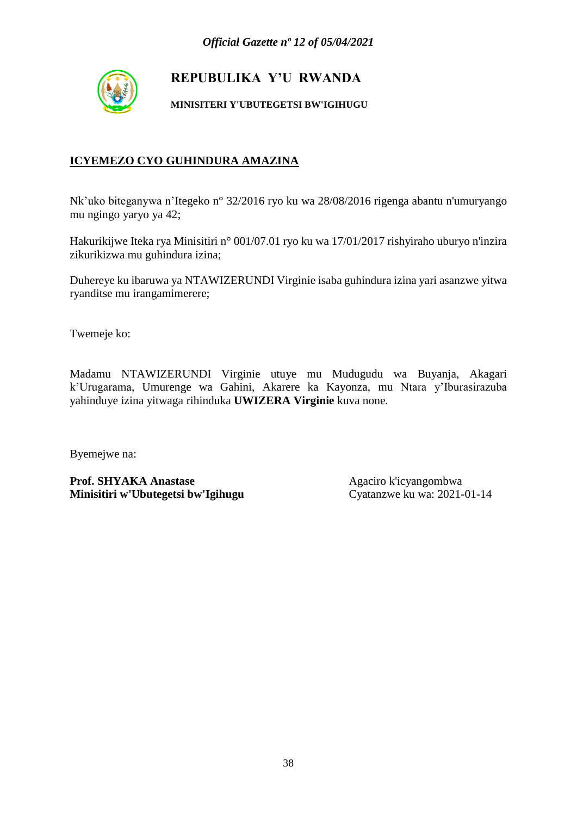

**MINISITERI Y'UBUTEGETSI BW'IGIHUGU**

## **ICYEMEZO CYO GUHINDURA AMAZINA**

Nk'uko biteganywa n'Itegeko n° 32/2016 ryo ku wa 28/08/2016 rigenga abantu n'umuryango mu ngingo yaryo ya 42;

Hakurikijwe Iteka rya Minisitiri n° 001/07.01 ryo ku wa 17/01/2017 rishyiraho uburyo n'inzira zikurikizwa mu guhindura izina;

Duhereye ku ibaruwa ya NTAWIZERUNDI Virginie isaba guhindura izina yari asanzwe yitwa ryanditse mu irangamimerere;

Twemeje ko:

Madamu NTAWIZERUNDI Virginie utuye mu Mudugudu wa Buyanja, Akagari k'Urugarama, Umurenge wa Gahini, Akarere ka Kayonza, mu Ntara y'Iburasirazuba yahinduye izina yitwaga rihinduka **UWIZERA Virginie** kuva none.

Byemejwe na: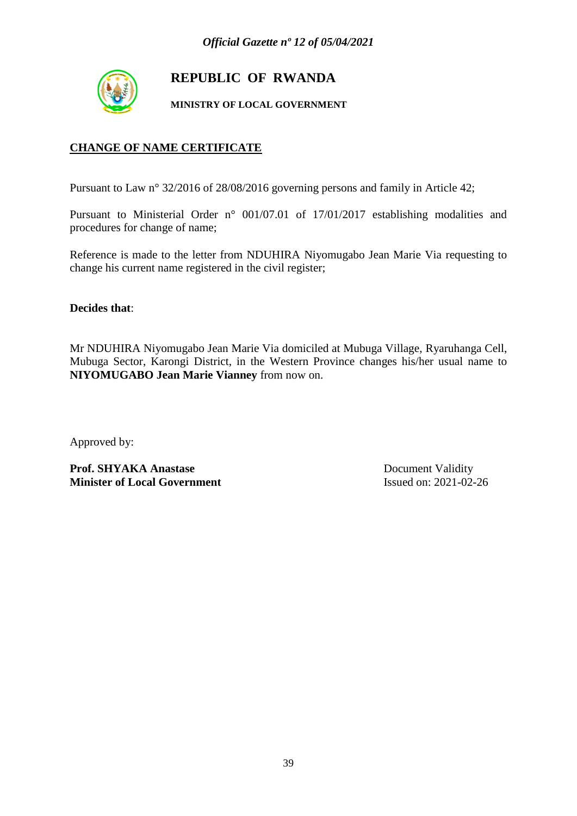

## **REPUBLIC OF RWANDA**

**MINISTRY OF LOCAL GOVERNMENT**

## **CHANGE OF NAME CERTIFICATE**

Pursuant to Law n° 32/2016 of 28/08/2016 governing persons and family in Article 42;

Pursuant to Ministerial Order n° 001/07.01 of 17/01/2017 establishing modalities and procedures for change of name;

Reference is made to the letter from NDUHIRA Niyomugabo Jean Marie Via requesting to change his current name registered in the civil register;

**Decides that**:

Mr NDUHIRA Niyomugabo Jean Marie Via domiciled at Mubuga Village, Ryaruhanga Cell, Mubuga Sector, Karongi District, in the Western Province changes his/her usual name to **NIYOMUGABO Jean Marie Vianney** from now on.

Approved by:

**Prof. SHYAKA Anastase** Document Validity **Minister of Local Government** Issued on: 2021-02-26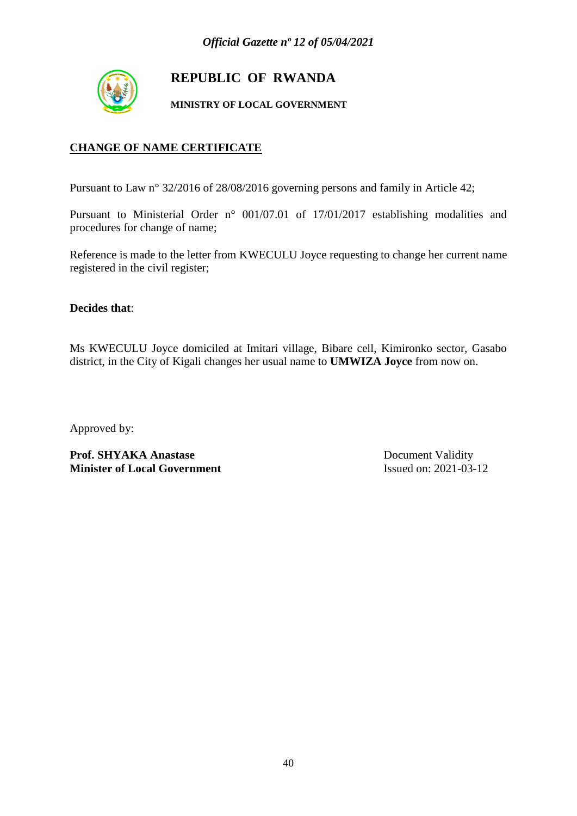

## **REPUBLIC OF RWANDA**

**MINISTRY OF LOCAL GOVERNMENT**

## **CHANGE OF NAME CERTIFICATE**

Pursuant to Law n° 32/2016 of 28/08/2016 governing persons and family in Article 42;

Pursuant to Ministerial Order n° 001/07.01 of 17/01/2017 establishing modalities and procedures for change of name;

Reference is made to the letter from KWECULU Joyce requesting to change her current name registered in the civil register;

**Decides that**:

Ms KWECULU Joyce domiciled at Imitari village, Bibare cell, Kimironko sector, Gasabo district, in the City of Kigali changes her usual name to **UMWIZA Joyce** from now on.

Approved by:

Prof. SHYAKA Anastase Document Validity **Minister of Local Government** Issued on: 2021-03-12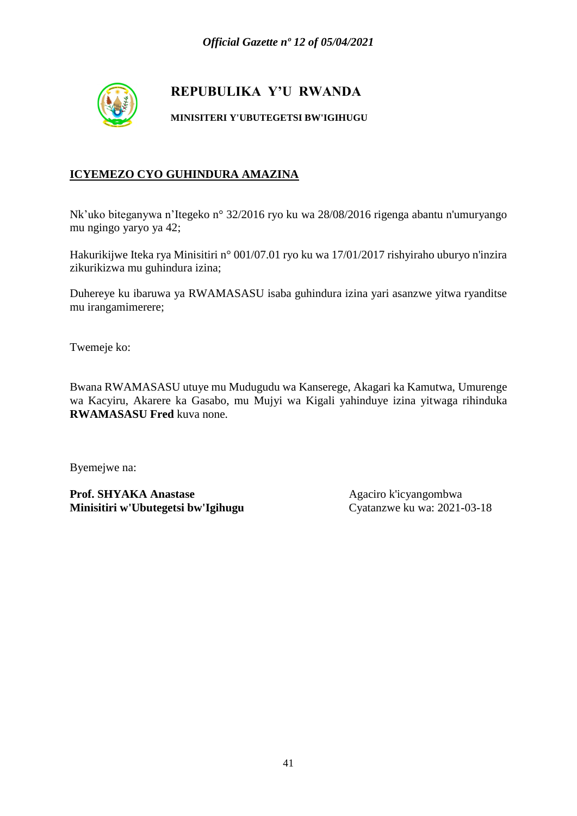

**MINISITERI Y'UBUTEGETSI BW'IGIHUGU**

## **ICYEMEZO CYO GUHINDURA AMAZINA**

Nk'uko biteganywa n'Itegeko n° 32/2016 ryo ku wa 28/08/2016 rigenga abantu n'umuryango mu ngingo yaryo ya 42;

Hakurikijwe Iteka rya Minisitiri n° 001/07.01 ryo ku wa 17/01/2017 rishyiraho uburyo n'inzira zikurikizwa mu guhindura izina;

Duhereye ku ibaruwa ya RWAMASASU isaba guhindura izina yari asanzwe yitwa ryanditse mu irangamimerere;

Twemeje ko:

Bwana RWAMASASU utuye mu Mudugudu wa Kanserege, Akagari ka Kamutwa, Umurenge wa Kacyiru, Akarere ka Gasabo, mu Mujyi wa Kigali yahinduye izina yitwaga rihinduka **RWAMASASU Fred** kuva none.

Byemejwe na: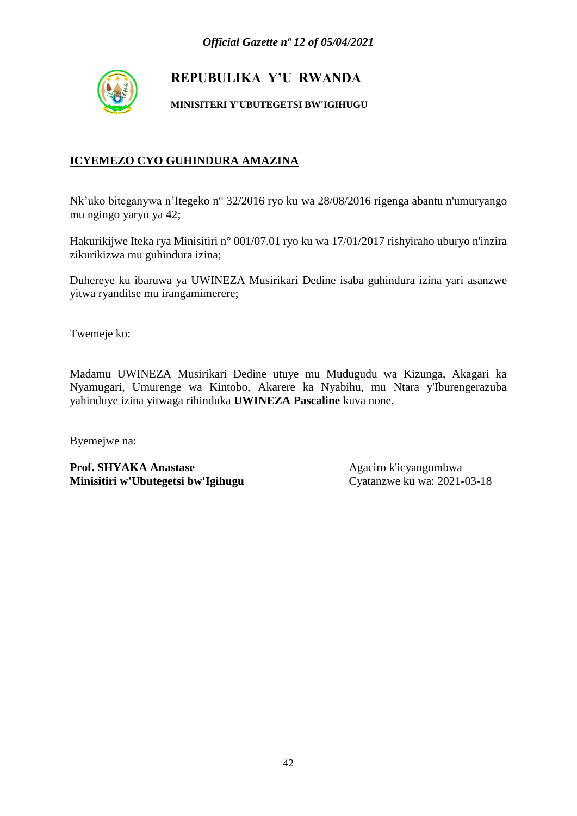

**MINISITERI Y'UBUTEGETSI BW'IGIHUGU**

### **ICYEMEZO CYO GUHINDURA AMAZINA**

Nk'uko biteganywa n'Itegeko n° 32/2016 ryo ku wa 28/08/2016 rigenga abantu n'umuryango mu ngingo yaryo ya 42;

Hakurikijwe Iteka rya Minisitiri n° 001/07.01 ryo ku wa 17/01/2017 rishyiraho uburyo n'inzira zikurikizwa mu guhindura izina;

Duhereye ku ibaruwa ya UWINEZA Musirikari Dedine isaba guhindura izina yari asanzwe yitwa ryanditse mu irangamimerere;

Twemeje ko:

Madamu UWINEZA Musirikari Dedine utuye mu Mudugudu wa Kizunga, Akagari ka Nyamugari, Umurenge wa Kintobo, Akarere ka Nyabihu, mu Ntara y'Iburengerazuba yahinduye izina yitwaga rihinduka **UWINEZA Pascaline** kuva none.

Byemejwe na: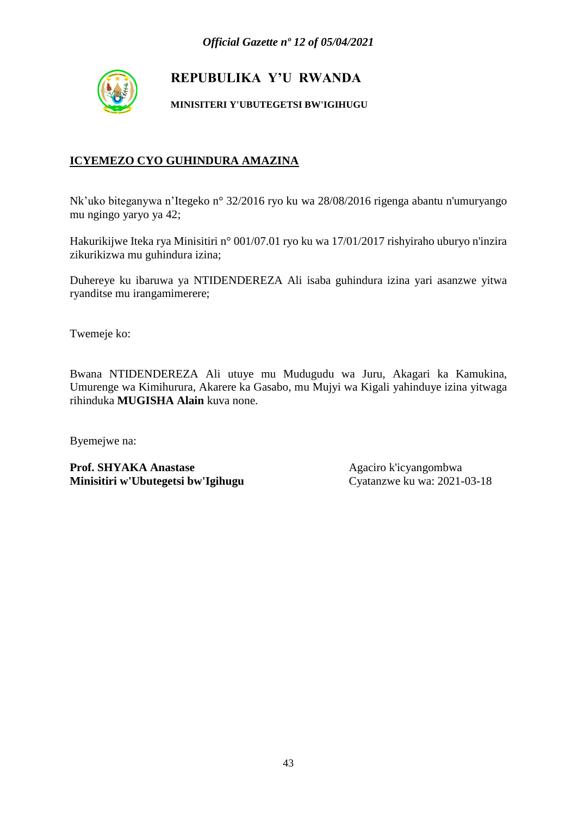

**MINISITERI Y'UBUTEGETSI BW'IGIHUGU**

## **ICYEMEZO CYO GUHINDURA AMAZINA**

Nk'uko biteganywa n'Itegeko n° 32/2016 ryo ku wa 28/08/2016 rigenga abantu n'umuryango mu ngingo yaryo ya 42;

Hakurikijwe Iteka rya Minisitiri n° 001/07.01 ryo ku wa 17/01/2017 rishyiraho uburyo n'inzira zikurikizwa mu guhindura izina;

Duhereye ku ibaruwa ya NTIDENDEREZA Ali isaba guhindura izina yari asanzwe yitwa ryanditse mu irangamimerere;

Twemeje ko:

Bwana NTIDENDEREZA Ali utuye mu Mudugudu wa Juru, Akagari ka Kamukina, Umurenge wa Kimihurura, Akarere ka Gasabo, mu Mujyi wa Kigali yahinduye izina yitwaga rihinduka **MUGISHA Alain** kuva none.

Byemejwe na: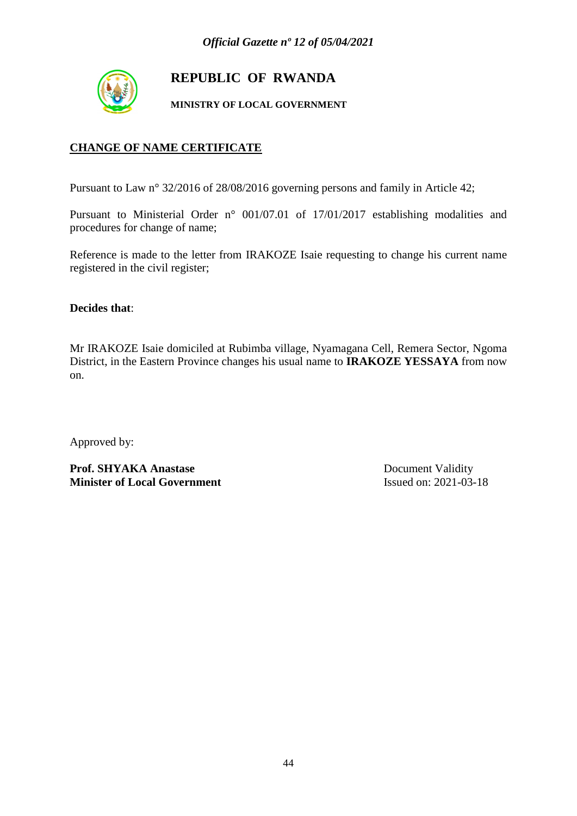

## **REPUBLIC OF RWANDA**

**MINISTRY OF LOCAL GOVERNMENT**

## **CHANGE OF NAME CERTIFICATE**

Pursuant to Law n° 32/2016 of 28/08/2016 governing persons and family in Article 42;

Pursuant to Ministerial Order n° 001/07.01 of 17/01/2017 establishing modalities and procedures for change of name;

Reference is made to the letter from IRAKOZE Isaie requesting to change his current name registered in the civil register;

**Decides that**:

Mr IRAKOZE Isaie domiciled at Rubimba village, Nyamagana Cell, Remera Sector, Ngoma District, in the Eastern Province changes his usual name to **IRAKOZE YESSAYA** from now on.

Approved by:

**Prof. SHYAKA Anastase** Document Validity **Minister of Local Government** Issued on: 2021-03-18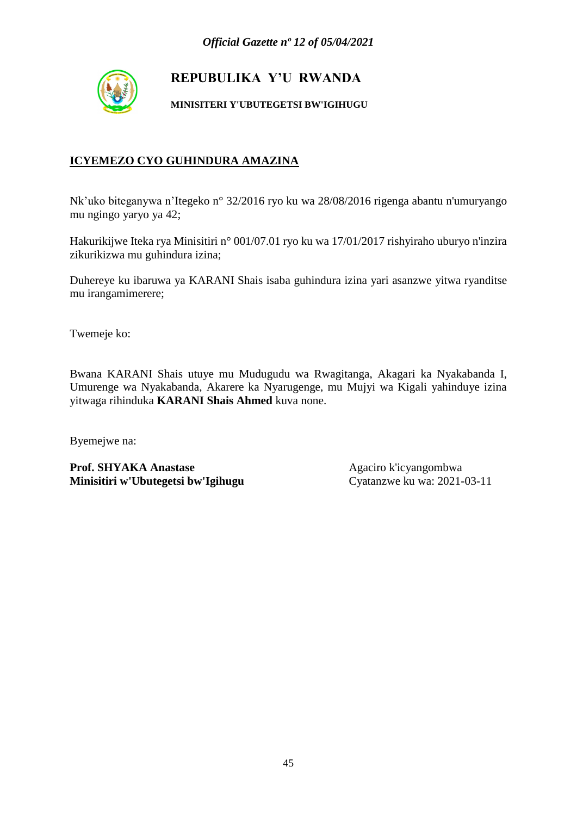

**MINISITERI Y'UBUTEGETSI BW'IGIHUGU**

## **ICYEMEZO CYO GUHINDURA AMAZINA**

Nk'uko biteganywa n'Itegeko n° 32/2016 ryo ku wa 28/08/2016 rigenga abantu n'umuryango mu ngingo yaryo ya 42;

Hakurikijwe Iteka rya Minisitiri n° 001/07.01 ryo ku wa 17/01/2017 rishyiraho uburyo n'inzira zikurikizwa mu guhindura izina;

Duhereye ku ibaruwa ya KARANI Shais isaba guhindura izina yari asanzwe yitwa ryanditse mu irangamimerere;

Twemeje ko:

Bwana KARANI Shais utuye mu Mudugudu wa Rwagitanga, Akagari ka Nyakabanda I, Umurenge wa Nyakabanda, Akarere ka Nyarugenge, mu Mujyi wa Kigali yahinduye izina yitwaga rihinduka **KARANI Shais Ahmed** kuva none.

Byemejwe na: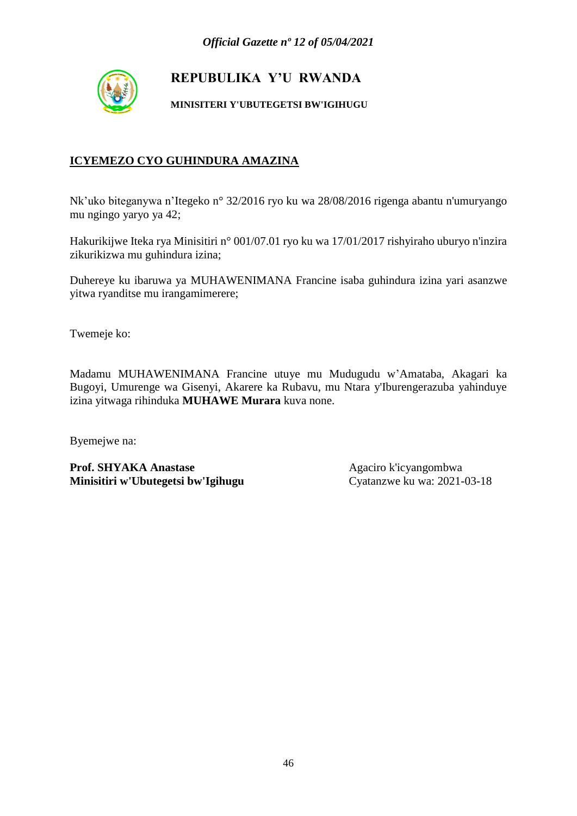

**MINISITERI Y'UBUTEGETSI BW'IGIHUGU**

## **ICYEMEZO CYO GUHINDURA AMAZINA**

Nk'uko biteganywa n'Itegeko n° 32/2016 ryo ku wa 28/08/2016 rigenga abantu n'umuryango mu ngingo yaryo ya 42;

Hakurikijwe Iteka rya Minisitiri n° 001/07.01 ryo ku wa 17/01/2017 rishyiraho uburyo n'inzira zikurikizwa mu guhindura izina;

Duhereye ku ibaruwa ya MUHAWENIMANA Francine isaba guhindura izina yari asanzwe yitwa ryanditse mu irangamimerere;

Twemeje ko:

Madamu MUHAWENIMANA Francine utuye mu Mudugudu w'Amataba, Akagari ka Bugoyi, Umurenge wa Gisenyi, Akarere ka Rubavu, mu Ntara y'Iburengerazuba yahinduye izina yitwaga rihinduka **MUHAWE Murara** kuva none.

Byemejwe na: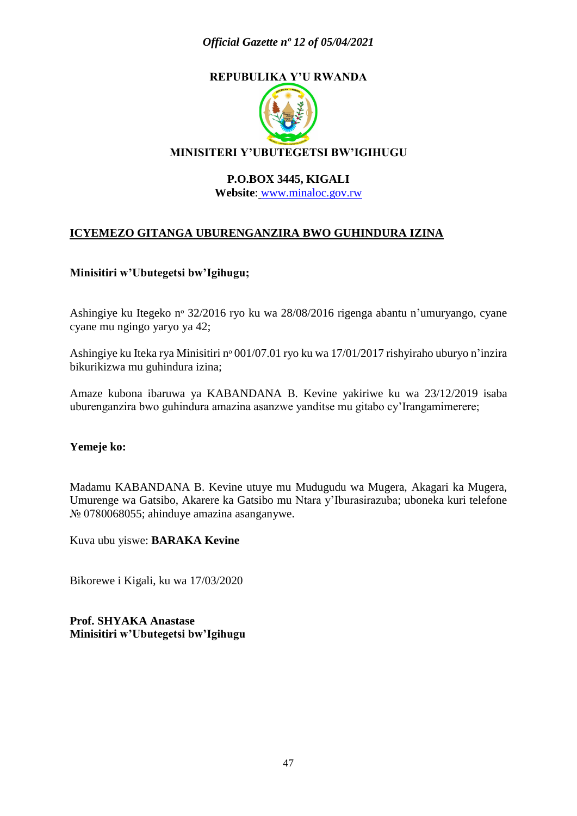### *Official Gazette nº 12 of 05/04/2021*

## **REPUBULIKA Y'U RWANDA**



#### **P.O.BOX 3445, KIGALI**

**Website**: [www.minaloc.gov.rw](http://www.minaloc.gov.rw/)

### **ICYEMEZO GITANGA UBURENGANZIRA BWO GUHINDURA IZINA**

#### **Minisitiri w'Ubutegetsi bw'Igihugu;**

Ashingiye ku Itegeko nᵒ 32/2016 ryo ku wa 28/08/2016 rigenga abantu n'umuryango, cyane cyane mu ngingo yaryo ya 42;

Ashingiye ku Iteka rya Minisitiri nº 001/07.01 ryo ku wa 17/01/2017 rishyiraho uburyo n'inzira bikurikizwa mu guhindura izina;

Amaze kubona ibaruwa ya KABANDANA B. Kevine yakiriwe ku wa 23/12/2019 isaba uburenganzira bwo guhindura amazina asanzwe yanditse mu gitabo cy'Irangamimerere;

#### **Yemeje ko:**

Madamu KABANDANA B. Kevine utuye mu Mudugudu wa Mugera, Akagari ka Mugera, Umurenge wa Gatsibo, Akarere ka Gatsibo mu Ntara y'Iburasirazuba; uboneka kuri telefone № 0780068055; ahinduye amazina asanganywe.

Kuva ubu yiswe: **BARAKA Kevine**

Bikorewe i Kigali, ku wa 17/03/2020

**Prof. SHYAKA Anastase Minisitiri w'Ubutegetsi bw'Igihugu**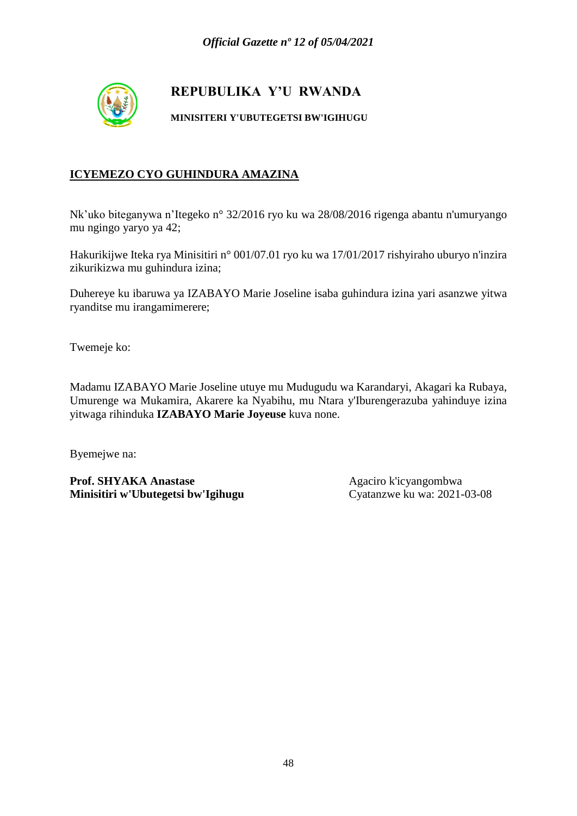

**MINISITERI Y'UBUTEGETSI BW'IGIHUGU**

## **ICYEMEZO CYO GUHINDURA AMAZINA**

Nk'uko biteganywa n'Itegeko n° 32/2016 ryo ku wa 28/08/2016 rigenga abantu n'umuryango mu ngingo yaryo ya 42;

Hakurikijwe Iteka rya Minisitiri n° 001/07.01 ryo ku wa 17/01/2017 rishyiraho uburyo n'inzira zikurikizwa mu guhindura izina;

Duhereye ku ibaruwa ya IZABAYO Marie Joseline isaba guhindura izina yari asanzwe yitwa ryanditse mu irangamimerere;

Twemeje ko:

Madamu IZABAYO Marie Joseline utuye mu Mudugudu wa Karandaryi, Akagari ka Rubaya, Umurenge wa Mukamira, Akarere ka Nyabihu, mu Ntara y'Iburengerazuba yahinduye izina yitwaga rihinduka **IZABAYO Marie Joyeuse** kuva none.

Byemejwe na: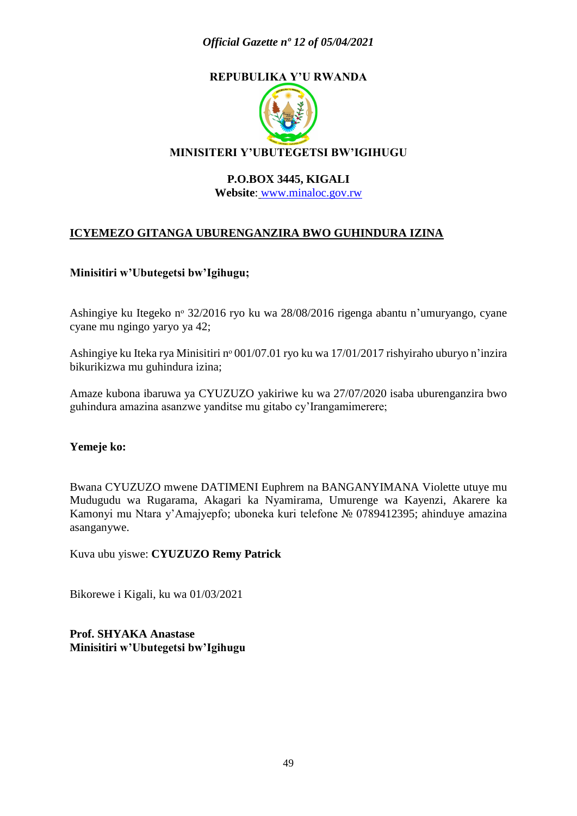### *Official Gazette nº 12 of 05/04/2021*

## **REPUBULIKA Y'U RWANDA**



#### **P.O.BOX 3445, KIGALI**

**Website**: [www.minaloc.gov.rw](http://www.minaloc.gov.rw/)

### **ICYEMEZO GITANGA UBURENGANZIRA BWO GUHINDURA IZINA**

#### **Minisitiri w'Ubutegetsi bw'Igihugu;**

Ashingiye ku Itegeko nᵒ 32/2016 ryo ku wa 28/08/2016 rigenga abantu n'umuryango, cyane cyane mu ngingo yaryo ya 42;

Ashingiye ku Iteka rya Minisitiri nº 001/07.01 ryo ku wa 17/01/2017 rishyiraho uburyo n'inzira bikurikizwa mu guhindura izina;

Amaze kubona ibaruwa ya CYUZUZO yakiriwe ku wa 27/07/2020 isaba uburenganzira bwo guhindura amazina asanzwe yanditse mu gitabo cy'Irangamimerere;

#### **Yemeje ko:**

Bwana CYUZUZO mwene DATIMENI Euphrem na BANGANYIMANA Violette utuye mu Mudugudu wa Rugarama, Akagari ka Nyamirama, Umurenge wa Kayenzi, Akarere ka Kamonyi mu Ntara y'Amajyepfo; uboneka kuri telefone № 0789412395; ahinduye amazina asanganywe.

Kuva ubu yiswe: **CYUZUZO Remy Patrick**

Bikorewe i Kigali, ku wa 01/03/2021

**Prof. SHYAKA Anastase Minisitiri w'Ubutegetsi bw'Igihugu**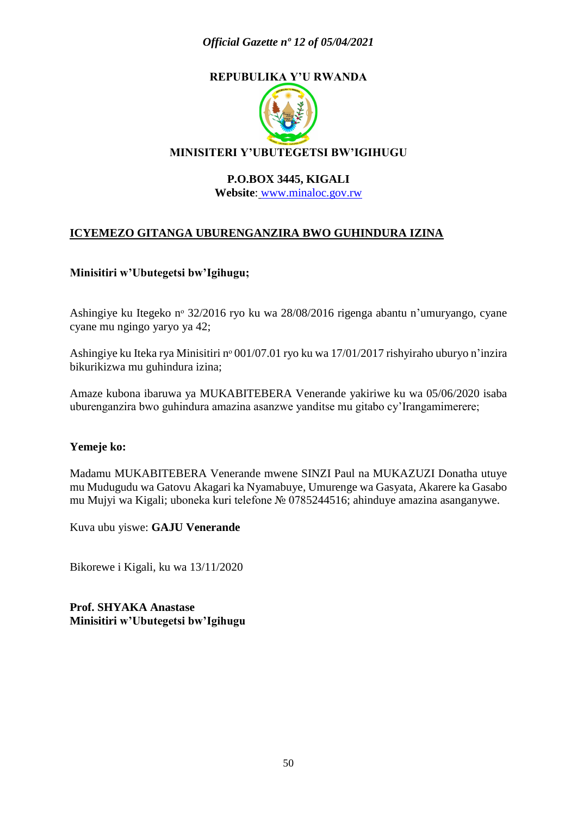### *Official Gazette nº 12 of 05/04/2021*

## **REPUBULIKA Y'U RWANDA**



#### **P.O.BOX 3445, KIGALI**

**Website**: [www.minaloc.gov.rw](http://www.minaloc.gov.rw/)

### **ICYEMEZO GITANGA UBURENGANZIRA BWO GUHINDURA IZINA**

#### **Minisitiri w'Ubutegetsi bw'Igihugu;**

Ashingiye ku Itegeko nᵒ 32/2016 ryo ku wa 28/08/2016 rigenga abantu n'umuryango, cyane cyane mu ngingo yaryo ya 42;

Ashingiye ku Iteka rya Minisitiri nº 001/07.01 ryo ku wa 17/01/2017 rishyiraho uburyo n'inzira bikurikizwa mu guhindura izina;

Amaze kubona ibaruwa ya MUKABITEBERA Venerande yakiriwe ku wa 05/06/2020 isaba uburenganzira bwo guhindura amazina asanzwe yanditse mu gitabo cy'Irangamimerere;

#### **Yemeje ko:**

Madamu MUKABITEBERA Venerande mwene SINZI Paul na MUKAZUZI Donatha utuye mu Mudugudu wa Gatovu Akagari ka Nyamabuye, Umurenge wa Gasyata, Akarere ka Gasabo mu Mujyi wa Kigali; uboneka kuri telefone № 0785244516; ahinduye amazina asanganywe.

Kuva ubu yiswe: **GAJU Venerande**

Bikorewe i Kigali, ku wa 13/11/2020

**Prof. SHYAKA Anastase Minisitiri w'Ubutegetsi bw'Igihugu**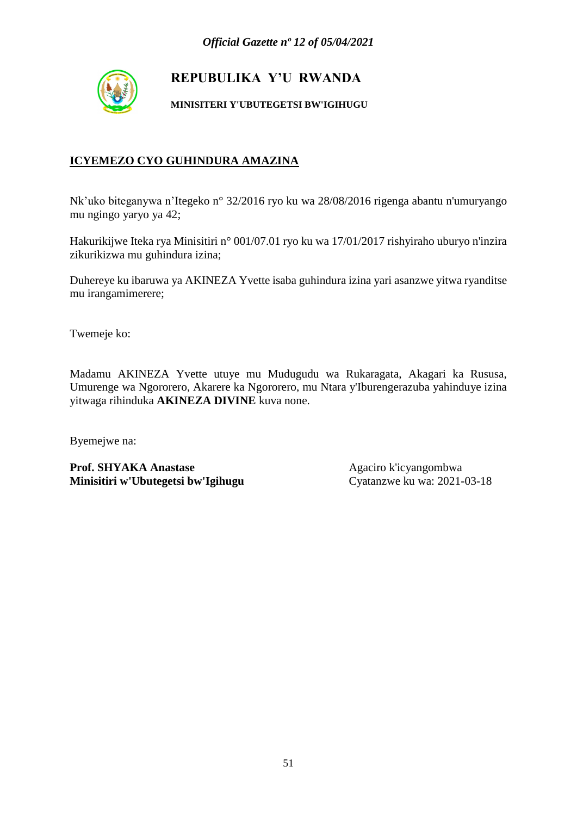

**MINISITERI Y'UBUTEGETSI BW'IGIHUGU**

## **ICYEMEZO CYO GUHINDURA AMAZINA**

Nk'uko biteganywa n'Itegeko n° 32/2016 ryo ku wa 28/08/2016 rigenga abantu n'umuryango mu ngingo yaryo ya 42;

Hakurikijwe Iteka rya Minisitiri n° 001/07.01 ryo ku wa 17/01/2017 rishyiraho uburyo n'inzira zikurikizwa mu guhindura izina;

Duhereye ku ibaruwa ya AKINEZA Yvette isaba guhindura izina yari asanzwe yitwa ryanditse mu irangamimerere;

Twemeje ko:

Madamu AKINEZA Yvette utuye mu Mudugudu wa Rukaragata, Akagari ka Rususa, Umurenge wa Ngororero, Akarere ka Ngororero, mu Ntara y'Iburengerazuba yahinduye izina yitwaga rihinduka **AKINEZA DIVINE** kuva none.

Byemejwe na: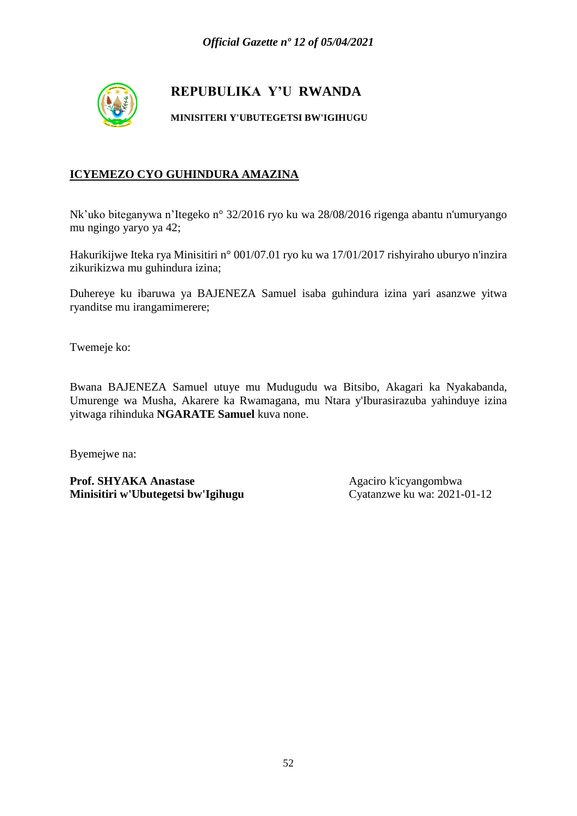

**MINISITERI Y'UBUTEGETSI BW'IGIHUGU**

## **ICYEMEZO CYO GUHINDURA AMAZINA**

Nk'uko biteganywa n'Itegeko n° 32/2016 ryo ku wa 28/08/2016 rigenga abantu n'umuryango mu ngingo yaryo ya 42;

Hakurikijwe Iteka rya Minisitiri n° 001/07.01 ryo ku wa 17/01/2017 rishyiraho uburyo n'inzira zikurikizwa mu guhindura izina;

Duhereye ku ibaruwa ya BAJENEZA Samuel isaba guhindura izina yari asanzwe yitwa ryanditse mu irangamimerere;

Twemeje ko:

Bwana BAJENEZA Samuel utuye mu Mudugudu wa Bitsibo, Akagari ka Nyakabanda, Umurenge wa Musha, Akarere ka Rwamagana, mu Ntara y'Iburasirazuba yahinduye izina yitwaga rihinduka **NGARATE Samuel** kuva none.

Byemejwe na: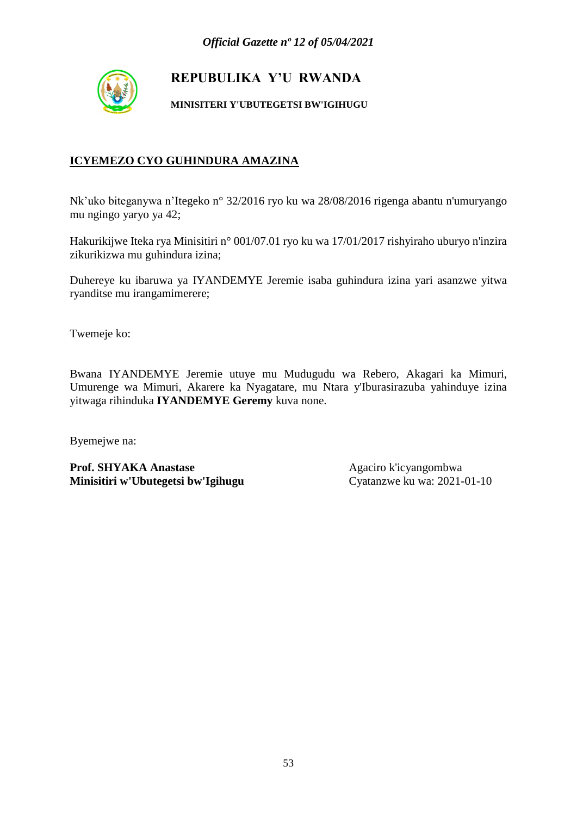

**MINISITERI Y'UBUTEGETSI BW'IGIHUGU**

### **ICYEMEZO CYO GUHINDURA AMAZINA**

Nk'uko biteganywa n'Itegeko n° 32/2016 ryo ku wa 28/08/2016 rigenga abantu n'umuryango mu ngingo yaryo ya 42;

Hakurikijwe Iteka rya Minisitiri n° 001/07.01 ryo ku wa 17/01/2017 rishyiraho uburyo n'inzira zikurikizwa mu guhindura izina;

Duhereye ku ibaruwa ya IYANDEMYE Jeremie isaba guhindura izina yari asanzwe yitwa ryanditse mu irangamimerere;

Twemeje ko:

Bwana IYANDEMYE Jeremie utuye mu Mudugudu wa Rebero, Akagari ka Mimuri, Umurenge wa Mimuri, Akarere ka Nyagatare, mu Ntara y'Iburasirazuba yahinduye izina yitwaga rihinduka **IYANDEMYE Geremy** kuva none.

Byemejwe na: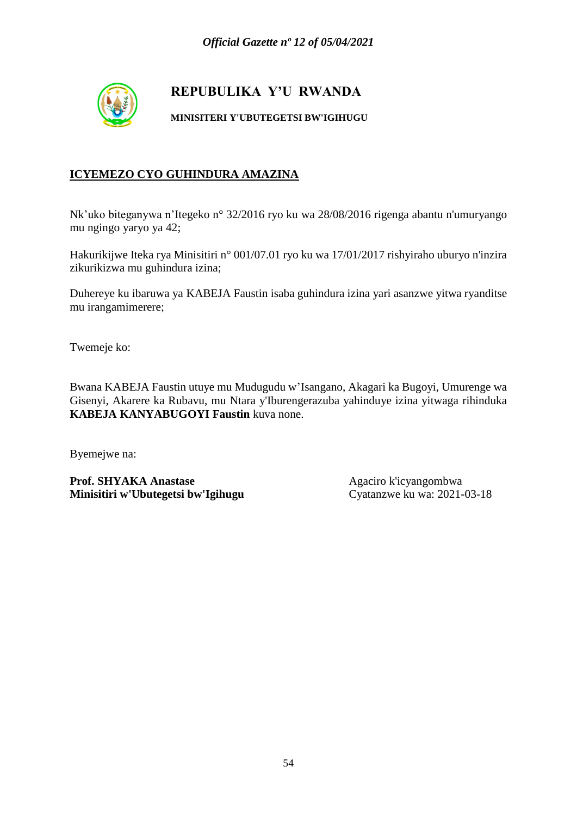

**MINISITERI Y'UBUTEGETSI BW'IGIHUGU**

## **ICYEMEZO CYO GUHINDURA AMAZINA**

Nk'uko biteganywa n'Itegeko n° 32/2016 ryo ku wa 28/08/2016 rigenga abantu n'umuryango mu ngingo yaryo ya 42;

Hakurikijwe Iteka rya Minisitiri n° 001/07.01 ryo ku wa 17/01/2017 rishyiraho uburyo n'inzira zikurikizwa mu guhindura izina;

Duhereye ku ibaruwa ya KABEJA Faustin isaba guhindura izina yari asanzwe yitwa ryanditse mu irangamimerere;

Twemeje ko:

Bwana KABEJA Faustin utuye mu Mudugudu w'Isangano, Akagari ka Bugoyi, Umurenge wa Gisenyi, Akarere ka Rubavu, mu Ntara y'Iburengerazuba yahinduye izina yitwaga rihinduka **KABEJA KANYABUGOYI Faustin** kuva none.

Byemejwe na: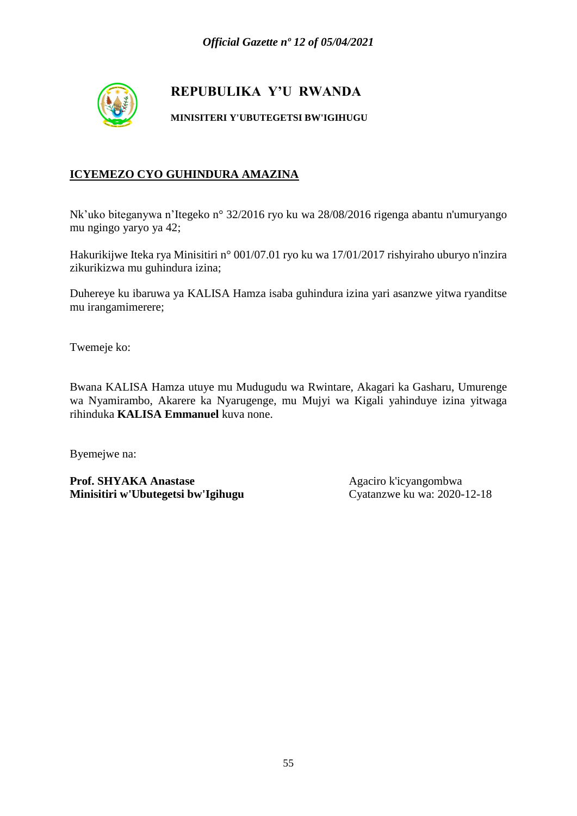

**MINISITERI Y'UBUTEGETSI BW'IGIHUGU**

## **ICYEMEZO CYO GUHINDURA AMAZINA**

Nk'uko biteganywa n'Itegeko n° 32/2016 ryo ku wa 28/08/2016 rigenga abantu n'umuryango mu ngingo yaryo ya 42;

Hakurikijwe Iteka rya Minisitiri n° 001/07.01 ryo ku wa 17/01/2017 rishyiraho uburyo n'inzira zikurikizwa mu guhindura izina;

Duhereye ku ibaruwa ya KALISA Hamza isaba guhindura izina yari asanzwe yitwa ryanditse mu irangamimerere;

Twemeje ko:

Bwana KALISA Hamza utuye mu Mudugudu wa Rwintare, Akagari ka Gasharu, Umurenge wa Nyamirambo, Akarere ka Nyarugenge, mu Mujyi wa Kigali yahinduye izina yitwaga rihinduka **KALISA Emmanuel** kuva none.

Byemejwe na: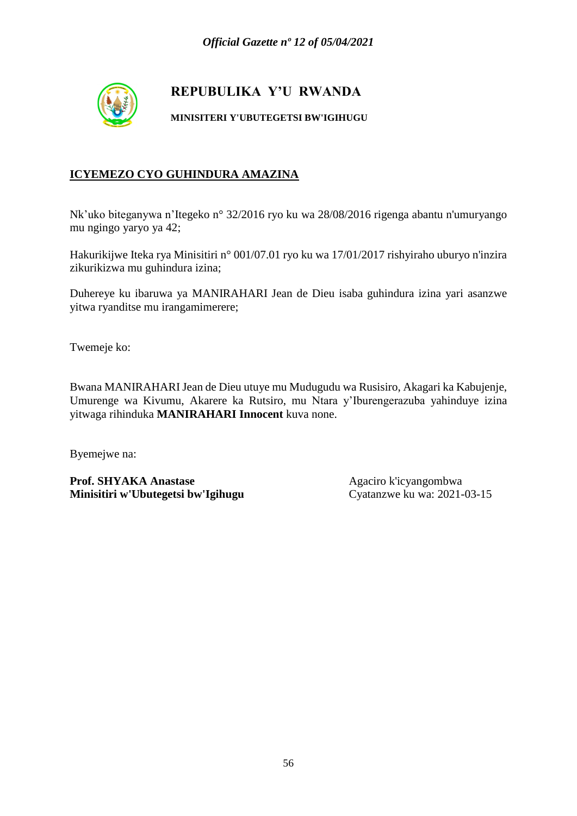

**MINISITERI Y'UBUTEGETSI BW'IGIHUGU**

## **ICYEMEZO CYO GUHINDURA AMAZINA**

Nk'uko biteganywa n'Itegeko n° 32/2016 ryo ku wa 28/08/2016 rigenga abantu n'umuryango mu ngingo yaryo ya 42;

Hakurikijwe Iteka rya Minisitiri n° 001/07.01 ryo ku wa 17/01/2017 rishyiraho uburyo n'inzira zikurikizwa mu guhindura izina;

Duhereye ku ibaruwa ya MANIRAHARI Jean de Dieu isaba guhindura izina yari asanzwe yitwa ryanditse mu irangamimerere;

Twemeje ko:

Bwana MANIRAHARI Jean de Dieu utuye mu Mudugudu wa Rusisiro, Akagari ka Kabujenje, Umurenge wa Kivumu, Akarere ka Rutsiro, mu Ntara y'Iburengerazuba yahinduye izina yitwaga rihinduka **MANIRAHARI Innocent** kuva none.

Byemejwe na: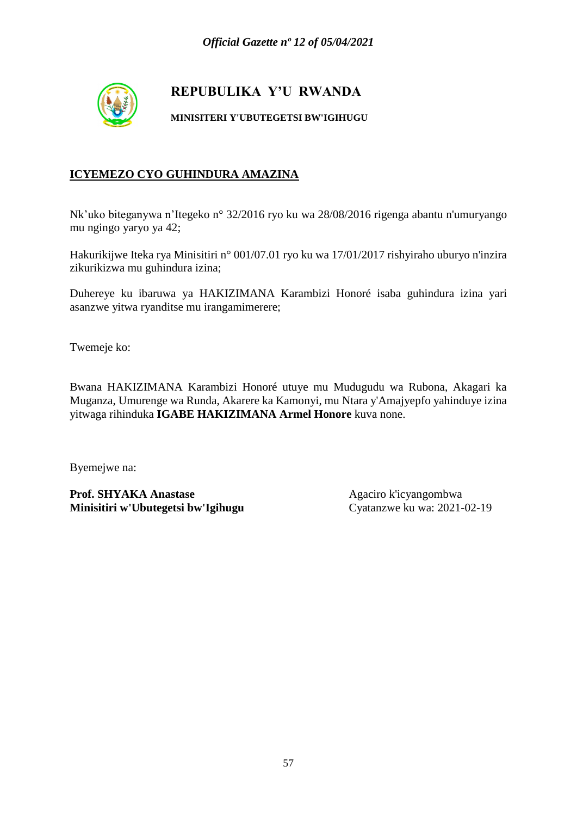

**MINISITERI Y'UBUTEGETSI BW'IGIHUGU**

## **ICYEMEZO CYO GUHINDURA AMAZINA**

Nk'uko biteganywa n'Itegeko n° 32/2016 ryo ku wa 28/08/2016 rigenga abantu n'umuryango mu ngingo yaryo ya 42;

Hakurikijwe Iteka rya Minisitiri n° 001/07.01 ryo ku wa 17/01/2017 rishyiraho uburyo n'inzira zikurikizwa mu guhindura izina;

Duhereye ku ibaruwa ya HAKIZIMANA Karambizi Honoré isaba guhindura izina yari asanzwe yitwa ryanditse mu irangamimerere;

Twemeje ko:

Bwana HAKIZIMANA Karambizi Honoré utuye mu Mudugudu wa Rubona, Akagari ka Muganza, Umurenge wa Runda, Akarere ka Kamonyi, mu Ntara y'Amajyepfo yahinduye izina yitwaga rihinduka **IGABE HAKIZIMANA Armel Honore** kuva none.

Byemejwe na: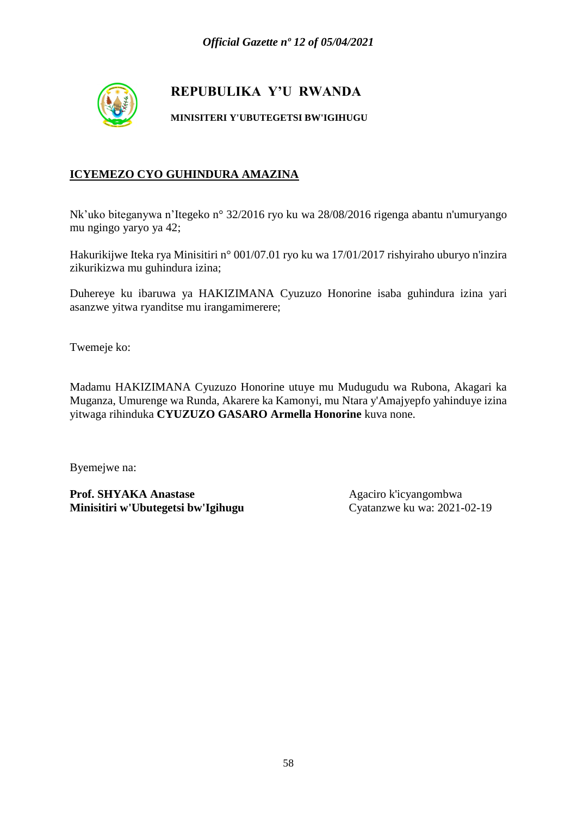

**MINISITERI Y'UBUTEGETSI BW'IGIHUGU**

## **ICYEMEZO CYO GUHINDURA AMAZINA**

Nk'uko biteganywa n'Itegeko n° 32/2016 ryo ku wa 28/08/2016 rigenga abantu n'umuryango mu ngingo yaryo ya 42;

Hakurikijwe Iteka rya Minisitiri n° 001/07.01 ryo ku wa 17/01/2017 rishyiraho uburyo n'inzira zikurikizwa mu guhindura izina;

Duhereye ku ibaruwa ya HAKIZIMANA Cyuzuzo Honorine isaba guhindura izina yari asanzwe yitwa ryanditse mu irangamimerere;

Twemeje ko:

Madamu HAKIZIMANA Cyuzuzo Honorine utuye mu Mudugudu wa Rubona, Akagari ka Muganza, Umurenge wa Runda, Akarere ka Kamonyi, mu Ntara y'Amajyepfo yahinduye izina yitwaga rihinduka **CYUZUZO GASARO Armella Honorine** kuva none.

Byemejwe na: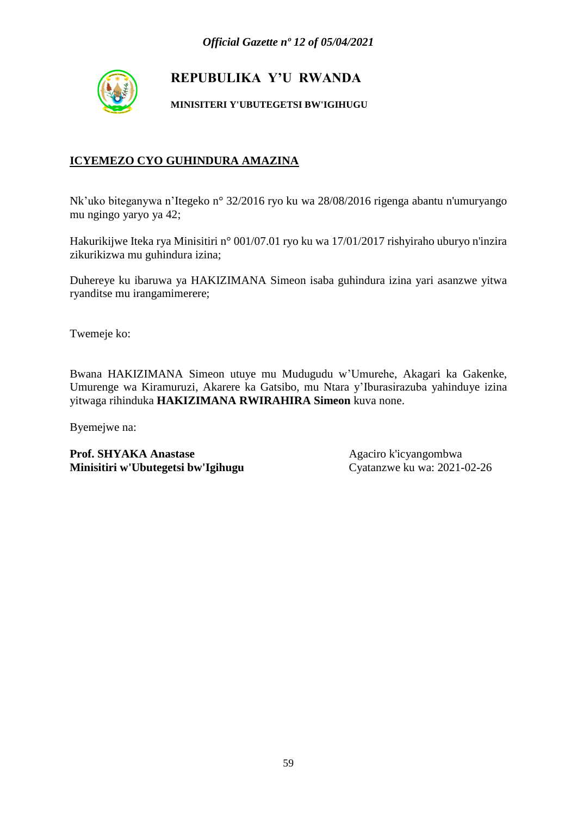

**MINISITERI Y'UBUTEGETSI BW'IGIHUGU**

## **ICYEMEZO CYO GUHINDURA AMAZINA**

Nk'uko biteganywa n'Itegeko n° 32/2016 ryo ku wa 28/08/2016 rigenga abantu n'umuryango mu ngingo yaryo ya 42;

Hakurikijwe Iteka rya Minisitiri n° 001/07.01 ryo ku wa 17/01/2017 rishyiraho uburyo n'inzira zikurikizwa mu guhindura izina;

Duhereye ku ibaruwa ya HAKIZIMANA Simeon isaba guhindura izina yari asanzwe yitwa ryanditse mu irangamimerere;

Twemeje ko:

Bwana HAKIZIMANA Simeon utuye mu Mudugudu w'Umurehe, Akagari ka Gakenke, Umurenge wa Kiramuruzi, Akarere ka Gatsibo, mu Ntara y'Iburasirazuba yahinduye izina yitwaga rihinduka **HAKIZIMANA RWIRAHIRA Simeon** kuva none.

Byemejwe na: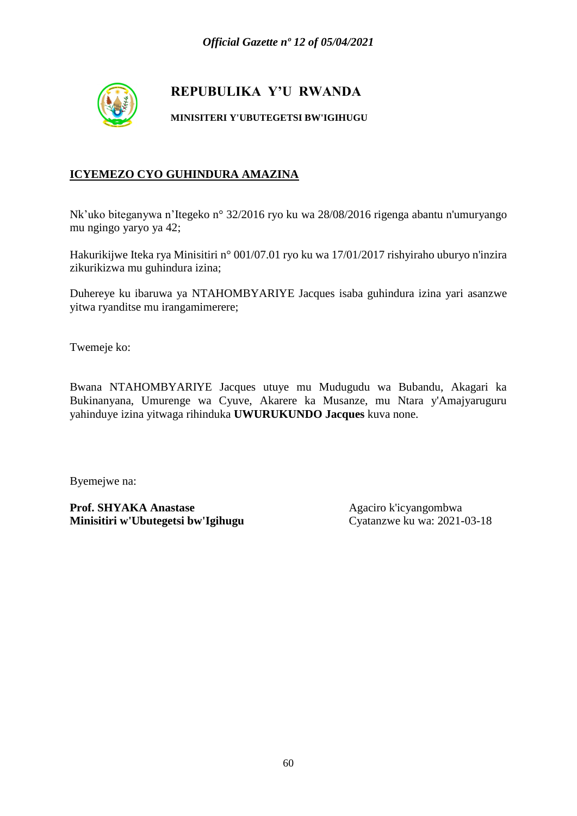

**MINISITERI Y'UBUTEGETSI BW'IGIHUGU**

## **ICYEMEZO CYO GUHINDURA AMAZINA**

Nk'uko biteganywa n'Itegeko n° 32/2016 ryo ku wa 28/08/2016 rigenga abantu n'umuryango mu ngingo yaryo ya 42;

Hakurikijwe Iteka rya Minisitiri n° 001/07.01 ryo ku wa 17/01/2017 rishyiraho uburyo n'inzira zikurikizwa mu guhindura izina;

Duhereye ku ibaruwa ya NTAHOMBYARIYE Jacques isaba guhindura izina yari asanzwe yitwa ryanditse mu irangamimerere;

Twemeje ko:

Bwana NTAHOMBYARIYE Jacques utuye mu Mudugudu wa Bubandu, Akagari ka Bukinanyana, Umurenge wa Cyuve, Akarere ka Musanze, mu Ntara y'Amajyaruguru yahinduye izina yitwaga rihinduka **UWURUKUNDO Jacques** kuva none.

Byemejwe na: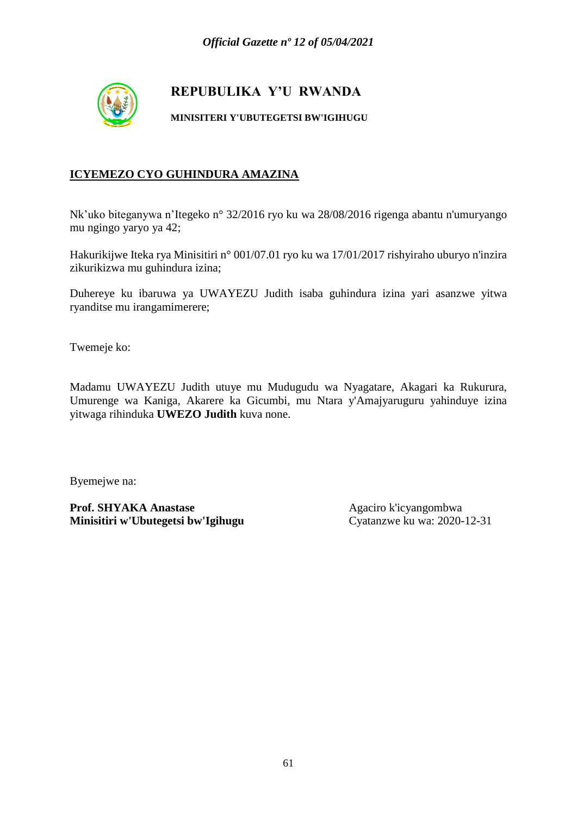

**MINISITERI Y'UBUTEGETSI BW'IGIHUGU**

## **ICYEMEZO CYO GUHINDURA AMAZINA**

Nk'uko biteganywa n'Itegeko n° 32/2016 ryo ku wa 28/08/2016 rigenga abantu n'umuryango mu ngingo yaryo ya 42;

Hakurikijwe Iteka rya Minisitiri n° 001/07.01 ryo ku wa 17/01/2017 rishyiraho uburyo n'inzira zikurikizwa mu guhindura izina;

Duhereye ku ibaruwa ya UWAYEZU Judith isaba guhindura izina yari asanzwe yitwa ryanditse mu irangamimerere;

Twemeje ko:

Madamu UWAYEZU Judith utuye mu Mudugudu wa Nyagatare, Akagari ka Rukurura, Umurenge wa Kaniga, Akarere ka Gicumbi, mu Ntara y'Amajyaruguru yahinduye izina yitwaga rihinduka **UWEZO Judith** kuva none.

Byemejwe na: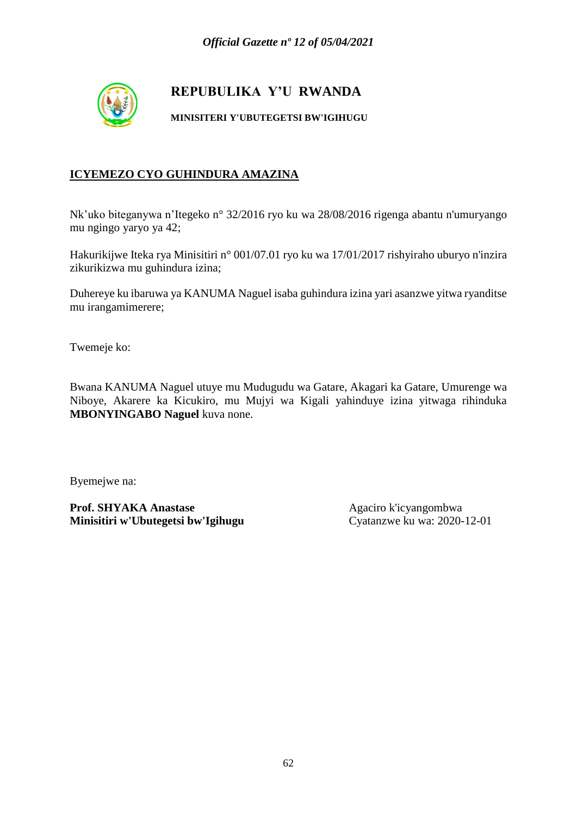

**MINISITERI Y'UBUTEGETSI BW'IGIHUGU**

## **ICYEMEZO CYO GUHINDURA AMAZINA**

Nk'uko biteganywa n'Itegeko n° 32/2016 ryo ku wa 28/08/2016 rigenga abantu n'umuryango mu ngingo yaryo ya 42;

Hakurikijwe Iteka rya Minisitiri n° 001/07.01 ryo ku wa 17/01/2017 rishyiraho uburyo n'inzira zikurikizwa mu guhindura izina;

Duhereye ku ibaruwa ya KANUMA Naguel isaba guhindura izina yari asanzwe yitwa ryanditse mu irangamimerere;

Twemeje ko:

Bwana KANUMA Naguel utuye mu Mudugudu wa Gatare, Akagari ka Gatare, Umurenge wa Niboye, Akarere ka Kicukiro, mu Mujyi wa Kigali yahinduye izina yitwaga rihinduka **MBONYINGABO Naguel** kuva none.

Byemejwe na: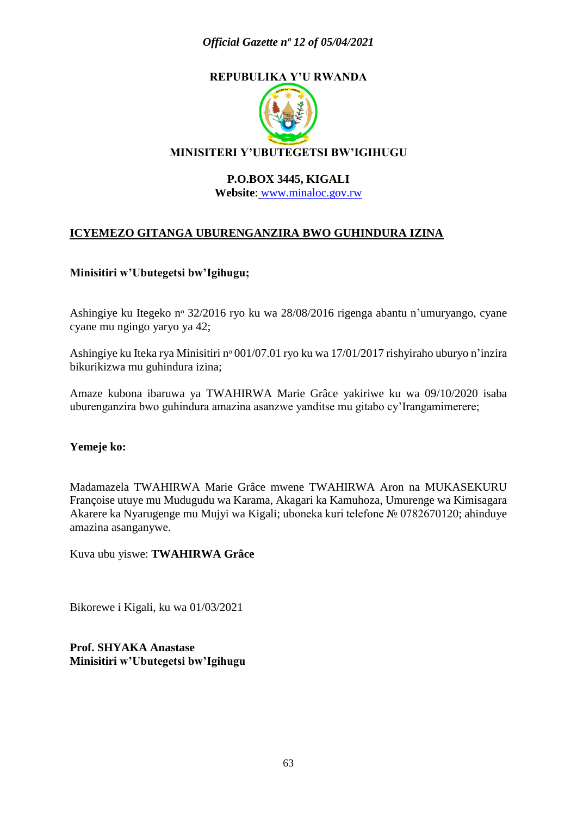### *Official Gazette nº 12 of 05/04/2021*

## **REPUBULIKA Y'U RWANDA**



#### **P.O.BOX 3445, KIGALI**

**Website**: [www.minaloc.gov.rw](http://www.minaloc.gov.rw/)

### **ICYEMEZO GITANGA UBURENGANZIRA BWO GUHINDURA IZINA**

#### **Minisitiri w'Ubutegetsi bw'Igihugu;**

Ashingiye ku Itegeko nᵒ 32/2016 ryo ku wa 28/08/2016 rigenga abantu n'umuryango, cyane cyane mu ngingo yaryo ya 42;

Ashingiye ku Iteka rya Minisitiri nº 001/07.01 ryo ku wa 17/01/2017 rishyiraho uburyo n'inzira bikurikizwa mu guhindura izina;

Amaze kubona ibaruwa ya TWAHIRWA Marie Grâce yakiriwe ku wa 09/10/2020 isaba uburenganzira bwo guhindura amazina asanzwe yanditse mu gitabo cy'Irangamimerere;

#### **Yemeje ko:**

Madamazela TWAHIRWA Marie Grâce mwene TWAHIRWA Aron na MUKASEKURU Françoise utuye mu Mudugudu wa Karama, Akagari ka Kamuhoza, Umurenge wa Kimisagara Akarere ka Nyarugenge mu Mujyi wa Kigali; uboneka kuri telefone № 0782670120; ahinduye amazina asanganywe.

Kuva ubu yiswe: **TWAHIRWA Grâce**

Bikorewe i Kigali, ku wa 01/03/2021

**Prof. SHYAKA Anastase Minisitiri w'Ubutegetsi bw'Igihugu**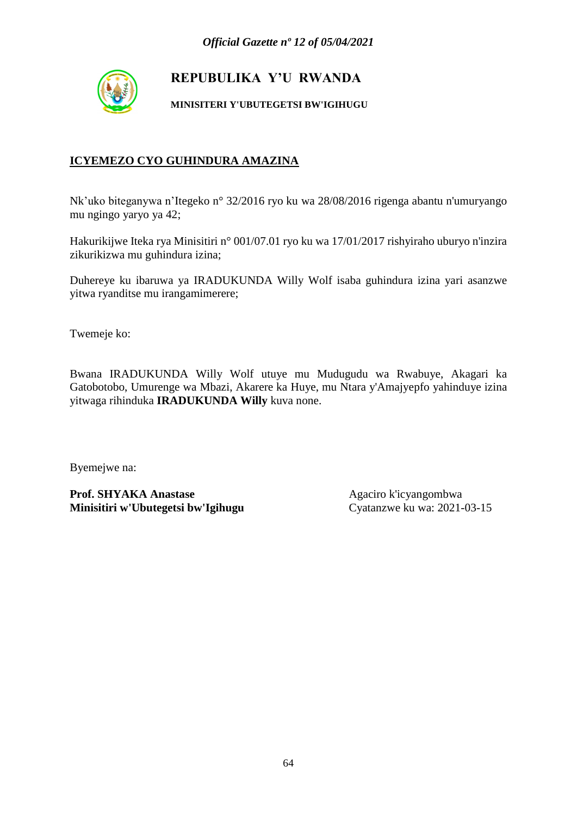

**MINISITERI Y'UBUTEGETSI BW'IGIHUGU**

## **ICYEMEZO CYO GUHINDURA AMAZINA**

Nk'uko biteganywa n'Itegeko n° 32/2016 ryo ku wa 28/08/2016 rigenga abantu n'umuryango mu ngingo yaryo ya 42;

Hakurikijwe Iteka rya Minisitiri n° 001/07.01 ryo ku wa 17/01/2017 rishyiraho uburyo n'inzira zikurikizwa mu guhindura izina;

Duhereye ku ibaruwa ya IRADUKUNDA Willy Wolf isaba guhindura izina yari asanzwe yitwa ryanditse mu irangamimerere;

Twemeje ko:

Bwana IRADUKUNDA Willy Wolf utuye mu Mudugudu wa Rwabuye, Akagari ka Gatobotobo, Umurenge wa Mbazi, Akarere ka Huye, mu Ntara y'Amajyepfo yahinduye izina yitwaga rihinduka **IRADUKUNDA Willy** kuva none.

Byemejwe na: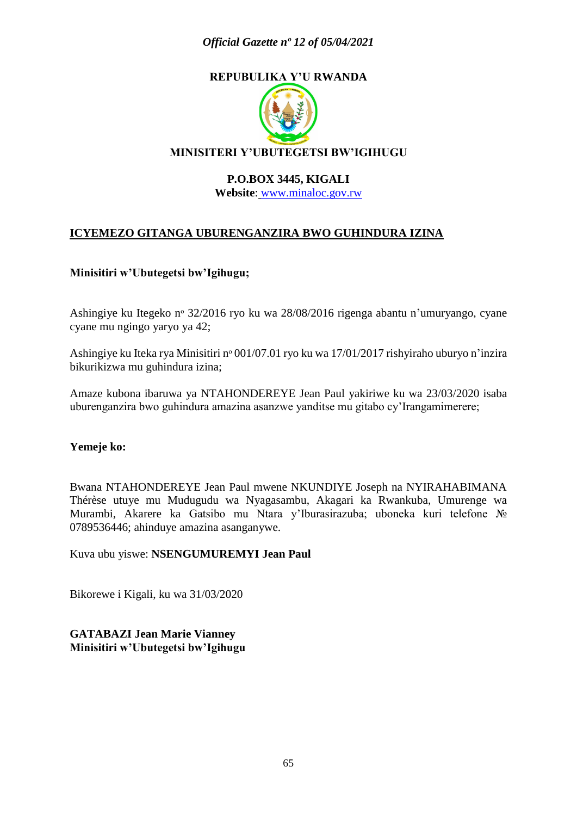### *Official Gazette nº 12 of 05/04/2021*

## **REPUBULIKA Y'U RWANDA**



#### **P.O.BOX 3445, KIGALI**

**Website**: [www.minaloc.gov.rw](http://www.minaloc.gov.rw/)

### **ICYEMEZO GITANGA UBURENGANZIRA BWO GUHINDURA IZINA**

#### **Minisitiri w'Ubutegetsi bw'Igihugu;**

Ashingiye ku Itegeko nᵒ 32/2016 ryo ku wa 28/08/2016 rigenga abantu n'umuryango, cyane cyane mu ngingo yaryo ya 42;

Ashingiye ku Iteka rya Minisitiri nº 001/07.01 ryo ku wa 17/01/2017 rishyiraho uburyo n'inzira bikurikizwa mu guhindura izina;

Amaze kubona ibaruwa ya NTAHONDEREYE Jean Paul yakiriwe ku wa 23/03/2020 isaba uburenganzira bwo guhindura amazina asanzwe yanditse mu gitabo cy'Irangamimerere;

#### **Yemeje ko:**

Bwana NTAHONDEREYE Jean Paul mwene NKUNDIYE Joseph na NYIRAHABIMANA Thérèse utuye mu Mudugudu wa Nyagasambu, Akagari ka Rwankuba, Umurenge wa Murambi, Akarere ka Gatsibo mu Ntara y'Iburasirazuba; uboneka kuri telefone № 0789536446; ahinduye amazina asanganywe.

Kuva ubu yiswe: **NSENGUMUREMYI Jean Paul**

Bikorewe i Kigali, ku wa 31/03/2020

**GATABAZI Jean Marie Vianney Minisitiri w'Ubutegetsi bw'Igihugu**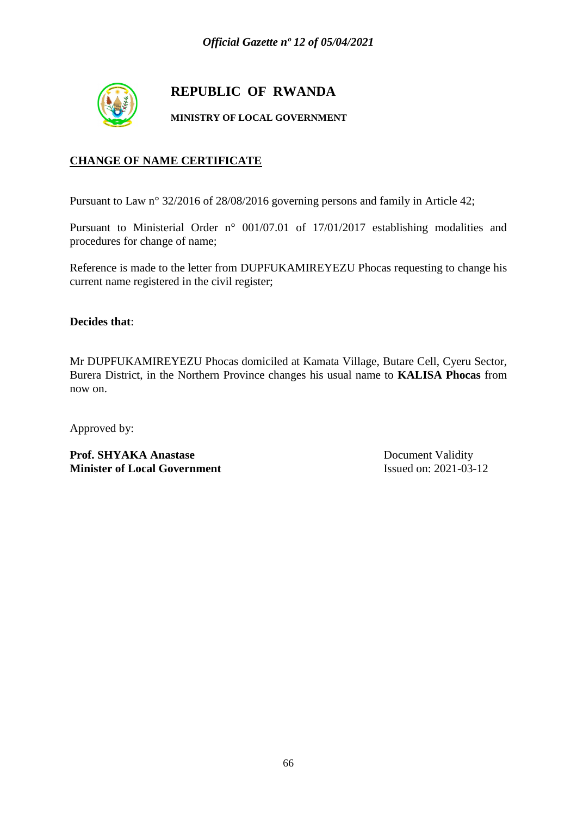

## **REPUBLIC OF RWANDA**

**MINISTRY OF LOCAL GOVERNMENT**

### **CHANGE OF NAME CERTIFICATE**

Pursuant to Law n° 32/2016 of 28/08/2016 governing persons and family in Article 42;

Pursuant to Ministerial Order n° 001/07.01 of 17/01/2017 establishing modalities and procedures for change of name;

Reference is made to the letter from DUPFUKAMIREYEZU Phocas requesting to change his current name registered in the civil register;

**Decides that**:

Mr DUPFUKAMIREYEZU Phocas domiciled at Kamata Village, Butare Cell, Cyeru Sector, Burera District, in the Northern Province changes his usual name to **KALISA Phocas** from now on.

Approved by:

Prof. SHYAKA Anastase Document Validity **Minister of Local Government** Issued on: 2021-03-12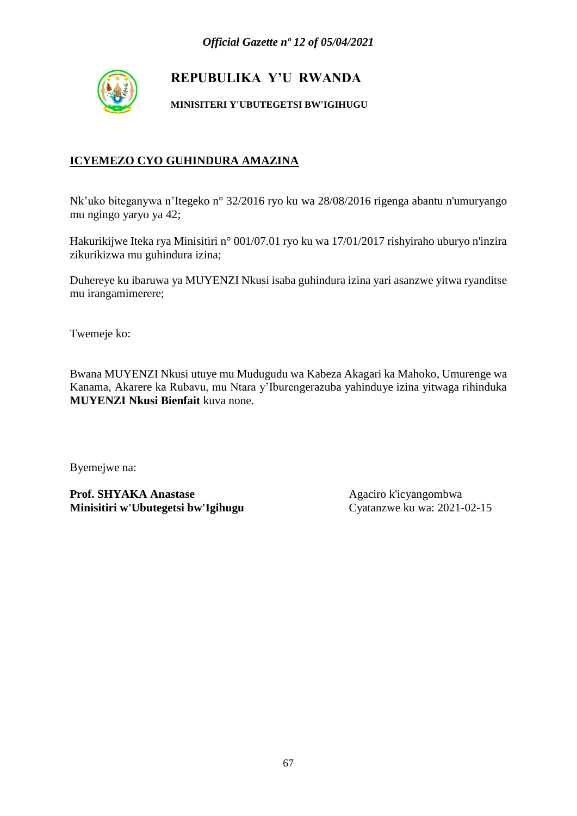

**MINISITERI Y'UBUTEGETSI BW'IGIHUGU**

## **ICYEMEZO CYO GUHINDURA AMAZINA**

Nk'uko biteganywa n'Itegeko n° 32/2016 ryo ku wa 28/08/2016 rigenga abantu n'umuryango mu ngingo yaryo ya 42;

Hakurikijwe Iteka rya Minisitiri n° 001/07.01 ryo ku wa 17/01/2017 rishyiraho uburyo n'inzira zikurikizwa mu guhindura izina;

Duhereye ku ibaruwa ya MUYENZI Nkusi isaba guhindura izina yari asanzwe yitwa ryanditse mu irangamimerere;

Twemeje ko:

Bwana MUYENZI Nkusi utuye mu Mudugudu wa Kabeza Akagari ka Mahoko, Umurenge wa Kanama, Akarere ka Rubavu, mu Ntara y'Iburengerazuba yahinduye izina yitwaga rihinduka **MUYENZI Nkusi Bienfait** kuva none.

Byemejwe na: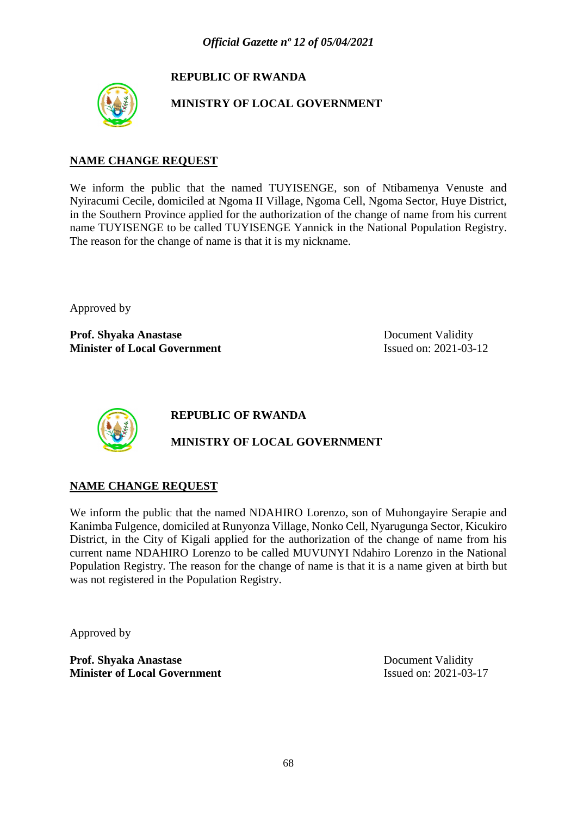## **REPUBLIC OF RWANDA**



**MINISTRY OF LOCAL GOVERNMENT**

#### **NAME CHANGE REQUEST**

We inform the public that the named TUYISENGE, son of Ntibamenya Venuste and Nyiracumi Cecile, domiciled at Ngoma II Village, Ngoma Cell, Ngoma Sector, Huye District, in the Southern Province applied for the authorization of the change of name from his current name TUYISENGE to be called TUYISENGE Yannick in the National Population Registry. The reason for the change of name is that it is my nickname.

Approved by

**Prof. Shyaka Anastase Document Validity Minister of Local Government** Issued on: 2021-03-12



**REPUBLIC OF RWANDA**

### **MINISTRY OF LOCAL GOVERNMENT**

#### **NAME CHANGE REQUEST**

We inform the public that the named NDAHIRO Lorenzo, son of Muhongayire Serapie and Kanimba Fulgence, domiciled at Runyonza Village, Nonko Cell, Nyarugunga Sector, Kicukiro District, in the City of Kigali applied for the authorization of the change of name from his current name NDAHIRO Lorenzo to be called MUVUNYI Ndahiro Lorenzo in the National Population Registry. The reason for the change of name is that it is a name given at birth but was not registered in the Population Registry.

Approved by

**Prof. Shyaka Anastase** Document Validity **Minister of Local Government** Issued on: 2021-03-17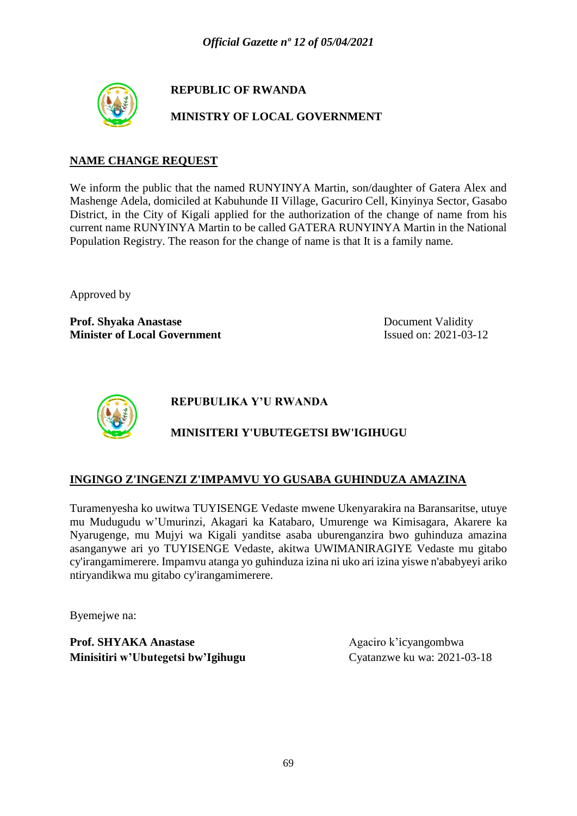

## **REPUBLIC OF RWANDA**

**MINISTRY OF LOCAL GOVERNMENT**

### **NAME CHANGE REQUEST**

We inform the public that the named RUNYINYA Martin, son/daughter of Gatera Alex and Mashenge Adela, domiciled at Kabuhunde II Village, Gacuriro Cell, Kinyinya Sector, Gasabo District, in the City of Kigali applied for the authorization of the change of name from his current name RUNYINYA Martin to be called GATERA RUNYINYA Martin in the National Population Registry. The reason for the change of name is that It is a family name.

Approved by

**Prof. Shyaka Anastase** Document Validity **Minister of Local Government** Issued on: 2021-03-12



**REPUBULIKA Y'U RWANDA**

## **MINISITERI Y'UBUTEGETSI BW'IGIHUGU**

### **INGINGO Z'INGENZI Z'IMPAMVU YO GUSABA GUHINDUZA AMAZINA**

Turamenyesha ko uwitwa TUYISENGE Vedaste mwene Ukenyarakira na Baransaritse, utuye mu Mudugudu w'Umurinzi, Akagari ka Katabaro, Umurenge wa Kimisagara, Akarere ka Nyarugenge, mu Mujyi wa Kigali yanditse asaba uburenganzira bwo guhinduza amazina asanganywe ari yo TUYISENGE Vedaste, akitwa UWIMANIRAGIYE Vedaste mu gitabo cy'irangamimerere. Impamvu atanga yo guhinduza izina ni uko ari izina yiswe n'ababyeyi ariko ntiryandikwa mu gitabo cy'irangamimerere.

Byemejwe na: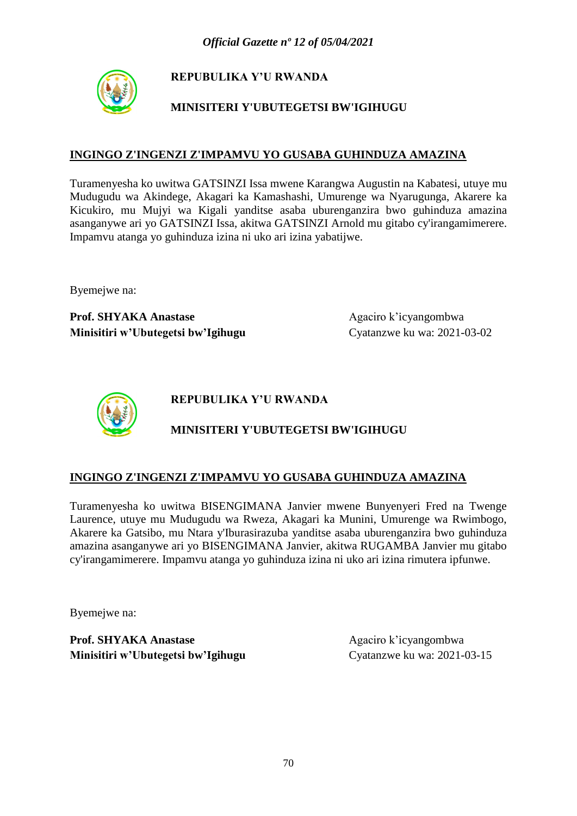

## **MINISITERI Y'UBUTEGETSI BW'IGIHUGU**

#### **INGINGO Z'INGENZI Z'IMPAMVU YO GUSABA GUHINDUZA AMAZINA**

Turamenyesha ko uwitwa GATSINZI Issa mwene Karangwa Augustin na Kabatesi, utuye mu Mudugudu wa Akindege, Akagari ka Kamashashi, Umurenge wa Nyarugunga, Akarere ka Kicukiro, mu Mujyi wa Kigali yanditse asaba uburenganzira bwo guhinduza amazina asanganywe ari yo GATSINZI Issa, akitwa GATSINZI Arnold mu gitabo cy'irangamimerere. Impamvu atanga yo guhinduza izina ni uko ari izina yabatijwe.

Byemejwe na:

Prof. SHYAKA Anastase Agaciro k'icyangombwa **Minisitiri w'Ubutegetsi bw'Igihugu** Cyatanzwe ku wa: 2021-03-02



**REPUBULIKA Y'U RWANDA**

## **MINISITERI Y'UBUTEGETSI BW'IGIHUGU**

#### **INGINGO Z'INGENZI Z'IMPAMVU YO GUSABA GUHINDUZA AMAZINA**

Turamenyesha ko uwitwa BISENGIMANA Janvier mwene Bunyenyeri Fred na Twenge Laurence, utuye mu Mudugudu wa Rweza, Akagari ka Munini, Umurenge wa Rwimbogo, Akarere ka Gatsibo, mu Ntara y'Iburasirazuba yanditse asaba uburenganzira bwo guhinduza amazina asanganywe ari yo BISENGIMANA Janvier, akitwa RUGAMBA Janvier mu gitabo cy'irangamimerere. Impamvu atanga yo guhinduza izina ni uko ari izina rimutera ipfunwe.

Byemejwe na: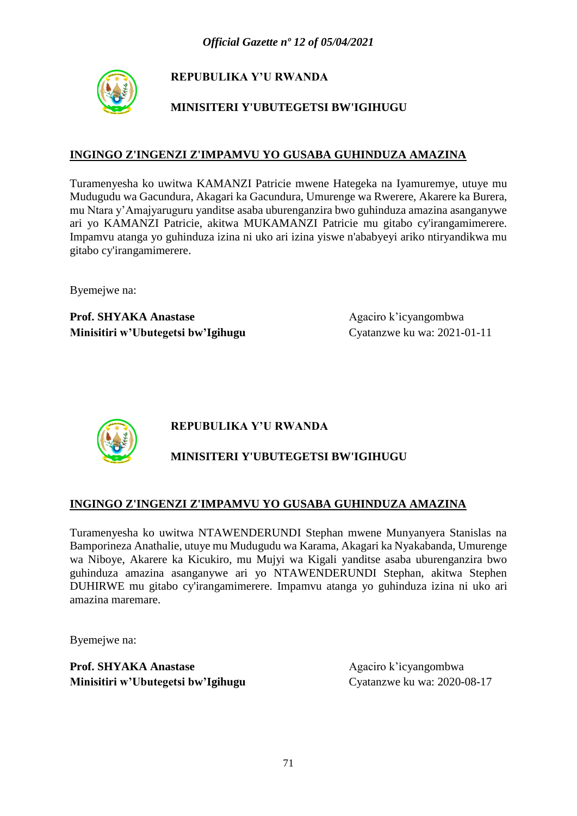

## **MINISITERI Y'UBUTEGETSI BW'IGIHUGU**

#### **INGINGO Z'INGENZI Z'IMPAMVU YO GUSABA GUHINDUZA AMAZINA**

Turamenyesha ko uwitwa KAMANZI Patricie mwene Hategeka na Iyamuremye, utuye mu Mudugudu wa Gacundura, Akagari ka Gacundura, Umurenge wa Rwerere, Akarere ka Burera, mu Ntara y'Amajyaruguru yanditse asaba uburenganzira bwo guhinduza amazina asanganywe ari yo KAMANZI Patricie, akitwa MUKAMANZI Patricie mu gitabo cy'irangamimerere. Impamvu atanga yo guhinduza izina ni uko ari izina yiswe n'ababyeyi ariko ntiryandikwa mu gitabo cy'irangamimerere.

Byemejwe na:

Prof. SHYAKA Anastase Agaciro k'icyangombwa **Minisitiri w'Ubutegetsi bw'Igihugu** Cyatanzwe ku wa: 2021-01-11



### **REPUBULIKA Y'U RWANDA**

## **MINISITERI Y'UBUTEGETSI BW'IGIHUGU**

#### **INGINGO Z'INGENZI Z'IMPAMVU YO GUSABA GUHINDUZA AMAZINA**

Turamenyesha ko uwitwa NTAWENDERUNDI Stephan mwene Munyanyera Stanislas na Bamporineza Anathalie, utuye mu Mudugudu wa Karama, Akagari ka Nyakabanda, Umurenge wa Niboye, Akarere ka Kicukiro, mu Mujyi wa Kigali yanditse asaba uburenganzira bwo guhinduza amazina asanganywe ari yo NTAWENDERUNDI Stephan, akitwa Stephen DUHIRWE mu gitabo cy'irangamimerere. Impamvu atanga yo guhinduza izina ni uko ari amazina maremare.

Byemejwe na: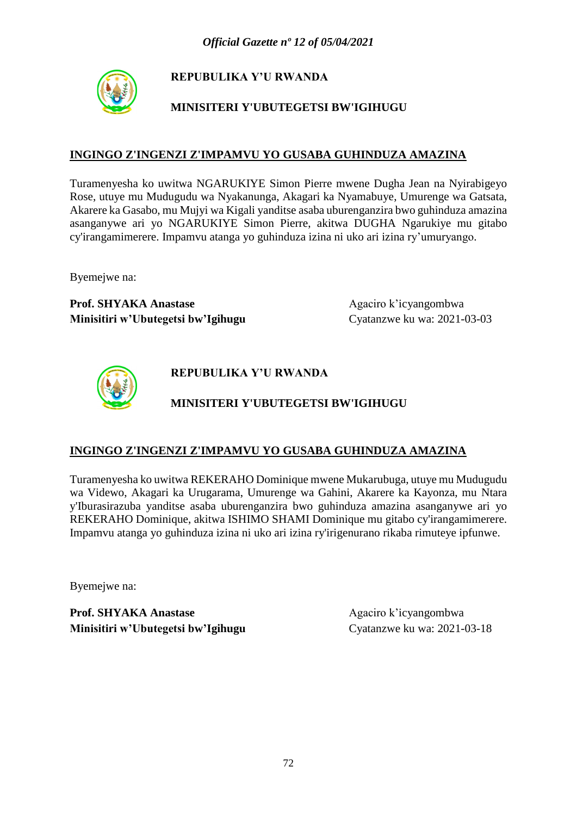

## **MINISITERI Y'UBUTEGETSI BW'IGIHUGU**

#### **INGINGO Z'INGENZI Z'IMPAMVU YO GUSABA GUHINDUZA AMAZINA**

Turamenyesha ko uwitwa NGARUKIYE Simon Pierre mwene Dugha Jean na Nyirabigeyo Rose, utuye mu Mudugudu wa Nyakanunga, Akagari ka Nyamabuye, Umurenge wa Gatsata, Akarere ka Gasabo, mu Mujyi wa Kigali yanditse asaba uburenganzira bwo guhinduza amazina asanganywe ari yo NGARUKIYE Simon Pierre, akitwa DUGHA Ngarukiye mu gitabo cy'irangamimerere. Impamvu atanga yo guhinduza izina ni uko ari izina ry'umuryango.

Byemejwe na:

**Prof. SHYAKA Anastase** Agaciro k'icyangombwa **Minisitiri w'Ubutegetsi bw'Igihugu** Cyatanzwe ku wa: 2021-03-03



**REPUBULIKA Y'U RWANDA**

## **MINISITERI Y'UBUTEGETSI BW'IGIHUGU**

#### **INGINGO Z'INGENZI Z'IMPAMVU YO GUSABA GUHINDUZA AMAZINA**

Turamenyesha ko uwitwa REKERAHO Dominique mwene Mukarubuga, utuye mu Mudugudu wa Videwo, Akagari ka Urugarama, Umurenge wa Gahini, Akarere ka Kayonza, mu Ntara y'Iburasirazuba yanditse asaba uburenganzira bwo guhinduza amazina asanganywe ari yo REKERAHO Dominique, akitwa ISHIMO SHAMI Dominique mu gitabo cy'irangamimerere. Impamvu atanga yo guhinduza izina ni uko ari izina ry'irigenurano rikaba rimuteye ipfunwe.

Byemejwe na: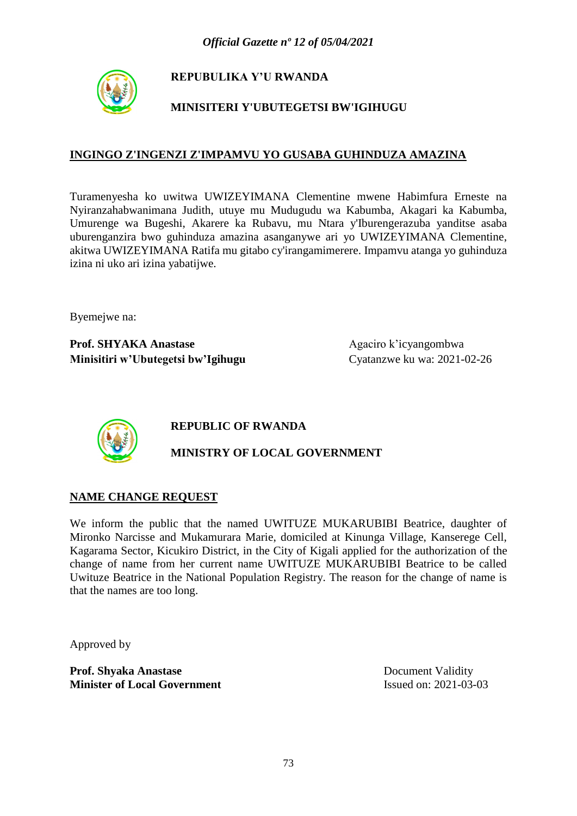

## **MINISITERI Y'UBUTEGETSI BW'IGIHUGU**

### **INGINGO Z'INGENZI Z'IMPAMVU YO GUSABA GUHINDUZA AMAZINA**

Turamenyesha ko uwitwa UWIZEYIMANA Clementine mwene Habimfura Erneste na Nyiranzahabwanimana Judith, utuye mu Mudugudu wa Kabumba, Akagari ka Kabumba, Umurenge wa Bugeshi, Akarere ka Rubavu, mu Ntara y'Iburengerazuba yanditse asaba uburenganzira bwo guhinduza amazina asanganywe ari yo UWIZEYIMANA Clementine, akitwa UWIZEYIMANA Ratifa mu gitabo cy'irangamimerere. Impamvu atanga yo guhinduza izina ni uko ari izina yabatijwe.

Byemejwe na:

**Prof. SHYAKA Anastase** Agaciro k'icyangombwa **Minisitiri w'Ubutegetsi bw'Igihugu** Cyatanzwe ku wa: 2021-02-26



## **REPUBLIC OF RWANDA**

## **MINISTRY OF LOCAL GOVERNMENT**

### **NAME CHANGE REQUEST**

We inform the public that the named UWITUZE MUKARUBIBI Beatrice, daughter of Mironko Narcisse and Mukamurara Marie, domiciled at Kinunga Village, Kanserege Cell, Kagarama Sector, Kicukiro District, in the City of Kigali applied for the authorization of the change of name from her current name UWITUZE MUKARUBIBI Beatrice to be called Uwituze Beatrice in the National Population Registry. The reason for the change of name is that the names are too long.

Approved by

**Prof. Shyaka Anastase** Document Validity **Minister of Local Government** Issued on: 2021-03-03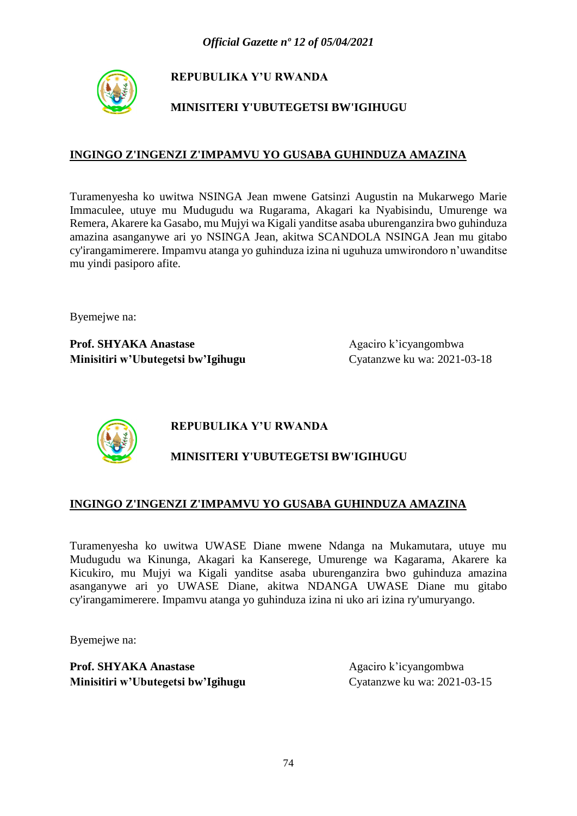

## **MINISITERI Y'UBUTEGETSI BW'IGIHUGU**

### **INGINGO Z'INGENZI Z'IMPAMVU YO GUSABA GUHINDUZA AMAZINA**

Turamenyesha ko uwitwa NSINGA Jean mwene Gatsinzi Augustin na Mukarwego Marie Immaculee, utuye mu Mudugudu wa Rugarama, Akagari ka Nyabisindu, Umurenge wa Remera, Akarere ka Gasabo, mu Mujyi wa Kigali yanditse asaba uburenganzira bwo guhinduza amazina asanganywe ari yo NSINGA Jean, akitwa SCANDOLA NSINGA Jean mu gitabo cy'irangamimerere. Impamvu atanga yo guhinduza izina ni uguhuza umwirondoro n'uwanditse mu yindi pasiporo afite.

Byemejwe na:

**Prof. SHYAKA Anastase** Agaciro k'icyangombwa **Minisitiri w'Ubutegetsi bw'Igihugu** Cyatanzwe ku wa: 2021-03-18



# **REPUBULIKA Y'U RWANDA**

# **MINISITERI Y'UBUTEGETSI BW'IGIHUGU**

### **INGINGO Z'INGENZI Z'IMPAMVU YO GUSABA GUHINDUZA AMAZINA**

Turamenyesha ko uwitwa UWASE Diane mwene Ndanga na Mukamutara, utuye mu Mudugudu wa Kinunga, Akagari ka Kanserege, Umurenge wa Kagarama, Akarere ka Kicukiro, mu Mujyi wa Kigali yanditse asaba uburenganzira bwo guhinduza amazina asanganywe ari yo UWASE Diane, akitwa NDANGA UWASE Diane mu gitabo cy'irangamimerere. Impamvu atanga yo guhinduza izina ni uko ari izina ry'umuryango.

Byemejwe na: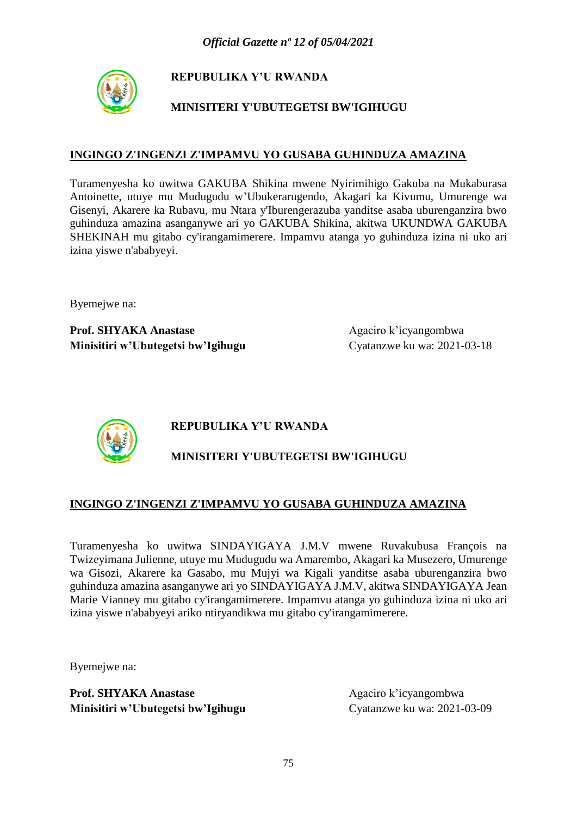

## **MINISITERI Y'UBUTEGETSI BW'IGIHUGU**

### **INGINGO Z'INGENZI Z'IMPAMVU YO GUSABA GUHINDUZA AMAZINA**

Turamenyesha ko uwitwa GAKUBA Shikina mwene Nyirimihigo Gakuba na Mukaburasa Antoinette, utuye mu Mudugudu w'Ubukerarugendo, Akagari ka Kivumu, Umurenge wa Gisenyi, Akarere ka Rubavu, mu Ntara y'Iburengerazuba yanditse asaba uburenganzira bwo guhinduza amazina asanganywe ari yo GAKUBA Shikina, akitwa UKUNDWA GAKUBA SHEKINAH mu gitabo cy'irangamimerere. Impamvu atanga yo guhinduza izina ni uko ari izina yiswe n'ababyeyi.

Byemejwe na:

**Prof. SHYAKA Anastase** Agaciro k'icyangombwa **Minisitiri w'Ubutegetsi bw'Igihugu** Cyatanzwe ku wa: 2021-03-18



# **REPUBULIKA Y'U RWANDA**

# **MINISITERI Y'UBUTEGETSI BW'IGIHUGU**

## **INGINGO Z'INGENZI Z'IMPAMVU YO GUSABA GUHINDUZA AMAZINA**

Turamenyesha ko uwitwa SINDAYIGAYA J.M.V mwene Ruvakubusa François na Twizeyimana Julienne, utuye mu Mudugudu wa Amarembo, Akagari ka Musezero, Umurenge wa Gisozi, Akarere ka Gasabo, mu Mujyi wa Kigali yanditse asaba uburenganzira bwo guhinduza amazina asanganywe ari yo SINDAYIGAYA J.M.V, akitwa SINDAYIGAYA Jean Marie Vianney mu gitabo cy'irangamimerere. Impamvu atanga yo guhinduza izina ni uko ari izina yiswe n'ababyeyi ariko ntiryandikwa mu gitabo cy'irangamimerere.

Byemejwe na: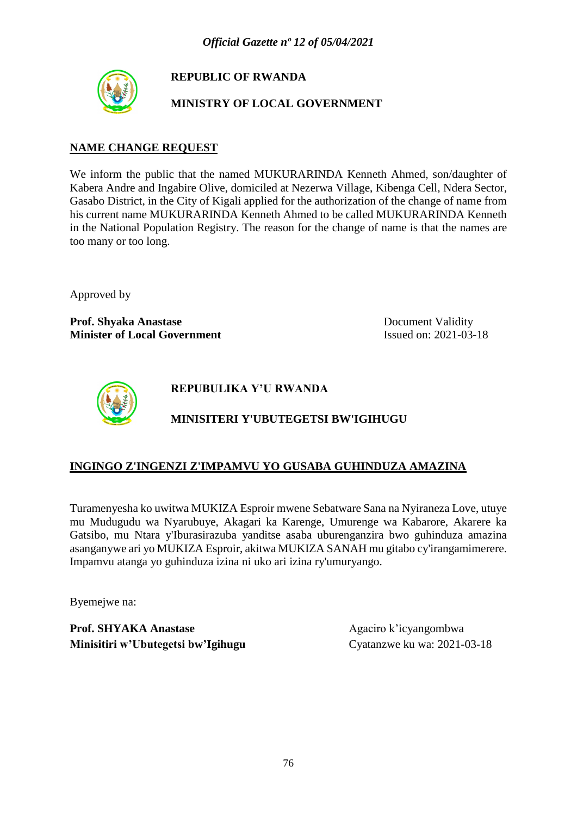

**REPUBLIC OF RWANDA**

### **MINISTRY OF LOCAL GOVERNMENT**

### **NAME CHANGE REQUEST**

We inform the public that the named MUKURARINDA Kenneth Ahmed, son/daughter of Kabera Andre and Ingabire Olive, domiciled at Nezerwa Village, Kibenga Cell, Ndera Sector, Gasabo District, in the City of Kigali applied for the authorization of the change of name from his current name MUKURARINDA Kenneth Ahmed to be called MUKURARINDA Kenneth in the National Population Registry. The reason for the change of name is that the names are too many or too long.

Approved by

**Prof. Shyaka Anastase** Document Validity **Minister of Local Government** Issued on: 2021-03-18



**REPUBULIKA Y'U RWANDA**

# **MINISITERI Y'UBUTEGETSI BW'IGIHUGU**

### **INGINGO Z'INGENZI Z'IMPAMVU YO GUSABA GUHINDUZA AMAZINA**

Turamenyesha ko uwitwa MUKIZA Esproir mwene Sebatware Sana na Nyiraneza Love, utuye mu Mudugudu wa Nyarubuye, Akagari ka Karenge, Umurenge wa Kabarore, Akarere ka Gatsibo, mu Ntara y'Iburasirazuba yanditse asaba uburenganzira bwo guhinduza amazina asanganywe ari yo MUKIZA Esproir, akitwa MUKIZA SANAH mu gitabo cy'irangamimerere. Impamvu atanga yo guhinduza izina ni uko ari izina ry'umuryango.

Byemejwe na: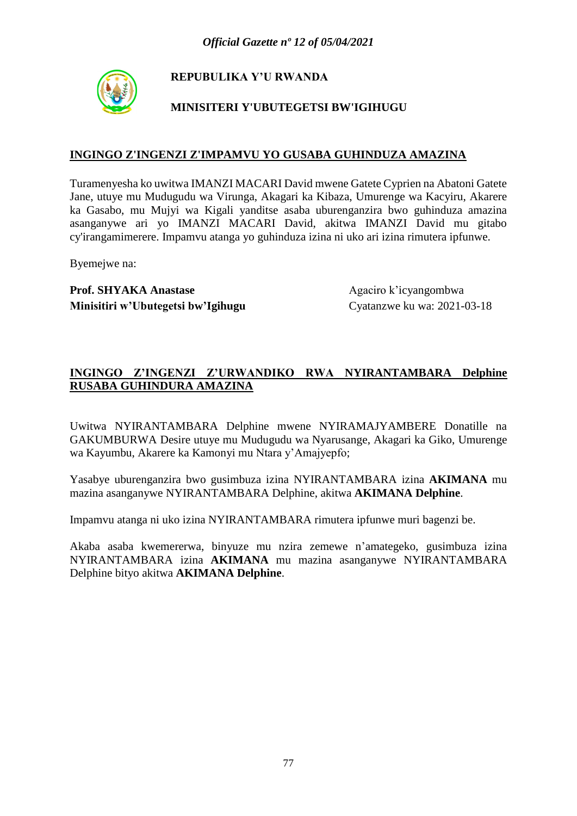

## **MINISITERI Y'UBUTEGETSI BW'IGIHUGU**

### **INGINGO Z'INGENZI Z'IMPAMVU YO GUSABA GUHINDUZA AMAZINA**

Turamenyesha ko uwitwa IMANZI MACARI David mwene Gatete Cyprien na Abatoni Gatete Jane, utuye mu Mudugudu wa Virunga, Akagari ka Kibaza, Umurenge wa Kacyiru, Akarere ka Gasabo, mu Mujyi wa Kigali yanditse asaba uburenganzira bwo guhinduza amazina asanganywe ari yo IMANZI MACARI David, akitwa IMANZI David mu gitabo cy'irangamimerere. Impamvu atanga yo guhinduza izina ni uko ari izina rimutera ipfunwe.

Byemejwe na:

**Prof. SHYAKA Anastase** Agaciro k'icyangombwa **Minisitiri w'Ubutegetsi bw'Igihugu** Cyatanzwe ku wa: 2021-03-18

### **INGINGO Z'INGENZI Z'URWANDIKO RWA NYIRANTAMBARA Delphine RUSABA GUHINDURA AMAZINA**

Uwitwa NYIRANTAMBARA Delphine mwene NYIRAMAJYAMBERE Donatille na GAKUMBURWA Desire utuye mu Mudugudu wa Nyarusange, Akagari ka Giko, Umurenge wa Kayumbu, Akarere ka Kamonyi mu Ntara y'Amajyepfo;

Yasabye uburenganzira bwo gusimbuza izina NYIRANTAMBARA izina **AKIMANA** mu mazina asanganywe NYIRANTAMBARA Delphine, akitwa **AKIMANA Delphine**.

Impamvu atanga ni uko izina NYIRANTAMBARA rimutera ipfunwe muri bagenzi be.

Akaba asaba kwemererwa, binyuze mu nzira zemewe n'amategeko, gusimbuza izina NYIRANTAMBARA izina **AKIMANA** mu mazina asanganywe NYIRANTAMBARA Delphine bityo akitwa **AKIMANA Delphine**.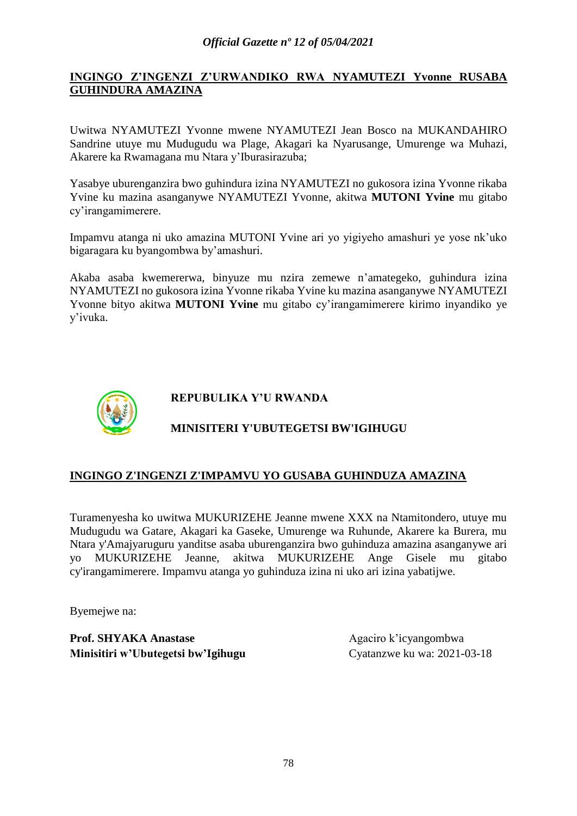### **INGINGO Z'INGENZI Z'URWANDIKO RWA NYAMUTEZI Yvonne RUSABA GUHINDURA AMAZINA**

Uwitwa NYAMUTEZI Yvonne mwene NYAMUTEZI Jean Bosco na MUKANDAHIRO Sandrine utuye mu Mudugudu wa Plage, Akagari ka Nyarusange, Umurenge wa Muhazi, Akarere ka Rwamagana mu Ntara y'Iburasirazuba;

Yasabye uburenganzira bwo guhindura izina NYAMUTEZI no gukosora izina Yvonne rikaba Yvine ku mazina asanganywe NYAMUTEZI Yvonne, akitwa **MUTONI Yvine** mu gitabo cy'irangamimerere.

Impamvu atanga ni uko amazina MUTONI Yvine ari yo yigiyeho amashuri ye yose nk'uko bigaragara ku byangombwa by'amashuri.

Akaba asaba kwemererwa, binyuze mu nzira zemewe n'amategeko, guhindura izina NYAMUTEZI no gukosora izina Yvonne rikaba Yvine ku mazina asanganywe NYAMUTEZI Yvonne bityo akitwa **MUTONI Yvine** mu gitabo cy'irangamimerere kirimo inyandiko ye y'ivuka.



### **REPUBULIKA Y'U RWANDA**

## **MINISITERI Y'UBUTEGETSI BW'IGIHUGU**

### **INGINGO Z'INGENZI Z'IMPAMVU YO GUSABA GUHINDUZA AMAZINA**

Turamenyesha ko uwitwa MUKURIZEHE Jeanne mwene XXX na Ntamitondero, utuye mu Mudugudu wa Gatare, Akagari ka Gaseke, Umurenge wa Ruhunde, Akarere ka Burera, mu Ntara y'Amajyaruguru yanditse asaba uburenganzira bwo guhinduza amazina asanganywe ari yo MUKURIZEHE Jeanne, akitwa MUKURIZEHE Ange Gisele mu gitabo cy'irangamimerere. Impamvu atanga yo guhinduza izina ni uko ari izina yabatijwe.

Byemejwe na: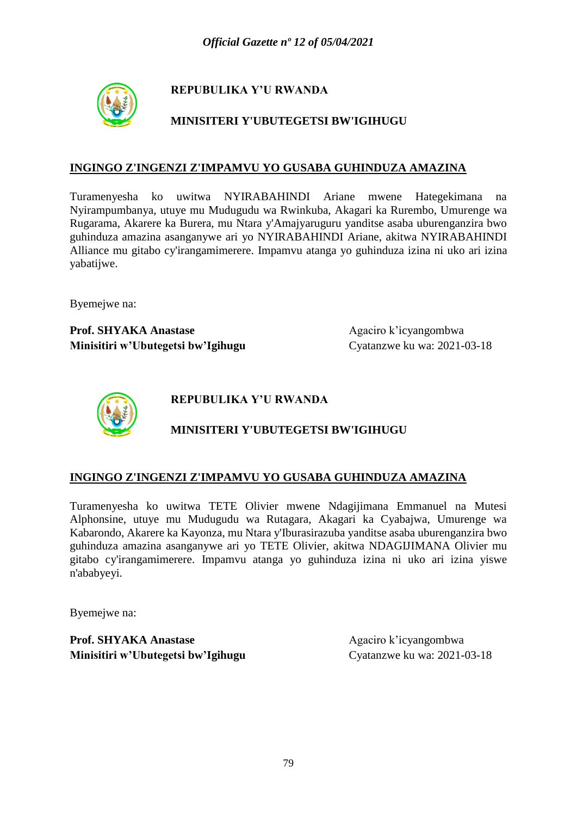

## **MINISITERI Y'UBUTEGETSI BW'IGIHUGU**

#### **INGINGO Z'INGENZI Z'IMPAMVU YO GUSABA GUHINDUZA AMAZINA**

Turamenyesha ko uwitwa NYIRABAHINDI Ariane mwene Hategekimana na Nyirampumbanya, utuye mu Mudugudu wa Rwinkuba, Akagari ka Rurembo, Umurenge wa Rugarama, Akarere ka Burera, mu Ntara y'Amajyaruguru yanditse asaba uburenganzira bwo guhinduza amazina asanganywe ari yo NYIRABAHINDI Ariane, akitwa NYIRABAHINDI Alliance mu gitabo cy'irangamimerere. Impamvu atanga yo guhinduza izina ni uko ari izina yabatijwe.

Byemejwe na:

**Prof. SHYAKA Anastase** Agaciro k'icyangombwa **Minisitiri w'Ubutegetsi bw'Igihugu** Cyatanzwe ku wa: 2021-03-18



**REPUBULIKA Y'U RWANDA**

## **MINISITERI Y'UBUTEGETSI BW'IGIHUGU**

#### **INGINGO Z'INGENZI Z'IMPAMVU YO GUSABA GUHINDUZA AMAZINA**

Turamenyesha ko uwitwa TETE Olivier mwene Ndagijimana Emmanuel na Mutesi Alphonsine, utuye mu Mudugudu wa Rutagara, Akagari ka Cyabajwa, Umurenge wa Kabarondo, Akarere ka Kayonza, mu Ntara y'Iburasirazuba yanditse asaba uburenganzira bwo guhinduza amazina asanganywe ari yo TETE Olivier, akitwa NDAGIJIMANA Olivier mu gitabo cy'irangamimerere. Impamvu atanga yo guhinduza izina ni uko ari izina yiswe n'ababyeyi.

Byemejwe na: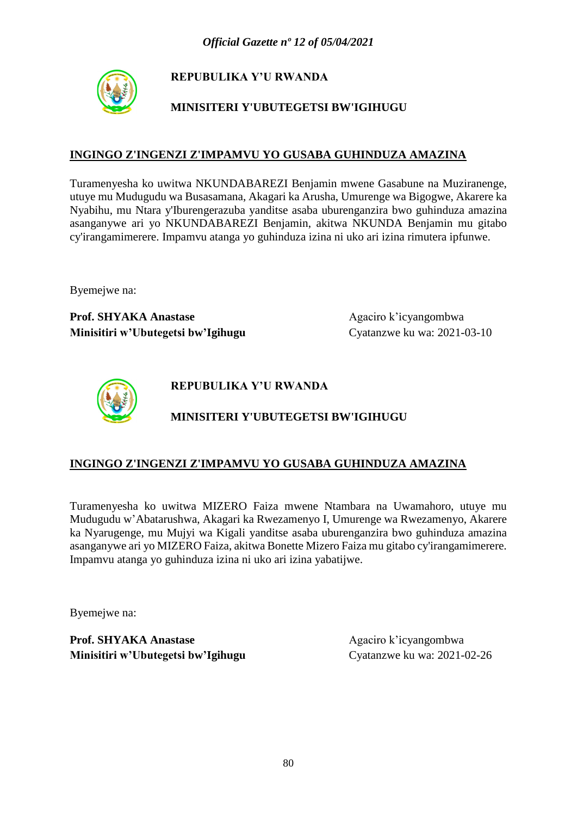

## **MINISITERI Y'UBUTEGETSI BW'IGIHUGU**

### **INGINGO Z'INGENZI Z'IMPAMVU YO GUSABA GUHINDUZA AMAZINA**

Turamenyesha ko uwitwa NKUNDABAREZI Benjamin mwene Gasabune na Muziranenge, utuye mu Mudugudu wa Busasamana, Akagari ka Arusha, Umurenge wa Bigogwe, Akarere ka Nyabihu, mu Ntara y'Iburengerazuba yanditse asaba uburenganzira bwo guhinduza amazina asanganywe ari yo NKUNDABAREZI Benjamin, akitwa NKUNDA Benjamin mu gitabo cy'irangamimerere. Impamvu atanga yo guhinduza izina ni uko ari izina rimutera ipfunwe.

Byemejwe na:

**Prof. SHYAKA Anastase** Agaciro k'icyangombwa **Minisitiri w'Ubutegetsi bw'Igihugu** Cyatanzwe ku wa: 2021-03-10



**REPUBULIKA Y'U RWANDA**

# **MINISITERI Y'UBUTEGETSI BW'IGIHUGU**

### **INGINGO Z'INGENZI Z'IMPAMVU YO GUSABA GUHINDUZA AMAZINA**

Turamenyesha ko uwitwa MIZERO Faiza mwene Ntambara na Uwamahoro, utuye mu Mudugudu w'Abatarushwa, Akagari ka Rwezamenyo I, Umurenge wa Rwezamenyo, Akarere ka Nyarugenge, mu Mujyi wa Kigali yanditse asaba uburenganzira bwo guhinduza amazina asanganywe ari yo MIZERO Faiza, akitwa Bonette Mizero Faiza mu gitabo cy'irangamimerere. Impamvu atanga yo guhinduza izina ni uko ari izina yabatijwe.

Byemejwe na: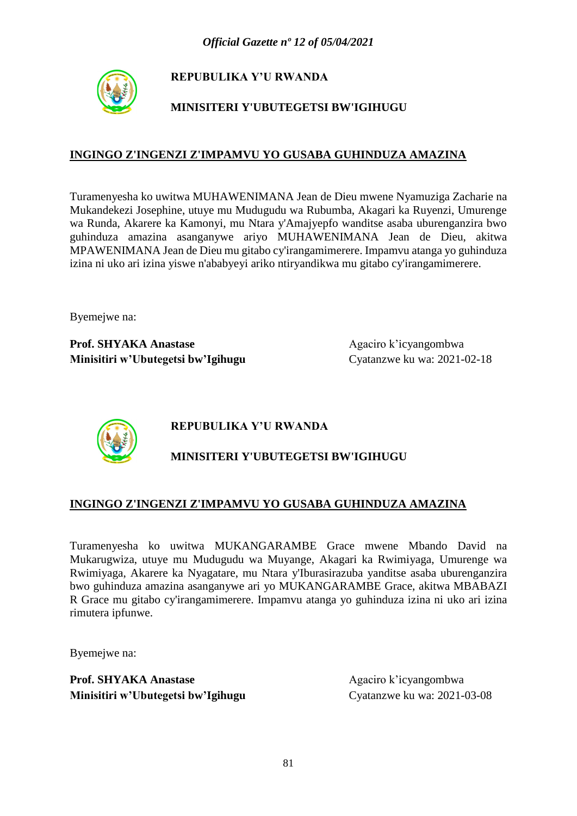

## **MINISITERI Y'UBUTEGETSI BW'IGIHUGU**

### **INGINGO Z'INGENZI Z'IMPAMVU YO GUSABA GUHINDUZA AMAZINA**

Turamenyesha ko uwitwa MUHAWENIMANA Jean de Dieu mwene Nyamuziga Zacharie na Mukandekezi Josephine, utuye mu Mudugudu wa Rubumba, Akagari ka Ruyenzi, Umurenge wa Runda, Akarere ka Kamonyi, mu Ntara y'Amajyepfo wanditse asaba uburenganzira bwo guhinduza amazina asanganywe ariyo MUHAWENIMANA Jean de Dieu, akitwa MPAWENIMANA Jean de Dieu mu gitabo cy'irangamimerere. Impamvu atanga yo guhinduza izina ni uko ari izina yiswe n'ababyeyi ariko ntiryandikwa mu gitabo cy'irangamimerere.

Byemejwe na:

**Prof. SHYAKA Anastase** Agaciro k'icyangombwa **Minisitiri w'Ubutegetsi bw'Igihugu** Cyatanzwe ku wa: 2021-02-18



# **REPUBULIKA Y'U RWANDA**

# **MINISITERI Y'UBUTEGETSI BW'IGIHUGU**

### **INGINGO Z'INGENZI Z'IMPAMVU YO GUSABA GUHINDUZA AMAZINA**

Turamenyesha ko uwitwa MUKANGARAMBE Grace mwene Mbando David na Mukarugwiza, utuye mu Mudugudu wa Muyange, Akagari ka Rwimiyaga, Umurenge wa Rwimiyaga, Akarere ka Nyagatare, mu Ntara y'Iburasirazuba yanditse asaba uburenganzira bwo guhinduza amazina asanganywe ari yo MUKANGARAMBE Grace, akitwa MBABAZI R Grace mu gitabo cy'irangamimerere. Impamvu atanga yo guhinduza izina ni uko ari izina rimutera ipfunwe.

Byemejwe na: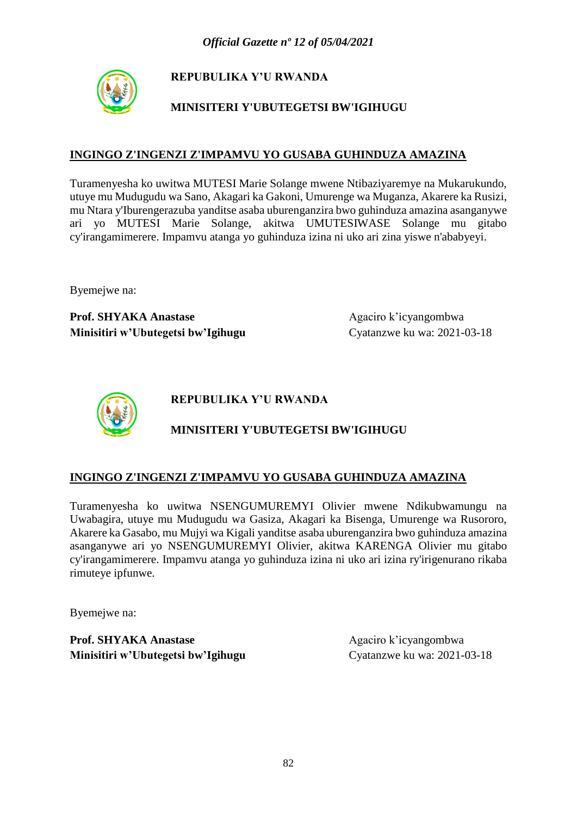

## **MINISITERI Y'UBUTEGETSI BW'IGIHUGU**

### **INGINGO Z'INGENZI Z'IMPAMVU YO GUSABA GUHINDUZA AMAZINA**

Turamenyesha ko uwitwa MUTESI Marie Solange mwene Ntibaziyaremye na Mukarukundo, utuye mu Mudugudu wa Sano, Akagari ka Gakoni, Umurenge wa Muganza, Akarere ka Rusizi, mu Ntara y'Iburengerazuba yanditse asaba uburenganzira bwo guhinduza amazina asanganywe ari yo MUTESI Marie Solange, akitwa UMUTESIWASE Solange mu gitabo cy'irangamimerere. Impamvu atanga yo guhinduza izina ni uko ari zina yiswe n'ababyeyi.

Byemejwe na:

**Prof. SHYAKA Anastase** Agaciro k'icyangombwa **Minisitiri w'Ubutegetsi bw'Igihugu** Cyatanzwe ku wa: 2021-03-18



**REPUBULIKA Y'U RWANDA**

## **MINISITERI Y'UBUTEGETSI BW'IGIHUGU**

### **INGINGO Z'INGENZI Z'IMPAMVU YO GUSABA GUHINDUZA AMAZINA**

Turamenyesha ko uwitwa NSENGUMUREMYI Olivier mwene Ndikubwamungu na Uwabagira, utuye mu Mudugudu wa Gasiza, Akagari ka Bisenga, Umurenge wa Rusororo, Akarere ka Gasabo, mu Mujyi wa Kigali yanditse asaba uburenganzira bwo guhinduza amazina asanganywe ari yo NSENGUMUREMYI Olivier, akitwa KARENGA Olivier mu gitabo cy'irangamimerere. Impamvu atanga yo guhinduza izina ni uko ari izina ry'irigenurano rikaba rimuteye ipfunwe.

Byemejwe na: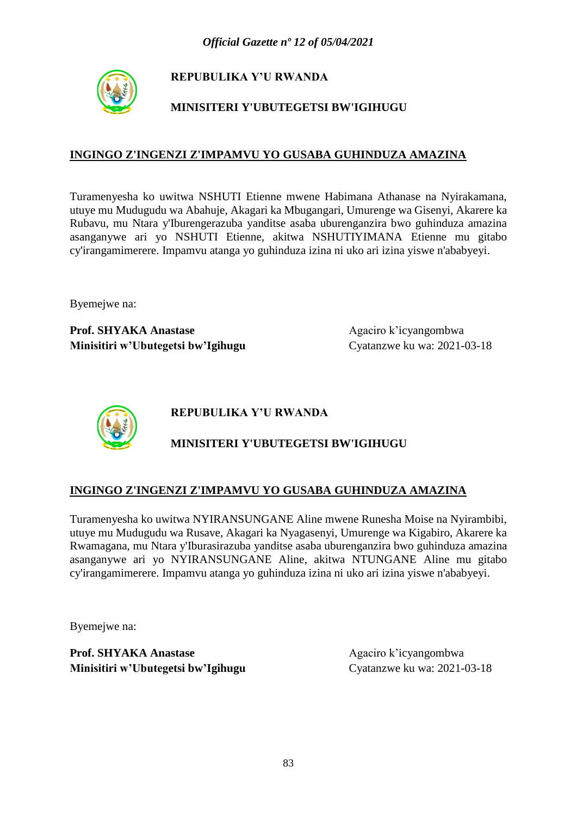

## **MINISITERI Y'UBUTEGETSI BW'IGIHUGU**

### **INGINGO Z'INGENZI Z'IMPAMVU YO GUSABA GUHINDUZA AMAZINA**

Turamenyesha ko uwitwa NSHUTI Etienne mwene Habimana Athanase na Nyirakamana, utuye mu Mudugudu wa Abahuje, Akagari ka Mbugangari, Umurenge wa Gisenyi, Akarere ka Rubavu, mu Ntara y'Iburengerazuba yanditse asaba uburenganzira bwo guhinduza amazina asanganywe ari yo NSHUTI Etienne, akitwa NSHUTIYIMANA Etienne mu gitabo cy'irangamimerere. Impamvu atanga yo guhinduza izina ni uko ari izina yiswe n'ababyeyi.

Byemejwe na:

**Prof. SHYAKA Anastase** Agaciro k'icyangombwa **Minisitiri w'Ubutegetsi bw'Igihugu** Cyatanzwe ku wa: 2021-03-18



**REPUBULIKA Y'U RWANDA**

## **MINISITERI Y'UBUTEGETSI BW'IGIHUGU**

### **INGINGO Z'INGENZI Z'IMPAMVU YO GUSABA GUHINDUZA AMAZINA**

Turamenyesha ko uwitwa NYIRANSUNGANE Aline mwene Runesha Moise na Nyirambibi, utuye mu Mudugudu wa Rusave, Akagari ka Nyagasenyi, Umurenge wa Kigabiro, Akarere ka Rwamagana, mu Ntara y'Iburasirazuba yanditse asaba uburenganzira bwo guhinduza amazina asanganywe ari yo NYIRANSUNGANE Aline, akitwa NTUNGANE Aline mu gitabo cy'irangamimerere. Impamvu atanga yo guhinduza izina ni uko ari izina yiswe n'ababyeyi.

Byemejwe na: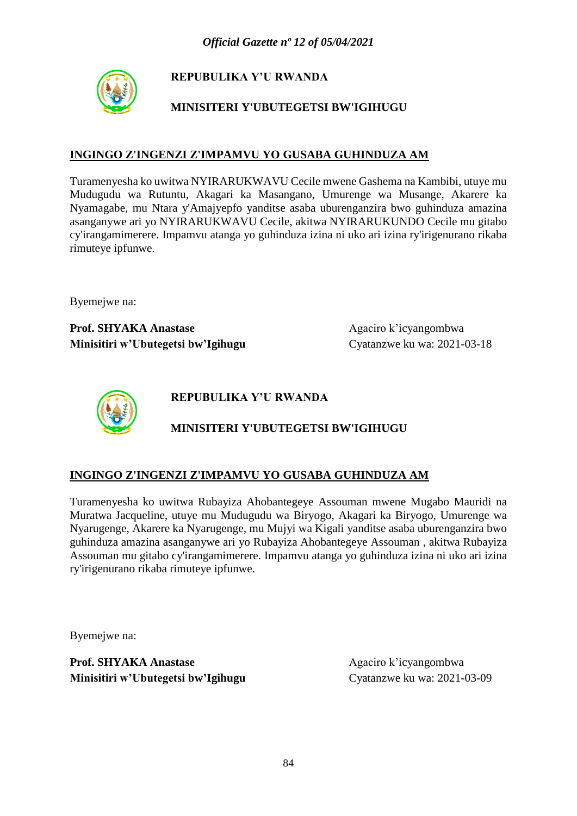

## **MINISITERI Y'UBUTEGETSI BW'IGIHUGU**

### **INGINGO Z'INGENZI Z'IMPAMVU YO GUSABA GUHINDUZA AM**

Turamenyesha ko uwitwa NYIRARUKWAVU Cecile mwene Gashema na Kambibi, utuye mu Mudugudu wa Rutuntu, Akagari ka Masangano, Umurenge wa Musange, Akarere ka Nyamagabe, mu Ntara y'Amajyepfo yanditse asaba uburenganzira bwo guhinduza amazina asanganywe ari yo NYIRARUKWAVU Cecile, akitwa NYIRARUKUNDO Cecile mu gitabo cy'irangamimerere. Impamvu atanga yo guhinduza izina ni uko ari izina ry'irigenurano rikaba rimuteye ipfunwe.

Byemejwe na:

**Prof. SHYAKA Anastase** Agaciro k'icyangombwa **Minisitiri w'Ubutegetsi bw'Igihugu** Cyatanzwe ku wa: 2021-03-18



**REPUBULIKA Y'U RWANDA**

# **MINISITERI Y'UBUTEGETSI BW'IGIHUGU**

## **INGINGO Z'INGENZI Z'IMPAMVU YO GUSABA GUHINDUZA AM**

Turamenyesha ko uwitwa Rubayiza Ahobantegeye Assouman mwene Mugabo Mauridi na Muratwa Jacqueline, utuye mu Mudugudu wa Biryogo, Akagari ka Biryogo, Umurenge wa Nyarugenge, Akarere ka Nyarugenge, mu Mujyi wa Kigali yanditse asaba uburenganzira bwo guhinduza amazina asanganywe ari yo Rubayiza Ahobantegeye Assouman , akitwa Rubayiza Assouman mu gitabo cy'irangamimerere. Impamvu atanga yo guhinduza izina ni uko ari izina ry'irigenurano rikaba rimuteye ipfunwe.

Byemejwe na: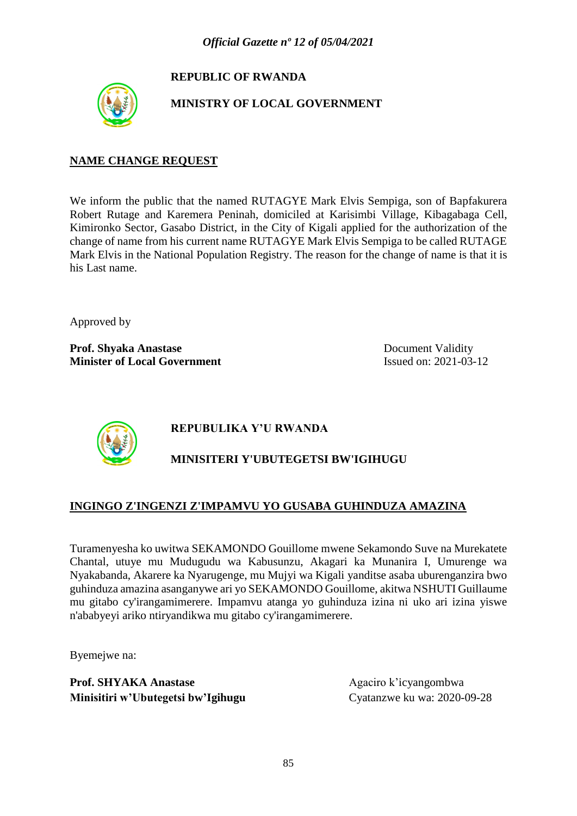# **REPUBLIC OF RWANDA**



**MINISTRY OF LOCAL GOVERNMENT**

### **NAME CHANGE REQUEST**

We inform the public that the named RUTAGYE Mark Elvis Sempiga, son of Bapfakurera Robert Rutage and Karemera Peninah, domiciled at Karisimbi Village, Kibagabaga Cell, Kimironko Sector, Gasabo District, in the City of Kigali applied for the authorization of the change of name from his current name RUTAGYE Mark Elvis Sempiga to be called RUTAGE Mark Elvis in the National Population Registry. The reason for the change of name is that it is his Last name.

Approved by

**Prof. Shyaka Anastase** Document Validity **Minister of Local Government** Issued on: 2021-03-12



# **REPUBULIKA Y'U RWANDA**

# **MINISITERI Y'UBUTEGETSI BW'IGIHUGU**

## **INGINGO Z'INGENZI Z'IMPAMVU YO GUSABA GUHINDUZA AMAZINA**

Turamenyesha ko uwitwa SEKAMONDO Gouillome mwene Sekamondo Suve na Murekatete Chantal, utuye mu Mudugudu wa Kabusunzu, Akagari ka Munanira I, Umurenge wa Nyakabanda, Akarere ka Nyarugenge, mu Mujyi wa Kigali yanditse asaba uburenganzira bwo guhinduza amazina asanganywe ari yo SEKAMONDO Gouillome, akitwa NSHUTI Guillaume mu gitabo cy'irangamimerere. Impamvu atanga yo guhinduza izina ni uko ari izina yiswe n'ababyeyi ariko ntiryandikwa mu gitabo cy'irangamimerere.

Byemejwe na: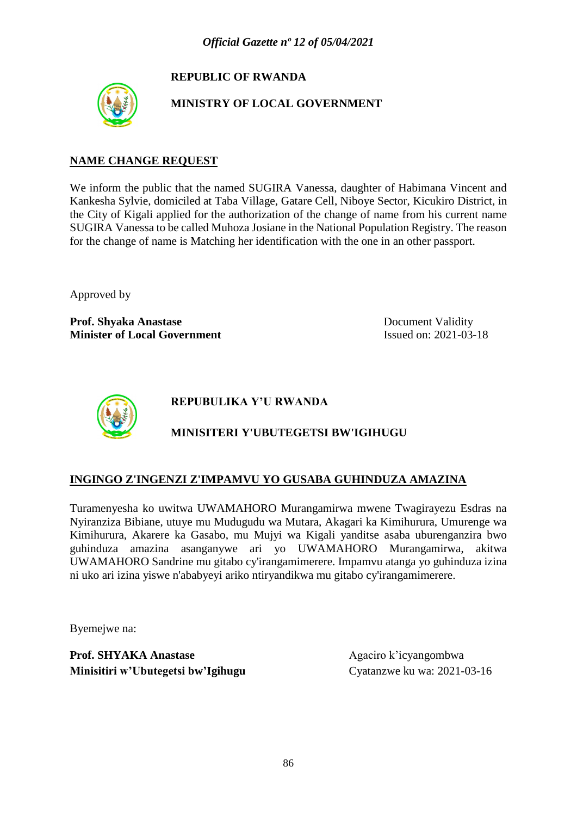# **REPUBLIC OF RWANDA**



**MINISTRY OF LOCAL GOVERNMENT**

### **NAME CHANGE REQUEST**

We inform the public that the named SUGIRA Vanessa, daughter of Habimana Vincent and Kankesha Sylvie, domiciled at Taba Village, Gatare Cell, Niboye Sector, Kicukiro District, in the City of Kigali applied for the authorization of the change of name from his current name SUGIRA Vanessa to be called Muhoza Josiane in the National Population Registry. The reason for the change of name is Matching her identification with the one in an other passport.

Approved by

**Prof. Shyaka Anastase** Document Validity **Minister of Local Government** Issued on: 2021-03-18



**REPUBULIKA Y'U RWANDA**

# **MINISITERI Y'UBUTEGETSI BW'IGIHUGU**

## **INGINGO Z'INGENZI Z'IMPAMVU YO GUSABA GUHINDUZA AMAZINA**

Turamenyesha ko uwitwa UWAMAHORO Murangamirwa mwene Twagirayezu Esdras na Nyiranziza Bibiane, utuye mu Mudugudu wa Mutara, Akagari ka Kimihurura, Umurenge wa Kimihurura, Akarere ka Gasabo, mu Mujyi wa Kigali yanditse asaba uburenganzira bwo guhinduza amazina asanganywe ari yo UWAMAHORO Murangamirwa, akitwa UWAMAHORO Sandrine mu gitabo cy'irangamimerere. Impamvu atanga yo guhinduza izina ni uko ari izina yiswe n'ababyeyi ariko ntiryandikwa mu gitabo cy'irangamimerere.

Byemejwe na: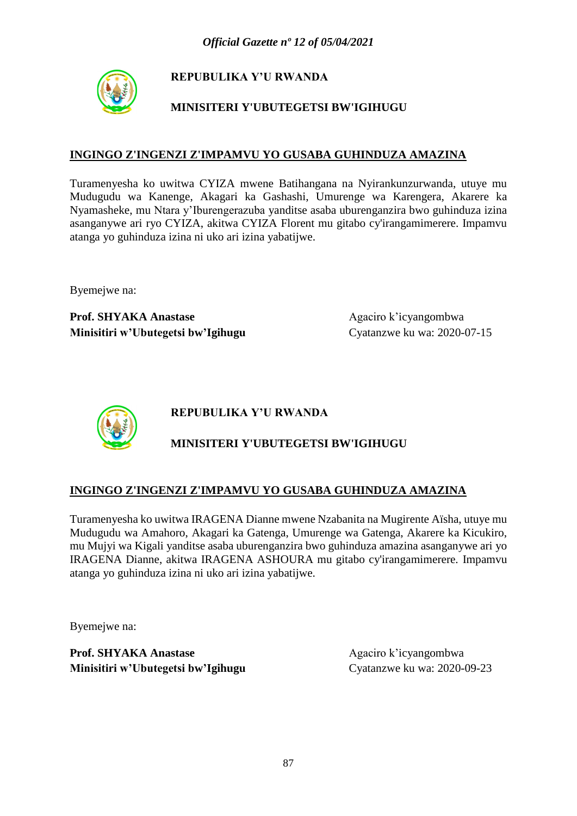

## **MINISITERI Y'UBUTEGETSI BW'IGIHUGU**

### **INGINGO Z'INGENZI Z'IMPAMVU YO GUSABA GUHINDUZA AMAZINA**

Turamenyesha ko uwitwa CYIZA mwene Batihangana na Nyirankunzurwanda, utuye mu Mudugudu wa Kanenge, Akagari ka Gashashi, Umurenge wa Karengera, Akarere ka Nyamasheke, mu Ntara y'Iburengerazuba yanditse asaba uburenganzira bwo guhinduza izina asanganywe ari ryo CYIZA, akitwa CYIZA Florent mu gitabo cy'irangamimerere. Impamvu atanga yo guhinduza izina ni uko ari izina yabatijwe.

Byemejwe na:

**Prof. SHYAKA Anastase** Agaciro k'icyangombwa **Minisitiri w'Ubutegetsi bw'Igihugu** Cyatanzwe ku wa: 2020-07-15



**REPUBULIKA Y'U RWANDA**

## **MINISITERI Y'UBUTEGETSI BW'IGIHUGU**

### **INGINGO Z'INGENZI Z'IMPAMVU YO GUSABA GUHINDUZA AMAZINA**

Turamenyesha ko uwitwa IRAGENA Dianne mwene Nzabanita na Mugirente Aïsha, utuye mu Mudugudu wa Amahoro, Akagari ka Gatenga, Umurenge wa Gatenga, Akarere ka Kicukiro, mu Mujyi wa Kigali yanditse asaba uburenganzira bwo guhinduza amazina asanganywe ari yo IRAGENA Dianne, akitwa IRAGENA ASHOURA mu gitabo cy'irangamimerere. Impamvu atanga yo guhinduza izina ni uko ari izina yabatijwe.

Byemejwe na: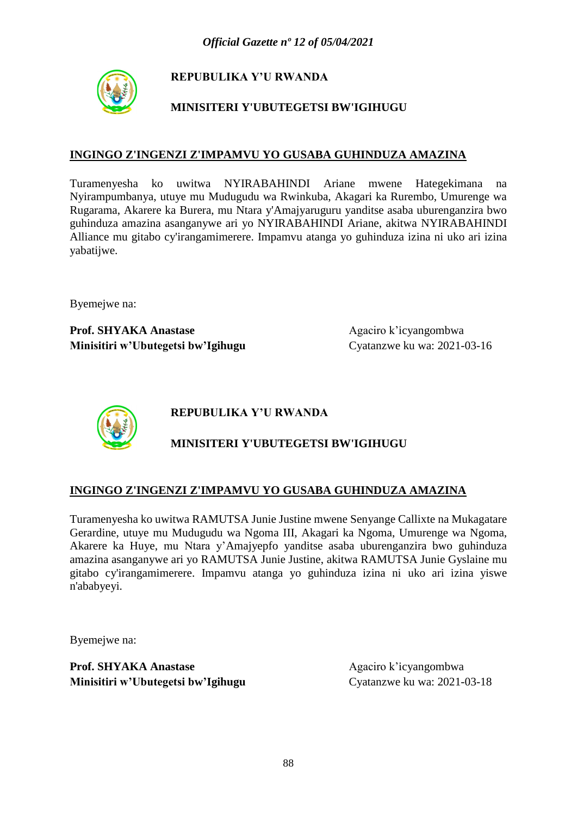

## **MINISITERI Y'UBUTEGETSI BW'IGIHUGU**

### **INGINGO Z'INGENZI Z'IMPAMVU YO GUSABA GUHINDUZA AMAZINA**

Turamenyesha ko uwitwa NYIRABAHINDI Ariane mwene Hategekimana na Nyirampumbanya, utuye mu Mudugudu wa Rwinkuba, Akagari ka Rurembo, Umurenge wa Rugarama, Akarere ka Burera, mu Ntara y'Amajyaruguru yanditse asaba uburenganzira bwo guhinduza amazina asanganywe ari yo NYIRABAHINDI Ariane, akitwa NYIRABAHINDI Alliance mu gitabo cy'irangamimerere. Impamvu atanga yo guhinduza izina ni uko ari izina yabatijwe.

Byemejwe na:

**Prof. SHYAKA Anastase** Agaciro k'icyangombwa **Minisitiri w'Ubutegetsi bw'Igihugu** Cyatanzwe ku wa: 2021-03-16



**REPUBULIKA Y'U RWANDA**

## **MINISITERI Y'UBUTEGETSI BW'IGIHUGU**

### **INGINGO Z'INGENZI Z'IMPAMVU YO GUSABA GUHINDUZA AMAZINA**

Turamenyesha ko uwitwa RAMUTSA Junie Justine mwene Senyange Callixte na Mukagatare Gerardine, utuye mu Mudugudu wa Ngoma III, Akagari ka Ngoma, Umurenge wa Ngoma, Akarere ka Huye, mu Ntara y'Amajyepfo yanditse asaba uburenganzira bwo guhinduza amazina asanganywe ari yo RAMUTSA Junie Justine, akitwa RAMUTSA Junie Gyslaine mu gitabo cy'irangamimerere. Impamvu atanga yo guhinduza izina ni uko ari izina yiswe n'ababyeyi.

Byemejwe na: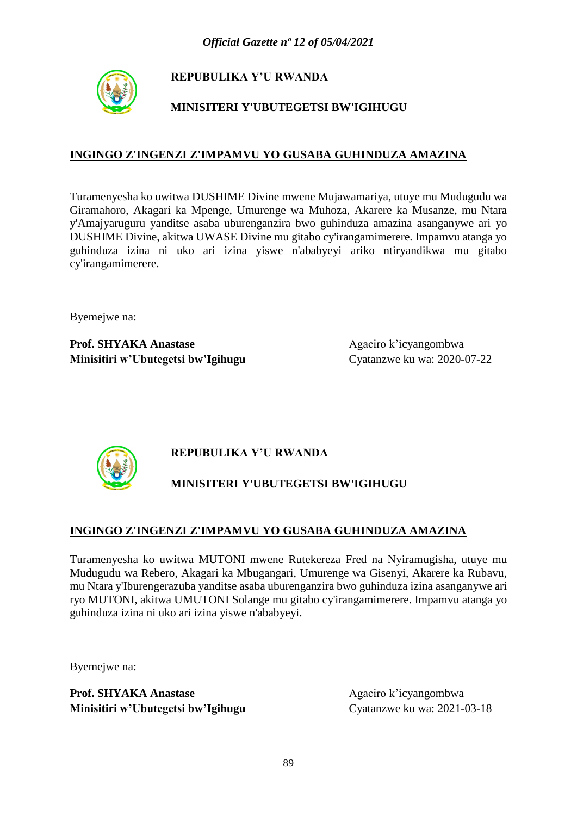

# **MINISITERI Y'UBUTEGETSI BW'IGIHUGU**

### **INGINGO Z'INGENZI Z'IMPAMVU YO GUSABA GUHINDUZA AMAZINA**

Turamenyesha ko uwitwa DUSHIME Divine mwene Mujawamariya, utuye mu Mudugudu wa Giramahoro, Akagari ka Mpenge, Umurenge wa Muhoza, Akarere ka Musanze, mu Ntara y'Amajyaruguru yanditse asaba uburenganzira bwo guhinduza amazina asanganywe ari yo DUSHIME Divine, akitwa UWASE Divine mu gitabo cy'irangamimerere. Impamvu atanga yo guhinduza izina ni uko ari izina yiswe n'ababyeyi ariko ntiryandikwa mu gitabo cy'irangamimerere.

Byemejwe na:

**Prof. SHYAKA Anastase** Agaciro k'icyangombwa **Minisitiri w'Ubutegetsi bw'Igihugu** Cyatanzwe ku wa: 2020-07-22



# **REPUBULIKA Y'U RWANDA**

# **MINISITERI Y'UBUTEGETSI BW'IGIHUGU**

### **INGINGO Z'INGENZI Z'IMPAMVU YO GUSABA GUHINDUZA AMAZINA**

Turamenyesha ko uwitwa MUTONI mwene Rutekereza Fred na Nyiramugisha, utuye mu Mudugudu wa Rebero, Akagari ka Mbugangari, Umurenge wa Gisenyi, Akarere ka Rubavu, mu Ntara y'Iburengerazuba yanditse asaba uburenganzira bwo guhinduza izina asanganywe ari ryo MUTONI, akitwa UMUTONI Solange mu gitabo cy'irangamimerere. Impamvu atanga yo guhinduza izina ni uko ari izina yiswe n'ababyeyi.

Byemejwe na: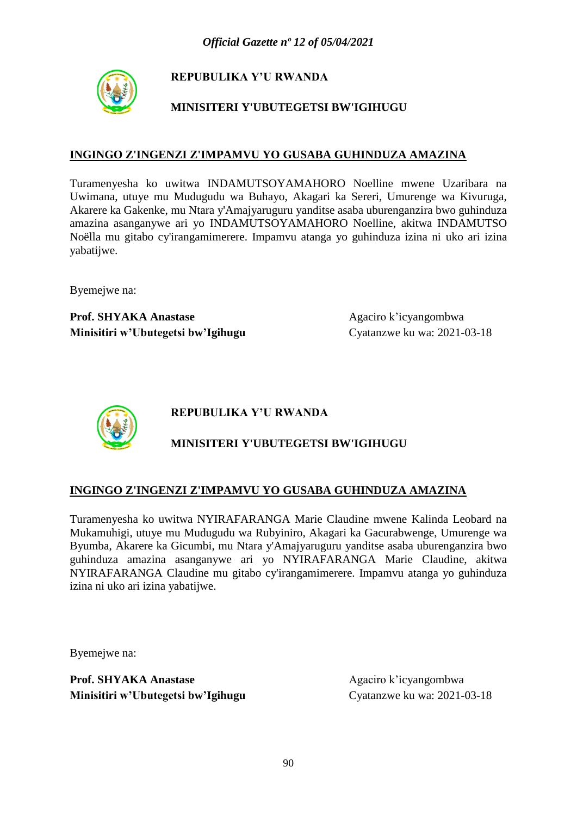

## **MINISITERI Y'UBUTEGETSI BW'IGIHUGU**

### **INGINGO Z'INGENZI Z'IMPAMVU YO GUSABA GUHINDUZA AMAZINA**

Turamenyesha ko uwitwa INDAMUTSOYAMAHORO Noelline mwene Uzaribara na Uwimana, utuye mu Mudugudu wa Buhayo, Akagari ka Sereri, Umurenge wa Kivuruga, Akarere ka Gakenke, mu Ntara y'Amajyaruguru yanditse asaba uburenganzira bwo guhinduza amazina asanganywe ari yo INDAMUTSOYAMAHORO Noelline, akitwa INDAMUTSO Noëlla mu gitabo cy'irangamimerere. Impamvu atanga yo guhinduza izina ni uko ari izina yabatijwe.

Byemejwe na:

**Prof. SHYAKA Anastase** Agaciro k'icyangombwa **Minisitiri w'Ubutegetsi bw'Igihugu** Cyatanzwe ku wa: 2021-03-18



**REPUBULIKA Y'U RWANDA**

## **MINISITERI Y'UBUTEGETSI BW'IGIHUGU**

### **INGINGO Z'INGENZI Z'IMPAMVU YO GUSABA GUHINDUZA AMAZINA**

Turamenyesha ko uwitwa NYIRAFARANGA Marie Claudine mwene Kalinda Leobard na Mukamuhigi, utuye mu Mudugudu wa Rubyiniro, Akagari ka Gacurabwenge, Umurenge wa Byumba, Akarere ka Gicumbi, mu Ntara y'Amajyaruguru yanditse asaba uburenganzira bwo guhinduza amazina asanganywe ari yo NYIRAFARANGA Marie Claudine, akitwa NYIRAFARANGA Claudine mu gitabo cy'irangamimerere. Impamvu atanga yo guhinduza izina ni uko ari izina yabatijwe.

Byemejwe na: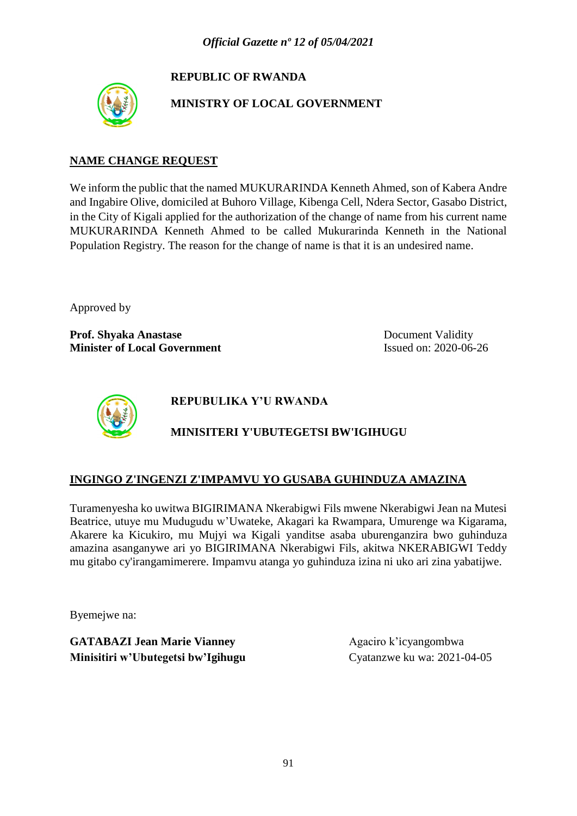# **REPUBLIC OF RWANDA**



**MINISTRY OF LOCAL GOVERNMENT**

### **NAME CHANGE REQUEST**

We inform the public that the named MUKURARINDA Kenneth Ahmed, son of Kabera Andre and Ingabire Olive, domiciled at Buhoro Village, Kibenga Cell, Ndera Sector, Gasabo District, in the City of Kigali applied for the authorization of the change of name from his current name MUKURARINDA Kenneth Ahmed to be called Mukurarinda Kenneth in the National Population Registry. The reason for the change of name is that it is an undesired name.

Approved by

**Prof. Shyaka Anastase** Document Validity **Minister of Local Government** Issued on: 2020-06-26



**REPUBULIKA Y'U RWANDA**

# **MINISITERI Y'UBUTEGETSI BW'IGIHUGU**

## **INGINGO Z'INGENZI Z'IMPAMVU YO GUSABA GUHINDUZA AMAZINA**

Turamenyesha ko uwitwa BIGIRIMANA Nkerabigwi Fils mwene Nkerabigwi Jean na Mutesi Beatrice, utuye mu Mudugudu w'Uwateke, Akagari ka Rwampara, Umurenge wa Kigarama, Akarere ka Kicukiro, mu Mujyi wa Kigali yanditse asaba uburenganzira bwo guhinduza amazina asanganywe ari yo BIGIRIMANA Nkerabigwi Fils, akitwa NKERABIGWI Teddy mu gitabo cy'irangamimerere. Impamvu atanga yo guhinduza izina ni uko ari zina yabatijwe.

Byemejwe na:

**GATABAZI Jean Marie Vianney** Agaciro k'icyangombwa **Minisitiri w'Ubutegetsi bw'Igihugu** Cyatanzwe ku wa: 2021-04-05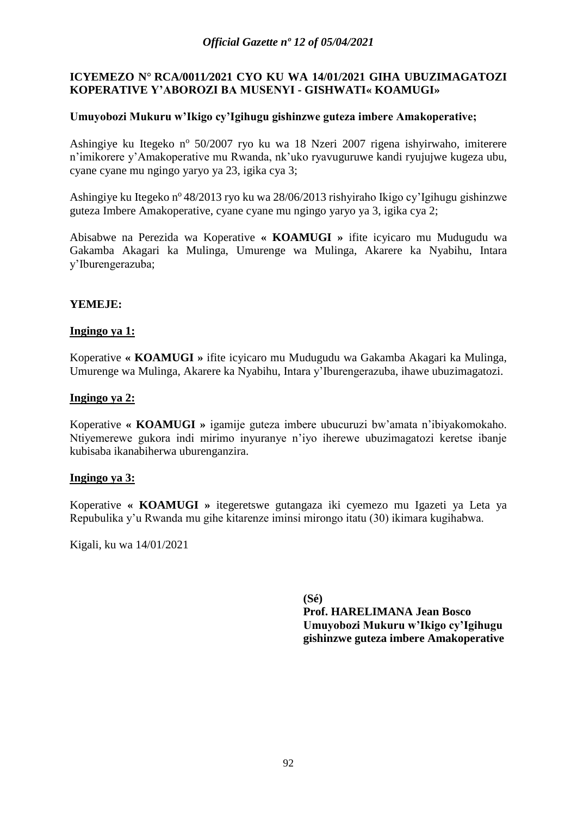#### **ICYEMEZO N° RCA/0011***/***2021 CYO KU WA 14/01/2021 GIHA UBUZIMAGATOZI KOPERATIVE Y'ABOROZI BA MUSENYI - GISHWATI« KOAMUGI»**

#### **Umuyobozi Mukuru w'Ikigo cy'Igihugu gishinzwe guteza imbere Amakoperative;**

Ashingiye ku Itegeko nº 50/2007 ryo ku wa 18 Nzeri 2007 rigena ishyirwaho, imiterere n'imikorere y'Amakoperative mu Rwanda, nk'uko ryavuguruwe kandi ryujujwe kugeza ubu, cyane cyane mu ngingo yaryo ya 23, igika cya 3;

Ashingiye ku Itegeko n<sup>o</sup> 48/2013 ryo ku wa 28/06/2013 rishyiraho Ikigo cy'Igihugu gishinzwe guteza Imbere Amakoperative, cyane cyane mu ngingo yaryo ya 3, igika cya 2;

Abisabwe na Perezida wa Koperative **« KOAMUGI »** ifite icyicaro mu Mudugudu wa Gakamba Akagari ka Mulinga, Umurenge wa Mulinga, Akarere ka Nyabihu, Intara y'Iburengerazuba;

#### **YEMEJE:**

#### **Ingingo ya 1:**

Koperative **« KOAMUGI »** ifite icyicaro mu Mudugudu wa Gakamba Akagari ka Mulinga, Umurenge wa Mulinga, Akarere ka Nyabihu, Intara y'Iburengerazuba, ihawe ubuzimagatozi.

#### **Ingingo ya 2:**

Koperative **« KOAMUGI »** igamije guteza imbere ubucuruzi bw'amata n'ibiyakomokaho. Ntiyemerewe gukora indi mirimo inyuranye n'iyo iherewe ubuzimagatozi keretse ibanje kubisaba ikanabiherwa uburenganzira.

#### **Ingingo ya 3:**

Koperative **« KOAMUGI »** itegeretswe gutangaza iki cyemezo mu Igazeti ya Leta ya Repubulika y'u Rwanda mu gihe kitarenze iminsi mirongo itatu (30) ikimara kugihabwa.

Kigali, ku wa 14/01/2021

**(Sé) Prof. HARELIMANA Jean Bosco Umuyobozi Mukuru w'Ikigo cy'Igihugu gishinzwe guteza imbere Amakoperative**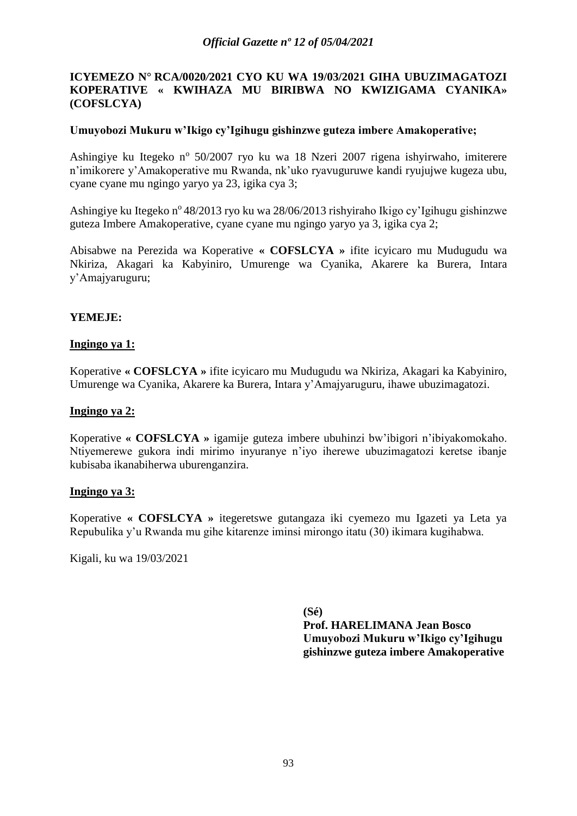#### **ICYEMEZO N° RCA/0020***/***2021 CYO KU WA 19/03/2021 GIHA UBUZIMAGATOZI KOPERATIVE « KWIHAZA MU BIRIBWA NO KWIZIGAMA CYANIKA» (COFSLCYA)**

#### **Umuyobozi Mukuru w'Ikigo cy'Igihugu gishinzwe guteza imbere Amakoperative;**

Ashingiye ku Itegeko nº 50/2007 ryo ku wa 18 Nzeri 2007 rigena ishyirwaho, imiterere n'imikorere y'Amakoperative mu Rwanda, nk'uko ryavuguruwe kandi ryujujwe kugeza ubu, cyane cyane mu ngingo yaryo ya 23, igika cya 3;

Ashingiye ku Itegeko n<sup>o</sup> 48/2013 ryo ku wa 28/06/2013 rishyiraho Ikigo cy'Igihugu gishinzwe guteza Imbere Amakoperative, cyane cyane mu ngingo yaryo ya 3, igika cya 2;

Abisabwe na Perezida wa Koperative **« COFSLCYA »** ifite icyicaro mu Mudugudu wa Nkiriza, Akagari ka Kabyiniro, Umurenge wa Cyanika, Akarere ka Burera, Intara y'Amajyaruguru;

#### **YEMEJE:**

#### **Ingingo ya 1:**

Koperative **« COFSLCYA »** ifite icyicaro mu Mudugudu wa Nkiriza, Akagari ka Kabyiniro, Umurenge wa Cyanika, Akarere ka Burera, Intara y'Amajyaruguru, ihawe ubuzimagatozi.

#### **Ingingo ya 2:**

Koperative **« COFSLCYA »** igamije guteza imbere ubuhinzi bw'ibigori n'ibiyakomokaho. Ntiyemerewe gukora indi mirimo inyuranye n'iyo iherewe ubuzimagatozi keretse ibanje kubisaba ikanabiherwa uburenganzira.

#### **Ingingo ya 3:**

Koperative **« COFSLCYA »** itegeretswe gutangaza iki cyemezo mu Igazeti ya Leta ya Repubulika y'u Rwanda mu gihe kitarenze iminsi mirongo itatu (30) ikimara kugihabwa.

Kigali, ku wa 19/03/2021

**(Sé) Prof. HARELIMANA Jean Bosco Umuyobozi Mukuru w'Ikigo cy'Igihugu gishinzwe guteza imbere Amakoperative**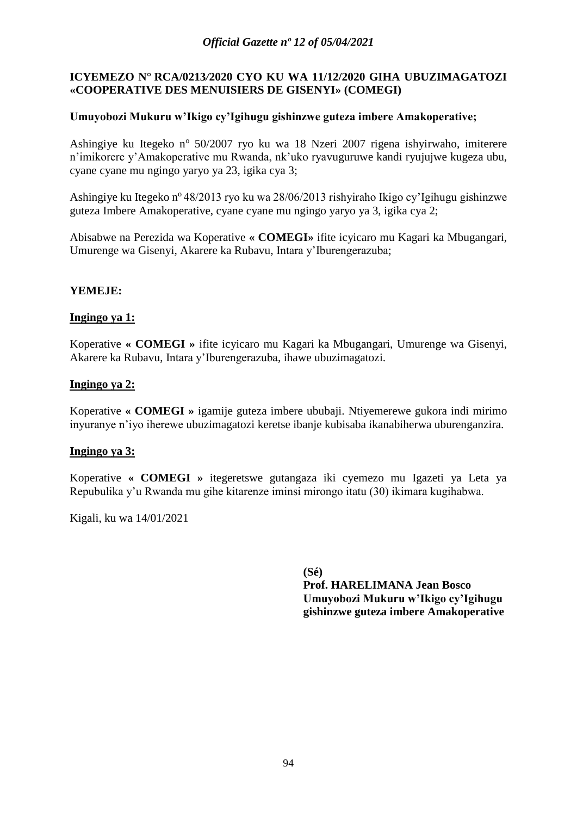#### **ICYEMEZO N° RCA/0213***/***2020 CYO KU WA 11/12/2020 GIHA UBUZIMAGATOZI «COOPERATIVE DES MENUISIERS DE GISENYI» (COMEGI)**

#### **Umuyobozi Mukuru w'Ikigo cy'Igihugu gishinzwe guteza imbere Amakoperative;**

Ashingiye ku Itegeko nº 50/2007 ryo ku wa 18 Nzeri 2007 rigena ishyirwaho, imiterere n'imikorere y'Amakoperative mu Rwanda, nk'uko ryavuguruwe kandi ryujujwe kugeza ubu, cyane cyane mu ngingo yaryo ya 23, igika cya 3;

Ashingiye ku Itegeko n<sup>o</sup> 48/2013 ryo ku wa 28/06/2013 rishyiraho Ikigo cy'Igihugu gishinzwe guteza Imbere Amakoperative, cyane cyane mu ngingo yaryo ya 3, igika cya 2;

Abisabwe na Perezida wa Koperative **« COMEGI»** ifite icyicaro mu Kagari ka Mbugangari, Umurenge wa Gisenyi, Akarere ka Rubavu, Intara y'Iburengerazuba;

#### **YEMEJE:**

#### **Ingingo ya 1:**

Koperative **« COMEGI »** ifite icyicaro mu Kagari ka Mbugangari, Umurenge wa Gisenyi, Akarere ka Rubavu, Intara y'Iburengerazuba, ihawe ubuzimagatozi.

#### **Ingingo ya 2:**

Koperative **« COMEGI »** igamije guteza imbere ububaji. Ntiyemerewe gukora indi mirimo inyuranye n'iyo iherewe ubuzimagatozi keretse ibanje kubisaba ikanabiherwa uburenganzira.

#### **Ingingo ya 3:**

Koperative **« COMEGI »** itegeretswe gutangaza iki cyemezo mu Igazeti ya Leta ya Repubulika y'u Rwanda mu gihe kitarenze iminsi mirongo itatu (30) ikimara kugihabwa.

Kigali, ku wa 14/01/2021

**(Sé) Prof. HARELIMANA Jean Bosco Umuyobozi Mukuru w'Ikigo cy'Igihugu gishinzwe guteza imbere Amakoperative**